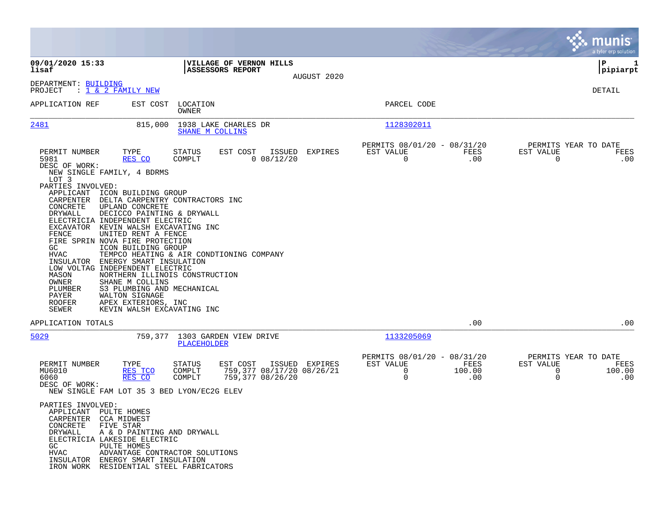|                                                                                                                                                                                                                                                                                                                                                                                                                                                                                                                                                                                                                                                           |                                                                                                                    |                                                                                                 | munis<br>a tyler erp solution                                                  |
|-----------------------------------------------------------------------------------------------------------------------------------------------------------------------------------------------------------------------------------------------------------------------------------------------------------------------------------------------------------------------------------------------------------------------------------------------------------------------------------------------------------------------------------------------------------------------------------------------------------------------------------------------------------|--------------------------------------------------------------------------------------------------------------------|-------------------------------------------------------------------------------------------------|--------------------------------------------------------------------------------|
| 09/01/2020 15:33<br>lisaf                                                                                                                                                                                                                                                                                                                                                                                                                                                                                                                                                                                                                                 | VILLAGE OF VERNON HILLS<br>ASSESSORS REPORT                                                                        |                                                                                                 | P<br>1<br>pipiarpt                                                             |
| DEPARTMENT: BUILDING<br>: 1 & 2 FAMILY NEW<br>PROJECT                                                                                                                                                                                                                                                                                                                                                                                                                                                                                                                                                                                                     | AUGUST 2020                                                                                                        |                                                                                                 | DETAIL                                                                         |
| APPLICATION REF                                                                                                                                                                                                                                                                                                                                                                                                                                                                                                                                                                                                                                           | EST COST LOCATION<br>OWNER                                                                                         | PARCEL CODE                                                                                     |                                                                                |
| 2481<br>815,000                                                                                                                                                                                                                                                                                                                                                                                                                                                                                                                                                                                                                                           | 1938 LAKE CHARLES DR<br>SHANE M COLLINS                                                                            | 1128302011                                                                                      |                                                                                |
| PERMIT NUMBER<br>TYPE<br>5981<br>RES CO<br>DESC OF WORK:<br>NEW SINGLE FAMILY, 4 BDRMS<br>LOT 3<br>PARTIES INVOLVED:<br>APPLICANT ICON BUILDING GROUP<br>CARPENTER DELTA CARPENTRY CONTRACTORS INC<br>CONCRETE<br>UPLAND CONCRETE<br>DRYWALL<br>DECICCO PAINTING & DRYWALL<br>ELECTRICIA INDEPENDENT ELECTRIC<br>EXCAVATOR KEVIN WALSH EXCAVATING INC<br>UNITED RENT A FENCE<br>FENCE<br>FIRE SPRIN NOVA FIRE PROTECTION<br>GC.<br>ICON BUILDING GROUP<br>HVAC<br>ENERGY SMART INSULATION<br>INSULATOR<br>LOW VOLTAG INDEPENDENT ELECTRIC<br>MASON<br>NORTHERN ILLINOIS CONSTRUCTION<br>OWNER<br>SHANE M COLLINS<br>PLUMBER<br>S3 PLUMBING AND MECHANICAL | ISSUED<br><b>STATUS</b><br>EST COST<br>EXPIRES<br>COMPLT<br>0.08/12/20<br>TEMPCO HEATING & AIR CONDTIONING COMPANY | PERMITS 08/01/20 - 08/31/20<br>EST VALUE<br>FEES<br>$\Omega$<br>.00                             | PERMITS YEAR TO DATE<br>EST VALUE<br>FEES<br>$\Omega$<br>.00                   |
| PAYER<br>WALTON SIGNAGE<br><b>ROOFER</b><br>APEX EXTERIORS, INC<br>SEWER<br>KEVIN WALSH EXCAVATING INC                                                                                                                                                                                                                                                                                                                                                                                                                                                                                                                                                    |                                                                                                                    |                                                                                                 |                                                                                |
| APPLICATION TOTALS                                                                                                                                                                                                                                                                                                                                                                                                                                                                                                                                                                                                                                        |                                                                                                                    | .00                                                                                             | .00                                                                            |
| 5029                                                                                                                                                                                                                                                                                                                                                                                                                                                                                                                                                                                                                                                      | 759,377 1303 GARDEN VIEW DRIVE<br>PLACEHOLDER                                                                      | 1133205069                                                                                      |                                                                                |
| PERMIT NUMBER<br>TYPE<br>MU6010<br>RES TCO<br>6060<br>RES CO<br>DESC OF WORK:<br>NEW SINGLE FAM LOT 35 3 BED LYON/EC2G ELEV<br>PARTIES INVOLVED:<br>APPLICANT PULTE HOMES<br>CARPENTER<br><b>CCA MIDWEST</b><br>CONCRETE<br>FIVE STAR<br>DRYWALL<br>A & D PAINTING AND DRYWALL<br>ELECTRICIA LAKESIDE ELECTRIC<br>GC<br>PULTE HOMES<br>ADVANTAGE CONTRACTOR SOLUTIONS<br><b>HVAC</b><br>INSULATOR ENERGY SMART INSULATION<br>IRON WORK RESIDENTIAL STEEL FABRICATORS                                                                                                                                                                                      | EST COST<br><b>STATUS</b><br>ISSUED EXPIRES<br>759,377 08/17/20 08/26/21<br>COMPLT<br>COMPLT<br>759,377 08/26/20   | PERMITS 08/01/20 - 08/31/20<br>EST VALUE<br>FEES<br>$\mathbf 0$<br>100.00<br>$\mathbf 0$<br>.00 | PERMITS YEAR TO DATE<br>EST VALUE<br>FEES<br>0<br>100.00<br>$\mathbf 0$<br>.00 |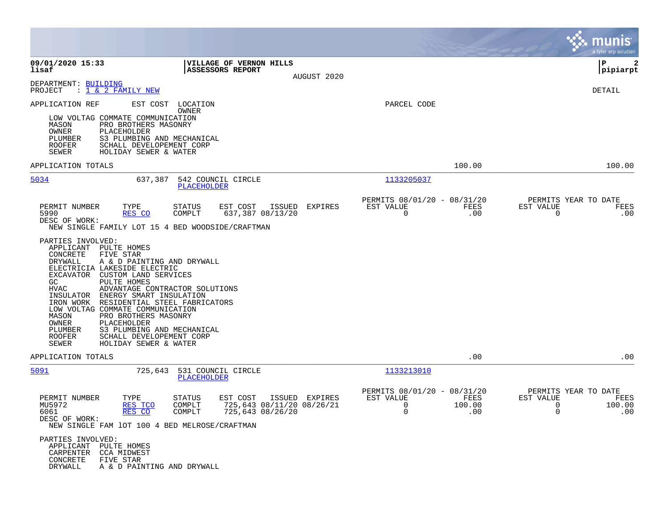|                                                                                                                                                                                                                                                                                                                                                                            |                                                                                                           |                                                                                    | munis<br>a tyler erp solution                                        |
|----------------------------------------------------------------------------------------------------------------------------------------------------------------------------------------------------------------------------------------------------------------------------------------------------------------------------------------------------------------------------|-----------------------------------------------------------------------------------------------------------|------------------------------------------------------------------------------------|----------------------------------------------------------------------|
| 09/01/2020 15:33<br>lisaf                                                                                                                                                                                                                                                                                                                                                  | VILLAGE OF VERNON HILLS<br><b>ASSESSORS REPORT</b><br>AUGUST 2020                                         |                                                                                    | 2<br>  P<br> pipiarpt                                                |
| DEPARTMENT: BUILDING<br>$: 1 \& 2$ FAMILY NEW<br>PROJECT                                                                                                                                                                                                                                                                                                                   |                                                                                                           |                                                                                    | DETAIL                                                               |
| APPLICATION REF<br>EST COST<br>LOW VOLTAG COMMATE COMMUNICATION<br>MASON<br>PRO BROTHERS MASONRY<br>OWNER<br>PLACEHOLDER<br>S3 PLUMBING AND MECHANICAL<br>PLUMBER<br><b>ROOFER</b><br>SCHALL DEVELOPEMENT CORP<br>SEWER<br>HOLIDAY SEWER & WATER                                                                                                                           | LOCATION<br>OWNER                                                                                         | PARCEL CODE                                                                        |                                                                      |
| APPLICATION TOTALS                                                                                                                                                                                                                                                                                                                                                         |                                                                                                           | 100.00                                                                             | 100.00                                                               |
| 5034<br>637,387                                                                                                                                                                                                                                                                                                                                                            | 542 COUNCIL CIRCLE<br>PLACEHOLDER                                                                         | 1133205037                                                                         |                                                                      |
| PERMIT NUMBER<br>TYPE<br>5990<br>RES CO<br>DESC OF WORK:<br>NEW SINGLE FAMILY LOT 15 4 BED WOODSIDE/CRAFTMAN<br>PARTIES INVOLVED:<br>APPLICANT<br>PULTE HOMES<br>CONCRETE<br>FIVE STAR<br><b>DRYWALL</b><br>A & D PAINTING AND DRYWALL<br>ELECTRICIA LAKESIDE ELECTRIC<br>EXCAVATOR<br>CUSTOM LAND SERVICES<br>GC<br>PULTE HOMES<br>HVAC<br>ADVANTAGE CONTRACTOR SOLUTIONS | STATUS<br>EST COST<br>ISSUED<br>EXPIRES<br>COMPLT<br>637,387 08/13/20                                     | PERMITS 08/01/20 - 08/31/20<br>EST VALUE<br>FEES<br>0<br>.00                       | PERMITS YEAR TO DATE<br>EST VALUE<br>FEES<br>0<br>.00                |
| ENERGY SMART INSULATION<br>INSULATOR<br>RESIDENTIAL STEEL FABRICATORS<br>IRON WORK<br>LOW VOLTAG COMMATE COMMUNICATION<br>MASON<br>PRO BROTHERS MASONRY<br>OWNER<br>PLACEHOLDER<br>PLUMBER<br>S3 PLUMBING AND MECHANICAL<br><b>ROOFER</b><br>SCHALL DEVELOPEMENT CORP<br>SEWER<br>HOLIDAY SEWER & WATER                                                                    |                                                                                                           |                                                                                    |                                                                      |
| APPLICATION TOTALS                                                                                                                                                                                                                                                                                                                                                         |                                                                                                           | .00                                                                                | .00                                                                  |
| 5091<br>725,643                                                                                                                                                                                                                                                                                                                                                            | 531 COUNCIL CIRCLE<br>PLACEHOLDER                                                                         | 1133213010                                                                         |                                                                      |
| PERMIT NUMBER<br>TYPE<br>MU5972<br>RES TCO<br>6061<br>RES CO<br>DESC OF WORK:<br>NEW SINGLE FAM 10T 100 4 BED MELROSE/CRAFTMAN                                                                                                                                                                                                                                             | STATUS<br>EST COST<br>ISSUED EXPIRES<br>COMPLT<br>725,643 08/11/20 08/26/21<br>COMPLT<br>725,643 08/26/20 | PERMITS 08/01/20 - 08/31/20<br>EST VALUE<br><b>FEES</b><br>100.00<br>0<br>0<br>.00 | PERMITS YEAR TO DATE<br>EST VALUE<br>FEES<br>100.00<br>0<br>0<br>.00 |
| PARTIES INVOLVED:<br>APPLICANT PULTE HOMES<br>CARPENTER CCA MIDWEST<br>CONCRETE<br>FIVE STAR<br>DRYWALL<br>A & D PAINTING AND DRYWALL                                                                                                                                                                                                                                      |                                                                                                           |                                                                                    |                                                                      |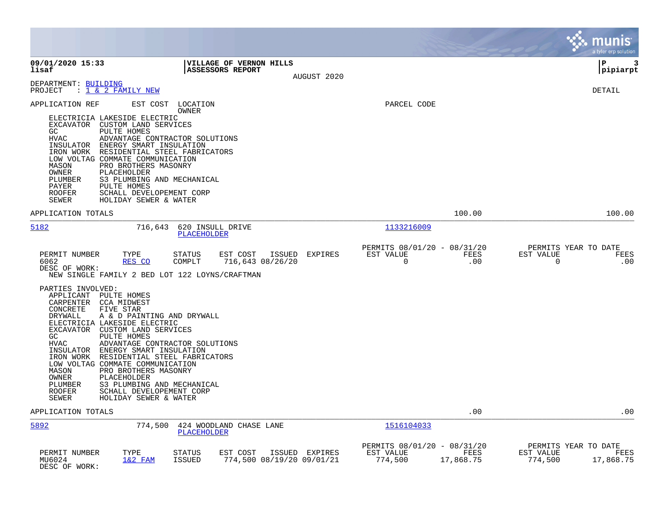|                                                                                                                                                                                                                                                                                                                                                                                                                                                                                                                                                                             |                                                                                 | munis<br>a tyler erp solution                                            |
|-----------------------------------------------------------------------------------------------------------------------------------------------------------------------------------------------------------------------------------------------------------------------------------------------------------------------------------------------------------------------------------------------------------------------------------------------------------------------------------------------------------------------------------------------------------------------------|---------------------------------------------------------------------------------|--------------------------------------------------------------------------|
| 09/01/2020 15:33<br><b>VILLAGE OF VERNON HILLS</b><br>lisaf<br><b>ASSESSORS REPORT</b><br>AUGUST 2020                                                                                                                                                                                                                                                                                                                                                                                                                                                                       |                                                                                 | l P<br>3<br> pipiarpt                                                    |
| DEPARTMENT: BUILDING<br>PROJECT<br>$: 1 \& 2$ FAMILY NEW                                                                                                                                                                                                                                                                                                                                                                                                                                                                                                                    |                                                                                 | DETAIL                                                                   |
| APPLICATION REF<br>EST COST LOCATION<br>OWNER<br>ELECTRICIA LAKESIDE ELECTRIC<br>EXCAVATOR CUSTOM LAND SERVICES<br>PULTE HOMES<br>GC<br><b>HVAC</b><br>ADVANTAGE CONTRACTOR SOLUTIONS<br>ENERGY SMART INSULATION<br>INSULATOR<br>IRON WORK RESIDENTIAL STEEL FABRICATORS<br>LOW VOLTAG COMMATE COMMUNICATION<br>PRO BROTHERS MASONRY<br>MASON<br>OWNER<br>PLACEHOLDER<br>S3 PLUMBING AND MECHANICAL<br>PLUMBER<br>PAYER<br>PULTE HOMES<br><b>ROOFER</b><br>SCHALL DEVELOPEMENT CORP<br>SEWER<br>HOLIDAY SEWER & WATER                                                       | PARCEL CODE                                                                     |                                                                          |
| APPLICATION TOTALS                                                                                                                                                                                                                                                                                                                                                                                                                                                                                                                                                          | 100.00                                                                          | 100.00                                                                   |
| 5182<br>716,643<br>620 INSULL DRIVE<br><b>PLACEHOLDER</b>                                                                                                                                                                                                                                                                                                                                                                                                                                                                                                                   | 1133216009                                                                      |                                                                          |
| PERMIT NUMBER<br>TYPE<br>EST COST<br>ISSUED<br><b>EXPIRES</b><br>STATUS<br>RES CO<br>6062<br>COMPLT<br>716,643 08/26/20<br>DESC OF WORK:<br>NEW SINGLE FAMILY 2 BED LOT 122 LOYNS/CRAFTMAN                                                                                                                                                                                                                                                                                                                                                                                  | PERMITS 08/01/20 - 08/31/20<br>EST VALUE<br>FEES<br>$\mathbf 0$<br>.00          | PERMITS YEAR TO DATE<br>EST VALUE<br><b>FEES</b><br>$\Omega$<br>.00      |
| PARTIES INVOLVED:<br>APPLICANT PULTE HOMES<br>CARPENTER CCA MIDWEST<br>CONCRETE<br>FIVE STAR<br>DRYWALL<br>A & D PAINTING AND DRYWALL<br>ELECTRICIA LAKESIDE ELECTRIC<br>EXCAVATOR CUSTOM LAND SERVICES<br>PULTE HOMES<br>GC<br><b>HVAC</b><br>ADVANTAGE CONTRACTOR SOLUTIONS<br>INSULATOR ENERGY SMART INSULATION<br>IRON WORK RESIDENTIAL STEEL FABRICATORS<br>LOW VOLTAG COMMATE COMMUNICATION<br>PRO BROTHERS MASONRY<br>MASON<br>OWNER<br>PLACEHOLDER<br>S3 PLUMBING AND MECHANICAL<br>PLUMBER<br>SCHALL DEVELOPEMENT CORP<br>ROOFER<br>SEWER<br>HOLIDAY SEWER & WATER |                                                                                 |                                                                          |
| APPLICATION TOTALS                                                                                                                                                                                                                                                                                                                                                                                                                                                                                                                                                          | .00                                                                             | .00                                                                      |
| 774,500<br>424 WOODLAND CHASE LANE<br>5892<br><b>PLACEHOLDER</b>                                                                                                                                                                                                                                                                                                                                                                                                                                                                                                            | 1516104033                                                                      |                                                                          |
| TYPE<br>EST COST<br>ISSUED EXPIRES<br>PERMIT NUMBER<br>STATUS<br>774,500 08/19/20 09/01/21<br>MU6024<br>$1&2$ FAM<br><b>ISSUED</b><br>DESC OF WORK:                                                                                                                                                                                                                                                                                                                                                                                                                         | PERMITS 08/01/20 - 08/31/20<br><b>FEES</b><br>EST VALUE<br>774,500<br>17,868.75 | PERMITS YEAR TO DATE<br>EST VALUE<br><b>FEES</b><br>774,500<br>17,868.75 |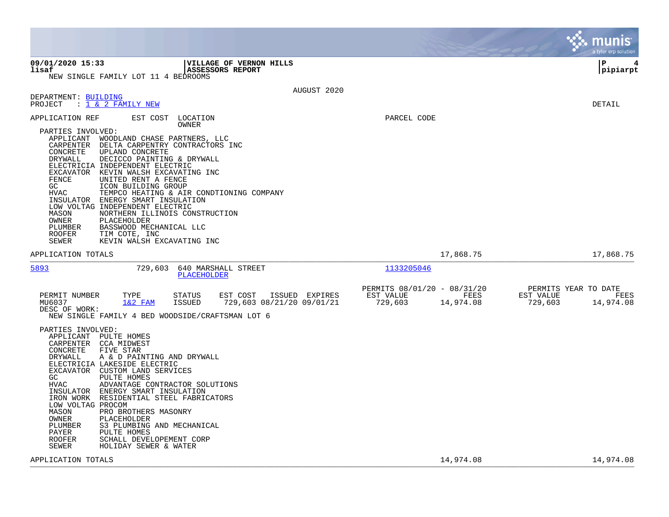|                                                                                                                                                                                                                                                                                                                                                                                                                                                                                                                                                                                                                                                                                                   |                                                                          | a tyler erp solution                                              |
|---------------------------------------------------------------------------------------------------------------------------------------------------------------------------------------------------------------------------------------------------------------------------------------------------------------------------------------------------------------------------------------------------------------------------------------------------------------------------------------------------------------------------------------------------------------------------------------------------------------------------------------------------------------------------------------------------|--------------------------------------------------------------------------|-------------------------------------------------------------------|
| 09/01/2020 15:33<br>VILLAGE OF VERNON HILLS<br>ASSESSORS REPORT<br>lisaf<br>NEW SINGLE FAMILY LOT 11 4 BEDROOMS                                                                                                                                                                                                                                                                                                                                                                                                                                                                                                                                                                                   |                                                                          | l P<br> pipiarpt                                                  |
| AUGUST 2020                                                                                                                                                                                                                                                                                                                                                                                                                                                                                                                                                                                                                                                                                       |                                                                          |                                                                   |
| DEPARTMENT: BUILDING<br>PROJECT<br>: 1 & 2 FAMILY NEW                                                                                                                                                                                                                                                                                                                                                                                                                                                                                                                                                                                                                                             |                                                                          | DETAIL                                                            |
| EST COST LOCATION<br>APPLICATION REF<br>OWNER<br>PARTIES INVOLVED:<br>APPLICANT WOODLAND CHASE PARTNERS, LLC<br>CARPENTER<br>DELTA CARPENTRY CONTRACTORS INC<br>CONCRETE<br>UPLAND CONCRETE<br>DECICCO PAINTING & DRYWALL<br>DRYWALL<br>ELECTRICIA INDEPENDENT ELECTRIC<br>EXCAVATOR KEVIN WALSH EXCAVATING INC<br>FENCE<br>UNITED RENT A FENCE<br>GC<br>ICON BUILDING GROUP<br><b>HVAC</b><br>TEMPCO HEATING & AIR CONDTIONING COMPANY<br>INSULATOR ENERGY SMART INSULATION<br>LOW VOLTAG INDEPENDENT ELECTRIC<br>MASON<br>NORTHERN ILLINOIS CONSTRUCTION<br>PLACEHOLDER<br>OWNER<br>PLUMBER<br>BASSWOOD MECHANICAL LLC<br><b>ROOFER</b><br>TIM COTE, INC<br>SEWER<br>KEVIN WALSH EXCAVATING INC | PARCEL CODE                                                              |                                                                   |
| APPLICATION TOTALS                                                                                                                                                                                                                                                                                                                                                                                                                                                                                                                                                                                                                                                                                | 17,868.75                                                                | 17,868.75                                                         |
| 5893<br>729,603<br>640 MARSHALL STREET<br><b>PLACEHOLDER</b>                                                                                                                                                                                                                                                                                                                                                                                                                                                                                                                                                                                                                                      | 1133205046                                                               |                                                                   |
| PERMIT NUMBER<br>TYPE<br><b>STATUS</b><br>EST COST<br>ISSUED EXPIRES<br>$1&2$ FAM<br>729,603 08/21/20 09/01/21<br><b>ISSUED</b><br>MU6037<br>DESC OF WORK:<br>NEW SINGLE FAMILY 4 BED WOODSIDE/CRAFTSMAN LOT 6                                                                                                                                                                                                                                                                                                                                                                                                                                                                                    | PERMITS 08/01/20 - 08/31/20<br>EST VALUE<br>FEES<br>729,603<br>14,974.08 | PERMITS YEAR TO DATE<br>EST VALUE<br>FEES<br>729,603<br>14,974.08 |
| PARTIES INVOLVED:<br>APPLICANT PULTE HOMES<br>CARPENTER CCA MIDWEST<br>CONCRETE<br>FIVE STAR<br>DRYWALL<br>A & D PAINTING AND DRYWALL<br>ELECTRICIA LAKESIDE ELECTRIC<br>EXCAVATOR CUSTOM LAND SERVICES<br>GC<br>PULTE HOMES<br><b>HVAC</b><br>ADVANTAGE CONTRACTOR SOLUTIONS<br>INSULATOR ENERGY SMART INSULATION<br>IRON WORK RESIDENTIAL STEEL FABRICATORS<br>LOW VOLTAG PROCOM<br>MASON<br>PRO BROTHERS MASONRY<br>OWNER<br>PLACEHOLDER<br>PLUMBER<br>S3 PLUMBING AND MECHANICAL<br>PAYER<br>PULTE HOMES<br><b>ROOFER</b><br>SCHALL DEVELOPEMENT CORP<br>SEWER<br>HOLIDAY SEWER & WATER                                                                                                       |                                                                          |                                                                   |
| APPLICATION TOTALS                                                                                                                                                                                                                                                                                                                                                                                                                                                                                                                                                                                                                                                                                | 14,974.08                                                                | 14,974.08                                                         |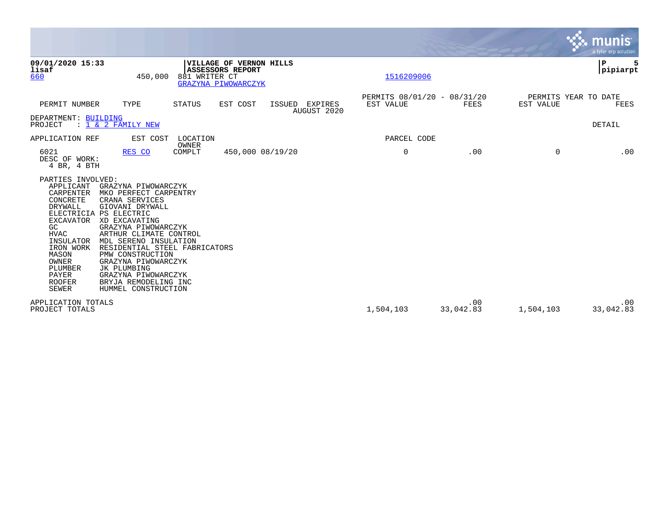|                                                                                                                                                                                                                                        |                                                                                                                                                                                                                                                                                                                                               |                 |                                                                    |                                  |                                          |                  |                                   | munis<br>a tyler erp solution |
|----------------------------------------------------------------------------------------------------------------------------------------------------------------------------------------------------------------------------------------|-----------------------------------------------------------------------------------------------------------------------------------------------------------------------------------------------------------------------------------------------------------------------------------------------------------------------------------------------|-----------------|--------------------------------------------------------------------|----------------------------------|------------------------------------------|------------------|-----------------------------------|-------------------------------|
| 09/01/2020 15:33<br>lisaf<br>660                                                                                                                                                                                                       | 450,000                                                                                                                                                                                                                                                                                                                                       | 881 WRITER CT   | VILLAGE OF VERNON HILLS<br>ASSESSORS REPORT<br>GRAZYNA PIWOWARCZYK |                                  | 1516209006                               |                  |                                   | P<br>pipiarpt                 |
| PERMIT NUMBER<br>DEPARTMENT: BUILDING                                                                                                                                                                                                  | TYPE                                                                                                                                                                                                                                                                                                                                          | <b>STATUS</b>   | EST COST                                                           | ISSUED<br>EXPIRES<br>AUGUST 2020 | PERMITS 08/01/20 - 08/31/20<br>EST VALUE | FEES             | PERMITS YEAR TO DATE<br>EST VALUE | <b>FEES</b>                   |
| PROJECT                                                                                                                                                                                                                                | : 1 & 2 FAMILY NEW                                                                                                                                                                                                                                                                                                                            |                 |                                                                    |                                  |                                          |                  |                                   | DETAIL                        |
| APPLICATION REF                                                                                                                                                                                                                        | EST COST                                                                                                                                                                                                                                                                                                                                      | LOCATION        |                                                                    |                                  | PARCEL CODE                              |                  |                                   |                               |
| 6021<br>DESC OF WORK:<br>4 BR, 4 BTH                                                                                                                                                                                                   | RES CO                                                                                                                                                                                                                                                                                                                                        | OWNER<br>COMPLT | 450,000 08/19/20                                                   |                                  | 0                                        | .00              | $\mathbf 0$                       | .00                           |
| PARTIES INVOLVED:<br>APPLICANT<br>CARPENTER<br>CONCRETE<br>DRYWALL<br>ELECTRICIA PS ELECTRIC<br><b>EXCAVATOR</b><br>GC<br><b>HVAC</b><br>INSULATOR<br>IRON WORK<br>MASON<br>OWNER<br>PLUMBER<br>PAYER<br><b>ROOFER</b><br><b>SEWER</b> | GRAZYNA PIWOWARCZYK<br>MKO PERFECT CARPENTRY<br>CRANA SERVICES<br>GIOVANI DRYWALL<br>XD EXCAVATING<br>GRAZYNA PIWOWARCZYK<br>ARTHUR CLIMATE CONTROL<br>MDL SERENO INSULATION<br>RESIDENTIAL STEEL FABRICATORS<br>PMW CONSTRUCTION<br>GRAZYNA PIWOWARCZYK<br>JK PLUMBING<br>GRAZYNA PIWOWARCZYK<br>BRYJA REMODELING INC<br>HUMMEL CONSTRUCTION |                 |                                                                    |                                  |                                          |                  |                                   |                               |
| APPLICATION TOTALS<br>PROJECT TOTALS                                                                                                                                                                                                   |                                                                                                                                                                                                                                                                                                                                               |                 |                                                                    |                                  | 1,504,103                                | .00<br>33,042.83 | 1,504,103                         | .00<br>33,042.83              |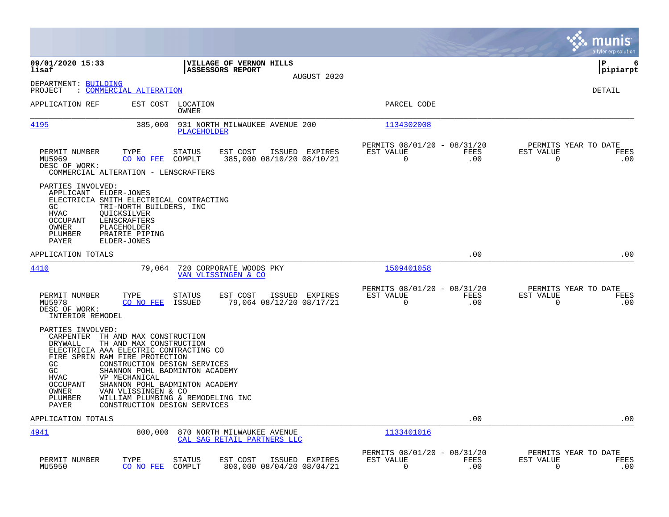|                                                                                                                                                                                                                                                                         |                                                                                                                                                                                                  |                                                         |                                 | munis<br>a tyler erp solution                      |
|-------------------------------------------------------------------------------------------------------------------------------------------------------------------------------------------------------------------------------------------------------------------------|--------------------------------------------------------------------------------------------------------------------------------------------------------------------------------------------------|---------------------------------------------------------|---------------------------------|----------------------------------------------------|
| 09/01/2020 15:33<br>lisaf                                                                                                                                                                                                                                               | VILLAGE OF VERNON HILLS<br>ASSESSORS REPORT                                                                                                                                                      |                                                         |                                 | IΡ<br>6<br> pipiarpt                               |
| DEPARTMENT: BUILDING<br>PROJECT<br>: COMMERCIAL ALTERATION                                                                                                                                                                                                              | AUGUST 2020                                                                                                                                                                                      |                                                         |                                 | DETAIL                                             |
| APPLICATION REF                                                                                                                                                                                                                                                         | EST COST<br>LOCATION<br>OWNER                                                                                                                                                                    | PARCEL CODE                                             |                                 |                                                    |
| <u>4195</u>                                                                                                                                                                                                                                                             | 385,000<br>931 NORTH MILWAUKEE AVENUE 200<br>PLACEHOLDER                                                                                                                                         | 1134302008                                              |                                 |                                                    |
| TYPE<br>PERMIT NUMBER<br>MU5969<br>CO NO FEE<br>DESC OF WORK:<br>COMMERCIAL ALTERATION - LENSCRAFTERS                                                                                                                                                                   | EST COST<br>ISSUED EXPIRES<br><b>STATUS</b><br>COMPLT<br>385,000 08/10/20 08/10/21                                                                                                               | PERMITS 08/01/20 - 08/31/20<br>EST VALUE<br>$\mathbf 0$ | <b>FEES</b><br>EST VALUE<br>.00 | PERMITS YEAR TO DATE<br>FEES<br>$\mathbf 0$<br>.00 |
| PARTIES INVOLVED:<br>APPLICANT ELDER-JONES<br>ELECTRICIA SMITH ELECTRICAL CONTRACTING<br>GC.<br><b>HVAC</b><br>QUICKSILVER<br><b>OCCUPANT</b><br>LENSCRAFTERS<br>OWNER<br>PLACEHOLDER<br>PLUMBER<br>PRAIRIE PIPING<br>PAYER<br>ELDER-JONES                              | TRI-NORTH BUILDERS, INC                                                                                                                                                                          |                                                         |                                 |                                                    |
| APPLICATION TOTALS                                                                                                                                                                                                                                                      |                                                                                                                                                                                                  |                                                         | .00                             | .00                                                |
| 4410                                                                                                                                                                                                                                                                    | 79,064<br>720 CORPORATE WOODS PKY<br>VAN VLISSINGEN & CO                                                                                                                                         | 1509401058                                              |                                 |                                                    |
| PERMIT NUMBER<br>TYPE<br>MU5978<br>CO NO FEE<br>DESC OF WORK:<br>INTERIOR REMODEL                                                                                                                                                                                       | EST COST<br>ISSUED EXPIRES<br>STATUS<br>79,064 08/12/20 08/17/21<br>ISSUED                                                                                                                       | PERMITS 08/01/20 - 08/31/20<br>EST VALUE<br>$\mathbf 0$ | FEES<br>EST VALUE<br>.00        | PERMITS YEAR TO DATE<br>FEES<br>0<br>.00           |
| PARTIES INVOLVED:<br>CARPENTER TH AND MAX CONSTRUCTION<br><b>DRYWALL</b><br>ELECTRICIA AAA ELECTRIC CONTRACTING CO<br>FIRE SPRIN RAM FIRE PROTECTION<br>GC<br>GC<br><b>HVAC</b><br>VP MECHANICAL<br><b>OCCUPANT</b><br>VAN VLISSINGEN & CO<br>OWNER<br>PLUMBER<br>PAYER | TH AND MAX CONSTRUCTION<br>CONSTRUCTION DESIGN SERVICES<br>SHANNON POHL BADMINTON ACADEMY<br>SHANNON POHL BADMINTON ACADEMY<br>WILLIAM PLUMBING & REMODELING INC<br>CONSTRUCTION DESIGN SERVICES |                                                         |                                 |                                                    |
| APPLICATION TOTALS                                                                                                                                                                                                                                                      |                                                                                                                                                                                                  |                                                         | .00                             | .00                                                |
| 4941                                                                                                                                                                                                                                                                    | 800,000<br>870 NORTH MILWAUKEE AVENUE<br>CAL SAG RETAIL PARTNERS LLC                                                                                                                             | 1133401016                                              |                                 |                                                    |
| PERMIT NUMBER<br>TYPE<br>MU5950<br>CO NO FEE                                                                                                                                                                                                                            | <b>STATUS</b><br>EST COST<br>ISSUED EXPIRES<br>800,000 08/04/20 08/04/21<br>COMPLT                                                                                                               | PERMITS 08/01/20 - 08/31/20<br>EST VALUE<br>$\mathbf 0$ | FEES<br>EST VALUE<br>.00        | PERMITS YEAR TO DATE<br>FEES<br>$\mathbf 0$<br>.00 |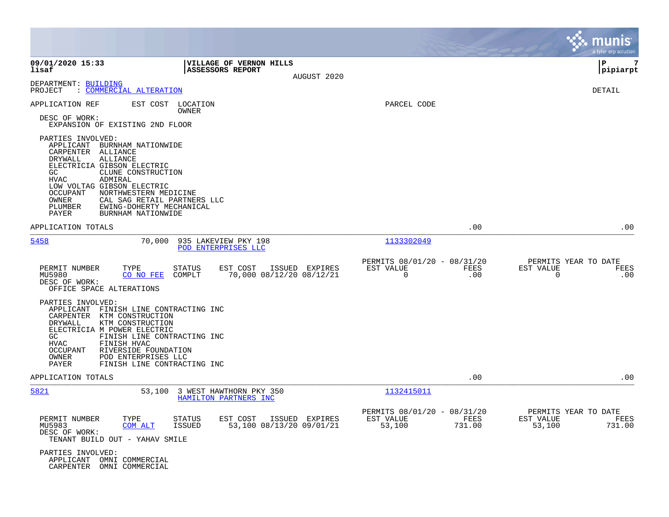|                                                                                                                                                                                                                                                                                                                                                                                    |                                                                                   |                                                         |                | munis<br>a tyler erp solution                                 |
|------------------------------------------------------------------------------------------------------------------------------------------------------------------------------------------------------------------------------------------------------------------------------------------------------------------------------------------------------------------------------------|-----------------------------------------------------------------------------------|---------------------------------------------------------|----------------|---------------------------------------------------------------|
| 09/01/2020 15:33<br>lisaf                                                                                                                                                                                                                                                                                                                                                          | VILLAGE OF VERNON HILLS<br>ASSESSORS REPORT                                       |                                                         |                | l P<br>7<br> pipiarpt                                         |
| DEPARTMENT: BUILDING<br>: COMMERCIAL ALTERATION<br>PROJECT                                                                                                                                                                                                                                                                                                                         |                                                                                   | AUGUST 2020                                             |                | DETAIL                                                        |
| EST COST LOCATION<br>APPLICATION REF<br>DESC OF WORK:<br>EXPANSION OF EXISTING 2ND FLOOR                                                                                                                                                                                                                                                                                           | OWNER                                                                             | PARCEL CODE                                             |                |                                                               |
| PARTIES INVOLVED:<br>APPLICANT BURNHAM NATIONWIDE<br>CARPENTER ALLIANCE<br>DRYWALL<br><b>ALLIANCE</b><br>ELECTRICIA GIBSON ELECTRIC<br>GC.<br>CLUNE CONSTRUCTION<br>ADMIRAL<br><b>HVAC</b><br>LOW VOLTAG GIBSON ELECTRIC<br><b>OCCUPANT</b><br>NORTHWESTERN MEDICINE<br>OWNER<br>CAL SAG RETAIL PARTNERS LLC<br>EWING-DOHERTY MECHANICAL<br>PLUMBER<br>PAYER<br>BURNHAM NATIONWIDE |                                                                                   |                                                         |                |                                                               |
| APPLICATION TOTALS                                                                                                                                                                                                                                                                                                                                                                 |                                                                                   |                                                         | .00            | .00                                                           |
| 5458<br>70,000                                                                                                                                                                                                                                                                                                                                                                     | 935 LAKEVIEW PKY 198<br>POD ENTERPRISES LLC                                       | 1133302049                                              |                |                                                               |
| PERMIT NUMBER<br>TYPE<br>MU5980<br>CO NO FEE<br>DESC OF WORK:<br>OFFICE SPACE ALTERATIONS                                                                                                                                                                                                                                                                                          | EST COST<br>ISSUED EXPIRES<br>STATUS<br>COMPLT<br>70,000 08/12/20 08/12/21        | PERMITS 08/01/20 - 08/31/20<br>EST VALUE<br>$\mathbf 0$ | FEES<br>.00    | PERMITS YEAR TO DATE<br>EST VALUE<br>FEES<br>0<br>.00         |
| PARTIES INVOLVED:<br>APPLICANT FINISH LINE CONTRACTING INC<br>KTM CONSTRUCTION<br>CARPENTER<br>DRYWALL<br>KTM CONSTRUCTION<br>ELECTRICIA M POWER ELECTRIC<br>FINISH LINE CONTRACTING INC<br>GC<br><b>HVAC</b><br>FINISH HVAC<br>OCCUPANT<br>RIVERSIDE FOUNDATION<br>POD ENTERPRISES LLC<br>OWNER<br>PAYER<br>FINISH LINE CONTRACTING INC                                           |                                                                                   |                                                         |                |                                                               |
| APPLICATION TOTALS                                                                                                                                                                                                                                                                                                                                                                 |                                                                                   |                                                         | .00            | .00                                                           |
| 5821<br>53,100                                                                                                                                                                                                                                                                                                                                                                     | 3 WEST HAWTHORN PKY 350<br>HAMILTON PARTNERS INC                                  | 1132415011                                              |                |                                                               |
| PERMIT NUMBER<br>TYPE<br>MU5983<br>COM ALT<br>DESC OF WORK:<br>TENANT BUILD OUT - YAHAV SMILE                                                                                                                                                                                                                                                                                      | STATUS<br>EST COST<br>ISSUED EXPIRES<br><b>ISSUED</b><br>53,100 08/13/20 09/01/21 | PERMITS 08/01/20 - 08/31/20<br>EST VALUE<br>53,100      | FEES<br>731.00 | PERMITS YEAR TO DATE<br>EST VALUE<br>FEES<br>53,100<br>731.00 |
| PARTIES INVOLVED:<br>APPLICANT OMNI COMMERCIAL<br>CARPENTER OMNI COMMERCIAL                                                                                                                                                                                                                                                                                                        |                                                                                   |                                                         |                |                                                               |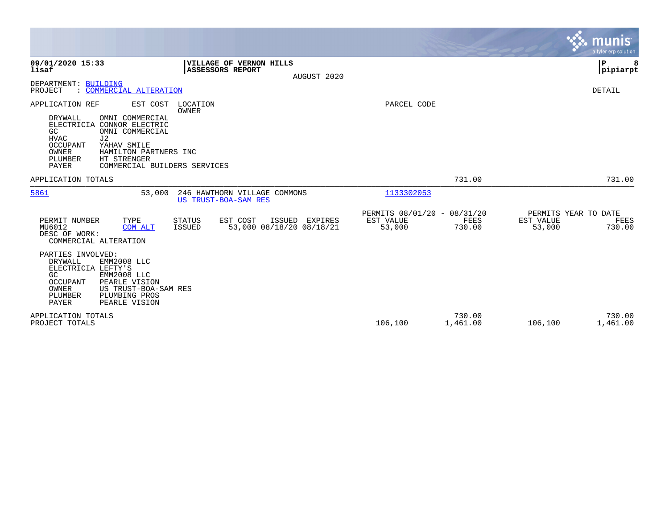|                                                                                                                                                                                                                                                                                                                     |                                                                                                              |                    | <b>munis</b><br>a tyler erp solution                                 |
|---------------------------------------------------------------------------------------------------------------------------------------------------------------------------------------------------------------------------------------------------------------------------------------------------------------------|--------------------------------------------------------------------------------------------------------------|--------------------|----------------------------------------------------------------------|
| 09/01/2020 15:33<br>lisaf<br><b>ASSESSORS REPORT</b>                                                                                                                                                                                                                                                                | VILLAGE OF VERNON HILLS<br>AUGUST 2020                                                                       |                    | P<br> pipiarpt                                                       |
| DEPARTMENT: BUILDING<br>: COMMERCIAL ALTERATION<br>PROJECT                                                                                                                                                                                                                                                          |                                                                                                              |                    | DETAIL                                                               |
| APPLICATION REF<br>EST COST<br>LOCATION<br>OWNER<br>OMNI COMMERCIAL<br>DRYWALL<br><b>ELECTRICIA</b><br>CONNOR ELECTRIC<br>GC<br>OMNI COMMERCIAL<br><b>HVAC</b><br>J 2<br><b>OCCUPANT</b><br>YAHAV SMILE<br><b>OWNER</b><br>HAMILTON PARTNERS INC<br>HT STRENGER<br>PLUMBER<br>PAYER<br>COMMERCIAL BUILDERS SERVICES | PARCEL CODE                                                                                                  |                    |                                                                      |
| APPLICATION TOTALS                                                                                                                                                                                                                                                                                                  |                                                                                                              | 731.00             | 731.00                                                               |
| 5861<br>53,000<br>US TRUST-BOA-SAM RES                                                                                                                                                                                                                                                                              | 246 HAWTHORN VILLAGE COMMONS<br>1133302053                                                                   |                    |                                                                      |
| TYPE<br>PERMIT NUMBER<br><b>STATUS</b><br>MU6012<br>ISSUED<br>COM ALT<br>DESC OF WORK:<br>COMMERCIAL ALTERATION                                                                                                                                                                                                     | PERMITS 08/01/20 - 08/31/20<br>EST COST<br>EST VALUE<br>ISSUED EXPIRES<br>53,000 08/18/20 08/18/21<br>53,000 | FEES<br>730.00     | PERMITS YEAR TO DATE<br>EST VALUE<br><b>FEES</b><br>53,000<br>730.00 |
| PARTIES INVOLVED:<br><b>DRYWALL</b><br>EMM2008 LLC<br>ELECTRICIA LEFTY'S<br>GC<br>EMM2008 LLC<br><b>OCCUPANT</b><br>PEARLE VISION<br>OWNER<br>US TRUST-BOA-SAM RES<br>PLUMBER<br>PLUMBING PROS<br>PAYER<br>PEARLE VISION                                                                                            |                                                                                                              |                    |                                                                      |
| APPLICATION TOTALS<br>PROJECT TOTALS                                                                                                                                                                                                                                                                                | 106,100                                                                                                      | 730.00<br>1,461.00 | 730.00<br>106,100<br>1,461.00                                        |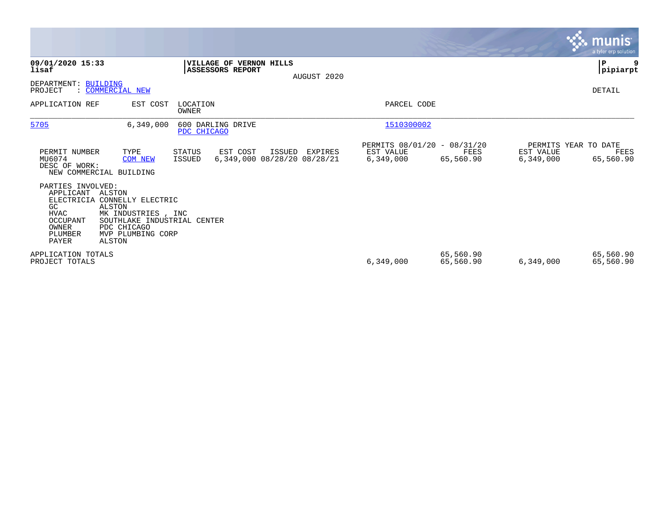|                                                                                              |                                                                                                                                                            |                   |                                             |        |             |                                                       |                        |                        | <b>munis</b><br>a tyler erp solution      |
|----------------------------------------------------------------------------------------------|------------------------------------------------------------------------------------------------------------------------------------------------------------|-------------------|---------------------------------------------|--------|-------------|-------------------------------------------------------|------------------------|------------------------|-------------------------------------------|
| 09/01/2020 15:33<br>lisaf                                                                    |                                                                                                                                                            |                   | VILLAGE OF VERNON HILLS<br>ASSESSORS REPORT |        | AUGUST 2020 |                                                       |                        |                        | ∣P<br>9<br> pipiarpt                      |
| DEPARTMENT: BUILDING<br>PROJECT                                                              | : COMMERCIAL NEW                                                                                                                                           |                   |                                             |        |             |                                                       |                        |                        | DETAIL                                    |
| APPLICATION REF                                                                              | EST COST                                                                                                                                                   | LOCATION<br>OWNER |                                             |        |             | PARCEL CODE                                           |                        |                        |                                           |
| 5705                                                                                         | 6,349,000                                                                                                                                                  | PDC CHICAGO       | 600 DARLING DRIVE                           |        |             | 1510300002                                            |                        |                        |                                           |
| PERMIT NUMBER<br>MU6074<br>DESC OF WORK:                                                     | TYPE<br><b>COM NEW</b><br>NEW COMMERCIAL BUILDING                                                                                                          | STATUS<br>ISSUED  | EST COST<br>6,349,000 08/28/20 08/28/21     | ISSUED | EXPIRES     | PERMITS 08/01/20 - 08/31/20<br>EST VALUE<br>6,349,000 | FEES<br>65,560.90      | EST VALUE<br>6,349,000 | PERMITS YEAR TO DATE<br>FEES<br>65,560.90 |
| PARTIES INVOLVED:<br>APPLICANT<br>GC<br><b>HVAC</b><br>OCCUPANT<br>OWNER<br>PLUMBER<br>PAYER | ALSTON<br>ELECTRICIA CONNELLY ELECTRIC<br><b>ALSTON</b><br>MK INDUSTRIES, INC<br>SOUTHLAKE INDUSTRIAL CENTER<br>PDC CHICAGO<br>MVP PLUMBING CORP<br>ALSTON |                   |                                             |        |             |                                                       |                        |                        |                                           |
| APPLICATION TOTALS<br>PROJECT TOTALS                                                         |                                                                                                                                                            |                   |                                             |        |             | 6,349,000                                             | 65,560.90<br>65,560.90 | 6,349,000              | 65,560.90<br>65,560.90                    |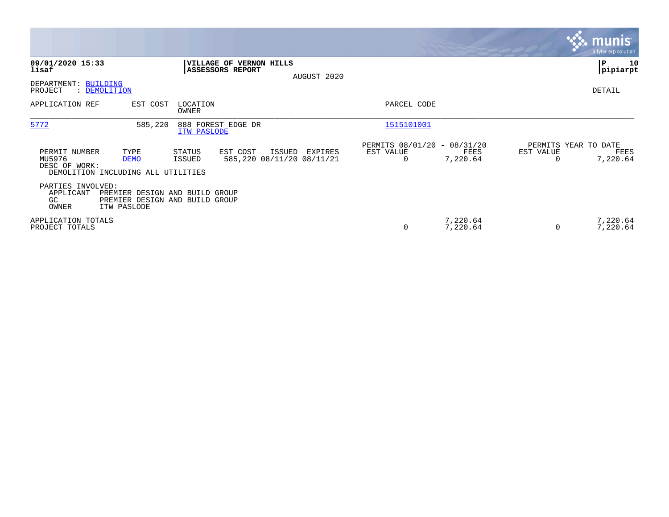|                                               |                                                                                 |                                   |                         |                                                |                                                      |                      |           | <b>munis</b><br>a tyler erp solution     |
|-----------------------------------------------|---------------------------------------------------------------------------------|-----------------------------------|-------------------------|------------------------------------------------|------------------------------------------------------|----------------------|-----------|------------------------------------------|
| 09/01/2020 15:33<br>lisaf                     |                                                                                 | ASSESSORS REPORT                  | VILLAGE OF VERNON HILLS | AUGUST 2020                                    |                                                      |                      |           | ∣₽<br>10<br> pipiarpt                    |
| DEPARTMENT: BUILDING<br>PROJECT               | : DEMOLITION                                                                    |                                   |                         |                                                |                                                      |                      |           | DETAIL                                   |
| APPLICATION REF                               | EST COST                                                                        | LOCATION<br>OWNER                 |                         |                                                | PARCEL CODE                                          |                      |           |                                          |
| 5772                                          | 585,220                                                                         | 888 FOREST EDGE DR<br>ITW PASLODE |                         |                                                | 1515101001                                           |                      |           |                                          |
| PERMIT NUMBER<br>MU5976<br>DESC OF WORK:      | TYPE<br><b>DEMO</b><br>DEMOLITION INCLUDING ALL UTILITIES                       | STATUS<br>ISSUED                  | EST COST                | ISSUED<br>EXPIRES<br>585,220 08/11/20 08/11/21 | PERMITS 08/01/20 - 08/31/20<br>EST VALUE<br>$\Omega$ | FEES<br>7,220.64     | EST VALUE | PERMITS YEAR TO DATE<br>FEES<br>7,220.64 |
| PARTIES INVOLVED:<br>APPLICANT<br>GC<br>OWNER | PREMIER DESIGN AND BUILD GROUP<br>PREMIER DESIGN AND BUILD GROUP<br>ITW PASLODE |                                   |                         |                                                |                                                      |                      |           |                                          |
| APPLICATION TOTALS<br>PROJECT TOTALS          |                                                                                 |                                   |                         |                                                | 0                                                    | 7,220.64<br>7,220.64 |           | 7,220.64<br>7,220.64                     |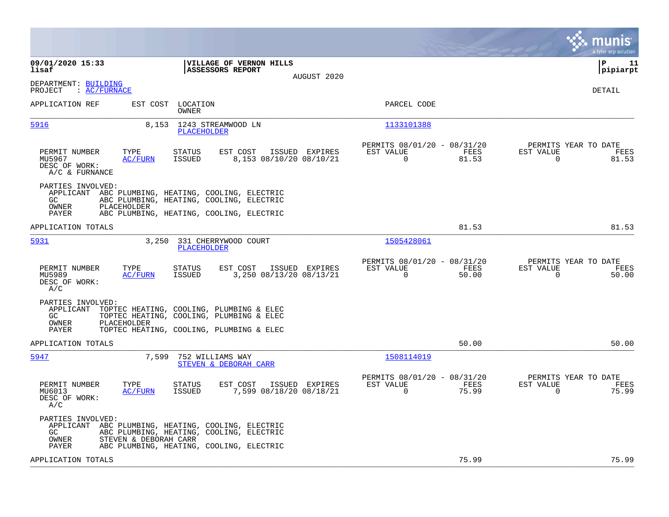|                                                                                                                                                                                                                   |                                                                          | munis<br>a tyler erp solution                                     |
|-------------------------------------------------------------------------------------------------------------------------------------------------------------------------------------------------------------------|--------------------------------------------------------------------------|-------------------------------------------------------------------|
| 09/01/2020 15:33<br>VILLAGE OF VERNON HILLS<br>lisaf<br>ASSESSORS REPORT                                                                                                                                          |                                                                          | l P<br>11<br> pipiarpt                                            |
| AUGUST 2020<br>DEPARTMENT: BUILDING<br>$\colon$ AC/FURNACE<br>PROJECT                                                                                                                                             |                                                                          | DETAIL                                                            |
| APPLICATION REF<br>EST COST<br>LOCATION<br>OWNER                                                                                                                                                                  | PARCEL CODE                                                              |                                                                   |
| 5916<br>8,153 1243 STREAMWOOD LN<br><b>PLACEHOLDER</b>                                                                                                                                                            | 1133101388                                                               |                                                                   |
| PERMIT NUMBER<br>TYPE<br><b>STATUS</b><br>EST COST<br>ISSUED EXPIRES<br>MU5967<br><b>AC/FURN</b><br><b>ISSUED</b><br>8,153 08/10/20 08/10/21<br>DESC OF WORK:<br>$A/C$ & FURNANCE                                 | PERMITS 08/01/20 - 08/31/20<br>EST VALUE<br>FEES<br>$\Omega$<br>81.53    | PERMITS YEAR TO DATE<br>EST VALUE<br>FEES<br>$\mathbf 0$<br>81.53 |
| PARTIES INVOLVED:<br>APPLICANT ABC PLUMBING, HEATING, COOLING, ELECTRIC<br>GC.<br>ABC PLUMBING, HEATING, COOLING, ELECTRIC<br>OWNER<br>PLACEHOLDER<br>PAYER<br>ABC PLUMBING, HEATING, COOLING, ELECTRIC           |                                                                          |                                                                   |
| APPLICATION TOTALS                                                                                                                                                                                                | 81.53                                                                    | 81.53                                                             |
| 5931<br>3,250 331 CHERRYWOOD COURT<br><b>PLACEHOLDER</b>                                                                                                                                                          | 1505428061                                                               |                                                                   |
| PERMIT NUMBER<br>TYPE<br>STATUS<br>EST COST<br>ISSUED EXPIRES<br>ISSUED<br>MU5989<br><b>AC/FURN</b><br>3,250 08/13/20 08/13/21<br>DESC OF WORK:<br>A/C                                                            | PERMITS 08/01/20 - 08/31/20<br>EST VALUE<br>FEES<br>$\mathbf 0$<br>50.00 | PERMITS YEAR TO DATE<br>EST VALUE<br>FEES<br>$\mathbf 0$<br>50.00 |
| PARTIES INVOLVED:<br>APPLICANT<br>TOPTEC HEATING, COOLING, PLUMBING & ELEC<br>TOPTEC HEATING, COOLING, PLUMBING & ELEC<br>GC.<br>OWNER<br>PLACEHOLDER<br>PAYER<br>TOPTEC HEATING, COOLING, PLUMBING & ELEC        |                                                                          |                                                                   |
| APPLICATION TOTALS                                                                                                                                                                                                | 50.00                                                                    | 50.00                                                             |
| 5947<br>7,599<br>752 WILLIAMS WAY<br>STEVEN & DEBORAH CARR                                                                                                                                                        | 1508114019                                                               |                                                                   |
| EST COST<br>PERMIT NUMBER<br>TYPE<br>STATUS<br>ISSUED EXPIRES<br>MU6013<br>AC/FURN<br>ISSUED<br>7,599 08/18/20 08/18/21<br>DESC OF WORK:<br>A/C                                                                   | PERMITS 08/01/20 - 08/31/20<br>EST VALUE<br>FEES<br>0<br>75.99           | PERMITS YEAR TO DATE<br>EST VALUE<br>FEES<br>75.99<br>0           |
| PARTIES INVOLVED:<br>APPLICANT ABC PLUMBING, HEATING, COOLING, ELECTRIC<br>ABC PLUMBING, HEATING, COOLING, ELECTRIC<br>GC.<br>STEVEN & DEBORAH CARR<br>OWNER<br>PAYER<br>ABC PLUMBING, HEATING, COOLING, ELECTRIC |                                                                          |                                                                   |
| APPLICATION TOTALS                                                                                                                                                                                                | 75.99                                                                    | 75.99                                                             |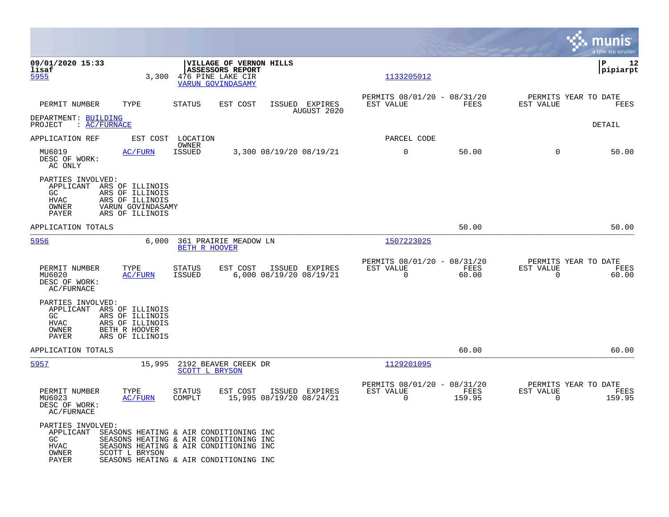|                                                                       |                                                                                                                                                                                        |                                |                                                                                              |                                            |                                                         |                       |                          | munis<br>a tyler erp solution          |
|-----------------------------------------------------------------------|----------------------------------------------------------------------------------------------------------------------------------------------------------------------------------------|--------------------------------|----------------------------------------------------------------------------------------------|--------------------------------------------|---------------------------------------------------------|-----------------------|--------------------------|----------------------------------------|
| 09/01/2020 15:33<br>lisaf<br>5955                                     | 3,300                                                                                                                                                                                  |                                | VILLAGE OF VERNON HILLS<br>ASSESSORS REPORT<br>476 PINE LAKE CIR<br><b>VARUN GOVINDASAMY</b> |                                            | 1133205012                                              |                       |                          | ΙP<br>12<br> pipiarpt                  |
| PERMIT NUMBER                                                         | TYPE                                                                                                                                                                                   | <b>STATUS</b>                  | EST COST                                                                                     | ISSUED EXPIRES<br>AUGUST 2020              | PERMITS 08/01/20 - 08/31/20<br>EST VALUE                | FEES                  | EST VALUE                | PERMITS YEAR TO DATE<br>FEES           |
| DEPARTMENT: BUILDING<br>: <u>AC/FURNACE</u><br>PROJECT                |                                                                                                                                                                                        |                                |                                                                                              |                                            |                                                         |                       |                          | DETAIL                                 |
| APPLICATION REF                                                       | EST COST                                                                                                                                                                               | LOCATION<br>OWNER              |                                                                                              |                                            | PARCEL CODE                                             |                       |                          |                                        |
| MU6019<br>DESC OF WORK:<br>AC ONLY                                    | <b>AC/FURN</b>                                                                                                                                                                         | <b>ISSUED</b>                  |                                                                                              | 3,300 08/19/20 08/19/21                    | $\mathbf 0$                                             | 50.00                 | $\Omega$                 | 50.00                                  |
| PARTIES INVOLVED:<br>APPLICANT<br>GC<br><b>HVAC</b><br>OWNER<br>PAYER | ARS OF ILLINOIS<br>ARS OF ILLINOIS<br>ARS OF ILLINOIS<br>VARUN GOVINDASAMY<br>ARS OF ILLINOIS                                                                                          |                                |                                                                                              |                                            |                                                         |                       |                          |                                        |
| APPLICATION TOTALS                                                    |                                                                                                                                                                                        |                                |                                                                                              |                                            |                                                         | 50.00                 |                          | 50.00                                  |
| 5956                                                                  | 6,000                                                                                                                                                                                  | <b>BETH R HOOVER</b>           | 361 PRAIRIE MEADOW LN                                                                        |                                            | 1507223025                                              |                       |                          |                                        |
| PERMIT NUMBER<br>MU6020<br>DESC OF WORK:<br><b>AC/FURNACE</b>         | TYPE<br>AC/FURN                                                                                                                                                                        | <b>STATUS</b><br><b>ISSUED</b> | EST COST                                                                                     | ISSUED EXPIRES<br>6,000 08/19/20 08/19/21  | PERMITS 08/01/20 - 08/31/20<br>EST VALUE<br>$\mathbf 0$ | FEES<br>60.00         | EST VALUE<br>$\mathbf 0$ | PERMITS YEAR TO DATE<br>FEES<br>60.00  |
| PARTIES INVOLVED:<br>APPLICANT<br>GC<br><b>HVAC</b><br>OWNER<br>PAYER | ARS OF ILLINOIS<br>ARS OF ILLINOIS<br>ARS OF ILLINOIS<br>BETH R HOOVER<br>ARS OF ILLINOIS                                                                                              |                                |                                                                                              |                                            |                                                         |                       |                          |                                        |
| APPLICATION TOTALS                                                    |                                                                                                                                                                                        |                                |                                                                                              |                                            |                                                         | 60.00                 |                          | 60.00                                  |
| 5957                                                                  | 15,995                                                                                                                                                                                 | SCOTT L BRYSON                 | 2192 BEAVER CREEK DR                                                                         |                                            | 1129201095                                              |                       |                          |                                        |
| PERMIT NUMBER<br>MU6023<br>DESC OF WORK:<br>AC/FURNACE                | TYPE<br><b>AC/FURN</b>                                                                                                                                                                 | <b>STATUS</b><br>COMPLT        | EST COST                                                                                     | ISSUED EXPIRES<br>15,995 08/19/20 08/24/21 | PERMITS 08/01/20 - 08/31/20<br>EST VALUE<br>$\mathbf 0$ | <b>FEES</b><br>159.95 | EST VALUE<br>$\mathbf 0$ | PERMITS YEAR TO DATE<br>FEES<br>159.95 |
| PARTIES INVOLVED:<br>APPLICANT<br>GC<br>HVAC<br>OWNER<br>PAYER        | SEASONS HEATING & AIR CONDITIONING INC<br>SEASONS HEATING & AIR CONDITIONING INC<br>SEASONS HEATING & AIR CONDITIONING INC<br>SCOTT L BRYSON<br>SEASONS HEATING & AIR CONDITIONING INC |                                |                                                                                              |                                            |                                                         |                       |                          |                                        |

**College**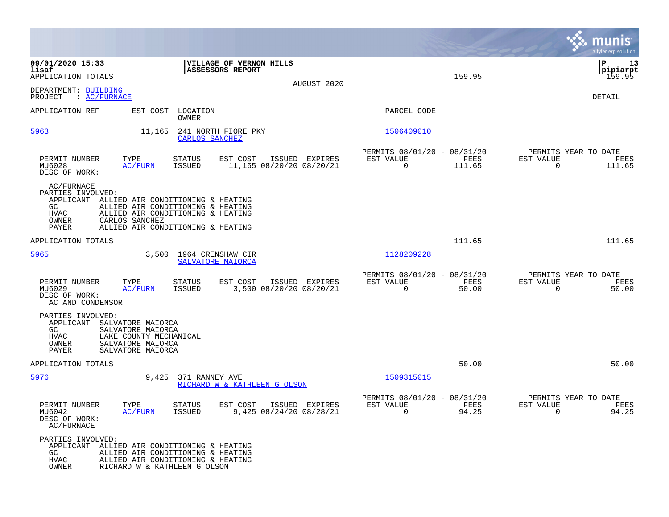|                                                                                                                                                                              |                                                                                                                                             |                                                                 | munis<br>a tyler erp solution                                      |
|------------------------------------------------------------------------------------------------------------------------------------------------------------------------------|---------------------------------------------------------------------------------------------------------------------------------------------|-----------------------------------------------------------------|--------------------------------------------------------------------|
| 09/01/2020 15:33<br>lisaf<br>APPLICATION TOTALS                                                                                                                              | VILLAGE OF VERNON HILLS<br><b>ASSESSORS REPORT</b>                                                                                          | 159.95                                                          | ΙP<br>13<br> pipiarpt<br>159.95                                    |
| DEPARTMENT: BUILDING<br>: AC/FURNACE<br>PROJECT                                                                                                                              | AUGUST 2020                                                                                                                                 |                                                                 | DETAIL                                                             |
| APPLICATION REF<br>EST COST                                                                                                                                                  | LOCATION<br>OWNER                                                                                                                           | PARCEL CODE                                                     |                                                                    |
| 5963<br>11,165                                                                                                                                                               | 241 NORTH FIORE PKY<br>CARLOS SANCHEZ                                                                                                       | 1506409010                                                      |                                                                    |
| PERMIT NUMBER<br>TYPE<br>MU6028<br>AC/FURN<br>DESC OF WORK:                                                                                                                  | <b>STATUS</b><br>EST COST<br>ISSUED EXPIRES<br>ISSUED<br>11,165 08/20/20 08/20/21                                                           | PERMITS 08/01/20 - 08/31/20<br>EST VALUE<br>FEES<br>0<br>111.65 | PERMITS YEAR TO DATE<br>EST VALUE<br>FEES<br>$\mathbf 0$<br>111.65 |
| AC/FURNACE<br>PARTIES INVOLVED:<br>APPLICANT ALLIED AIR CONDITIONING & HEATING<br>GC.<br><b>HVAC</b><br>OWNER<br>CARLOS SANCHEZ<br>PAYER                                     | ALLIED AIR CONDITIONING & HEATING<br>ALLIED AIR CONDITIONING & HEATING<br>ALLIED AIR CONDITIONING & HEATING                                 |                                                                 |                                                                    |
| APPLICATION TOTALS                                                                                                                                                           |                                                                                                                                             | 111.65                                                          | 111.65                                                             |
| 5965                                                                                                                                                                         | 3,500<br>1964 CRENSHAW CIR<br>SALVATORE MAIORCA                                                                                             | 1128209228                                                      |                                                                    |
| PERMIT NUMBER<br>TYPE<br>MU6029<br><b>AC/FURN</b><br>DESC OF WORK:<br>AC AND CONDENSOR                                                                                       | <b>STATUS</b><br>EST COST<br>ISSUED EXPIRES<br><b>ISSUED</b><br>3,500 08/20/20 08/20/21                                                     | PERMITS 08/01/20 - 08/31/20<br>EST VALUE<br>FEES<br>0<br>50.00  | PERMITS YEAR TO DATE<br>EST VALUE<br>FEES<br>$\mathbf 0$<br>50.00  |
| PARTIES INVOLVED:<br>SALVATORE MAIORCA<br>APPLICANT<br>GC<br>SALVATORE MAIORCA<br>HVAC<br>LAKE COUNTY MECHANICAL<br>OWNER<br>SALVATORE MAIORCA<br>PAYER<br>SALVATORE MAIORCA |                                                                                                                                             |                                                                 |                                                                    |
| APPLICATION TOTALS                                                                                                                                                           |                                                                                                                                             | 50.00                                                           | 50.00                                                              |
| 5976<br>9,425                                                                                                                                                                | 371 RANNEY AVE<br>RICHARD W & KATHLEEN G OLSON                                                                                              | 1509315015                                                      |                                                                    |
| PERMIT NUMBER<br>TYPE<br>MU6042<br><b>AC/FURN</b><br>DESC OF WORK:<br>AC/FURNACE                                                                                             | <b>STATUS</b><br>EST COST<br>ISSUED EXPIRES<br>ISSUED<br>9,425 08/24/20 08/28/21                                                            | PERMITS 08/01/20 - 08/31/20<br>EST VALUE<br>FEES<br>0<br>94.25  | PERMITS YEAR TO DATE<br>EST VALUE<br>FEES<br>$\mathbf 0$<br>94.25  |
| PARTIES INVOLVED:<br>APPLICANT<br>GC<br>HVAC<br>OWNER                                                                                                                        | ALLIED AIR CONDITIONING & HEATING<br>ALLIED AIR CONDITIONING & HEATING<br>ALLIED AIR CONDITIONING & HEATING<br>RICHARD W & KATHLEEN G OLSON |                                                                 |                                                                    |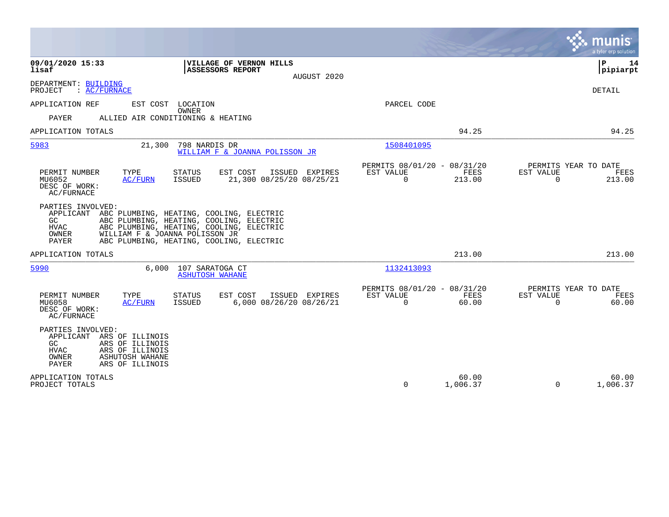|                                                                                                                                                                                                                                                                                |                                                               | munis<br>a tyler erp solution                                                 |
|--------------------------------------------------------------------------------------------------------------------------------------------------------------------------------------------------------------------------------------------------------------------------------|---------------------------------------------------------------|-------------------------------------------------------------------------------|
| 09/01/2020 15:33<br>VILLAGE OF VERNON HILLS<br>ASSESSORS REPORT<br>lisaf<br>AUGUST 2020                                                                                                                                                                                        |                                                               | ΙP<br>14<br> pipiarpt                                                         |
| DEPARTMENT: BUILDING<br>PROJECT<br>: AC/FURNACE                                                                                                                                                                                                                                |                                                               | <b>DETAIL</b>                                                                 |
| EST COST LOCATION<br>APPLICATION REF<br>OWNER<br>PAYER<br>ALLIED AIR CONDITIONING & HEATING                                                                                                                                                                                    | PARCEL CODE                                                   |                                                                               |
| APPLICATION TOTALS                                                                                                                                                                                                                                                             | 94.25                                                         | 94.25                                                                         |
| 5983<br>798 NARDIS DR<br>21,300<br>WILLIAM F & JOANNA POLISSON JR                                                                                                                                                                                                              | 1508401095                                                    |                                                                               |
| PERMIT NUMBER<br>TYPE<br><b>STATUS</b><br>EST COST<br>ISSUED EXPIRES<br>21,300 08/25/20 08/25/21<br>MU6052<br><b>AC/FURN</b><br>ISSUED<br>DESC OF WORK:<br>AC/FURNACE                                                                                                          | PERMITS 08/01/20 - 08/31/20<br>EST VALUE<br>0<br>213.00       | PERMITS YEAR TO DATE<br>FEES<br>EST VALUE<br>FEES<br>$\Omega$<br>213.00       |
| PARTIES INVOLVED:<br>APPLICANT ABC PLUMBING, HEATING, COOLING, ELECTRIC<br>ABC PLUMBING, HEATING, COOLING, ELECTRIC<br>GC.<br>HVAC<br>ABC PLUMBING, HEATING, COOLING, ELECTRIC<br>OWNER<br>WILLIAM F & JOANNA POLISSON JR<br>PAYER<br>ABC PLUMBING, HEATING, COOLING, ELECTRIC |                                                               |                                                                               |
| APPLICATION TOTALS                                                                                                                                                                                                                                                             | 213.00                                                        | 213.00                                                                        |
| 5990<br>6.000<br>107 SARATOGA CT<br><b>ASHUTOSH WAHANE</b>                                                                                                                                                                                                                     | 1132413093                                                    |                                                                               |
| PERMIT NUMBER<br>TYPE<br>EST COST<br>ISSUED EXPIRES<br>STATUS<br>MU6058<br><b>ISSUED</b><br>6,000 08/26/20 08/26/21<br>AC/FURN<br>DESC OF WORK:<br>AC/FURNACE                                                                                                                  | PERMITS 08/01/20 - 08/31/20<br>EST VALUE<br>$\Omega$<br>60.00 | PERMITS YEAR TO DATE<br><b>FEES</b><br>EST VALUE<br>FEES<br>$\Omega$<br>60.00 |
| PARTIES INVOLVED:<br>APPLICANT ARS OF ILLINOIS<br>ARS OF ILLINOIS<br>GC.<br>HVAC<br>ARS OF ILLINOIS<br>OWNER<br>ASHUTOSH WAHANE<br><b>PAYER</b><br>ARS OF ILLINOIS                                                                                                             |                                                               |                                                                               |
| APPLICATION TOTALS<br>PROJECT TOTALS                                                                                                                                                                                                                                           | 60.00<br>$\mathbf 0$<br>1,006.37                              | 60.00<br>$\Omega$<br>1,006.37                                                 |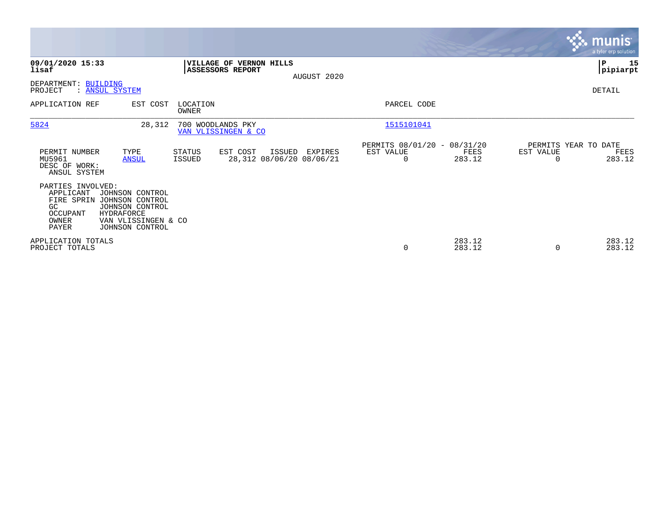|                                                                    |                                                                                                                          |                                |                                                    |             |                                               |                  |           | <b>munis</b><br>a tyler erp solution   |
|--------------------------------------------------------------------|--------------------------------------------------------------------------------------------------------------------------|--------------------------------|----------------------------------------------------|-------------|-----------------------------------------------|------------------|-----------|----------------------------------------|
| 09/01/2020 15:33<br>lisaf                                          |                                                                                                                          |                                | <b>VILLAGE OF VERNON HILLS</b><br>ASSESSORS REPORT | AUGUST 2020 |                                               |                  |           | ∣P<br>15<br> pipiarpt                  |
| DEPARTMENT: BUILDING<br>PROJECT                                    | : ANSUL SYSTEM                                                                                                           |                                |                                                    |             |                                               |                  |           | DETAIL                                 |
| APPLICATION REF                                                    | EST COST                                                                                                                 | LOCATION<br>OWNER              |                                                    |             | PARCEL CODE                                   |                  |           |                                        |
| 5824                                                               | 28,312                                                                                                                   | 700 WOODLANDS PKY              | VAN VLISSINGEN & CO                                |             | 1515101041                                    |                  |           |                                        |
| PERMIT NUMBER<br>MU5961<br>DESC OF WORK:<br>ANSUL SYSTEM           | TYPE<br><b>ANSUL</b>                                                                                                     | <b>STATUS</b><br><b>ISSUED</b> | EST COST<br>ISSUED<br>28,312 08/06/20 08/06/21     | EXPIRES     | PERMITS 08/01/20 - 08/31/20<br>EST VALUE<br>0 | FEES<br>283.12   | EST VALUE | PERMITS YEAR TO DATE<br>FEES<br>283.12 |
| PARTIES INVOLVED:<br>APPLICANT<br>GC<br>OCCUPANT<br>OWNER<br>PAYER | JOHNSON CONTROL<br>FIRE SPRIN JOHNSON CONTROL<br>JOHNSON CONTROL<br>HYDRAFORCE<br>VAN VLISSINGEN & CO<br>JOHNSON CONTROL |                                |                                                    |             |                                               |                  |           |                                        |
| APPLICATION TOTALS<br>PROJECT TOTALS                               |                                                                                                                          |                                |                                                    |             | 0                                             | 283.12<br>283.12 | $\Omega$  | 283.12<br>283.12                       |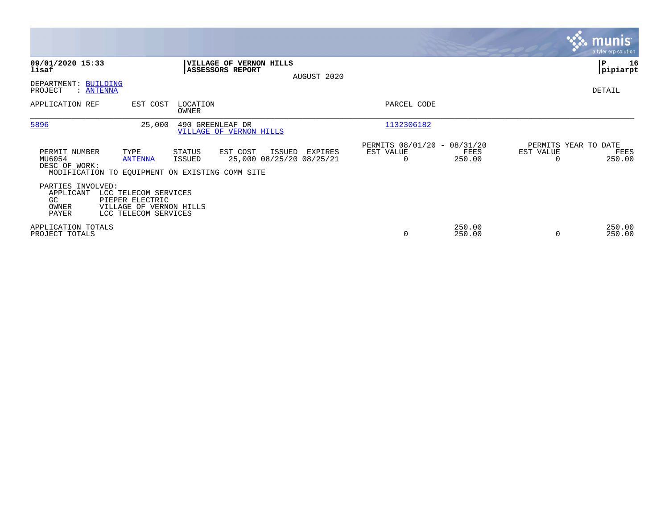|                                                         |                                                                                            |                   |                                                    |                                    |             |                                               |                  |           | <b>munis</b><br>a tyler erp solution   |
|---------------------------------------------------------|--------------------------------------------------------------------------------------------|-------------------|----------------------------------------------------|------------------------------------|-------------|-----------------------------------------------|------------------|-----------|----------------------------------------|
| 09/01/2020 15:33<br>lisaf                               |                                                                                            |                   | VILLAGE OF VERNON HILLS<br><b>ASSESSORS REPORT</b> |                                    | AUGUST 2020 |                                               |                  |           | ΙP.<br>16<br> pipiarpt                 |
| DEPARTMENT: BUILDING<br>PROJECT<br>: <u>ANTENNA</u>     |                                                                                            |                   |                                                    |                                    |             |                                               |                  |           | DETAIL                                 |
| APPLICATION REF                                         | EST COST                                                                                   | LOCATION<br>OWNER |                                                    |                                    |             | PARCEL CODE                                   |                  |           |                                        |
| 5896                                                    | 25,000                                                                                     |                   | 490 GREENLEAF DR<br>VILLAGE OF VERNON HILLS        |                                    |             | 1132306182                                    |                  |           |                                        |
| PERMIT NUMBER<br>MU6054<br>DESC OF WORK:                | TYPE<br><b>ANTENNA</b><br>MODIFICATION TO EQUIPMENT ON EXISTING COMM SITE                  | STATUS<br>ISSUED  | EST COST                                           | ISSUED<br>25,000 08/25/20 08/25/21 | EXPIRES     | PERMITS 08/01/20 - 08/31/20<br>EST VALUE<br>0 | FEES<br>250.00   | EST VALUE | PERMITS YEAR TO DATE<br>FEES<br>250.00 |
| PARTIES INVOLVED:<br>APPLICANT<br>GC.<br>OWNER<br>PAYER | LCC TELECOM SERVICES<br>PIEPER ELECTRIC<br>VILLAGE OF VERNON HILLS<br>LCC TELECOM SERVICES |                   |                                                    |                                    |             |                                               |                  |           |                                        |
| APPLICATION TOTALS<br>PROJECT TOTALS                    |                                                                                            |                   |                                                    |                                    |             | 0                                             | 250.00<br>250.00 | $\Omega$  | 250.00<br>250.00                       |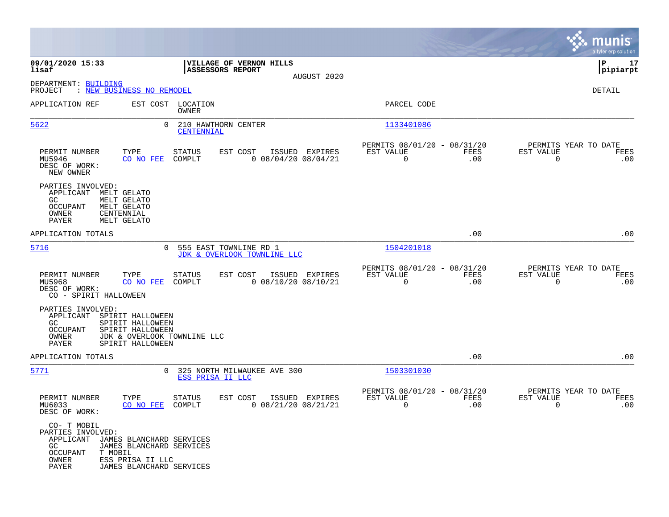|                                                                                                                                                   |                                                                                                             |                                                     |                                                            |             |                                                  | munis<br>a tyler erp solution |
|---------------------------------------------------------------------------------------------------------------------------------------------------|-------------------------------------------------------------------------------------------------------------|-----------------------------------------------------|------------------------------------------------------------|-------------|--------------------------------------------------|-------------------------------|
| 09/01/2020 15:33<br>lisaf                                                                                                                         | ASSESSORS REPORT                                                                                            | VILLAGE OF VERNON HILLS                             |                                                            |             |                                                  | 17<br>ΙP<br> pipiarpt         |
| DEPARTMENT: BUILDING<br>PROJECT<br>: NEW BUSINESS NO REMODEL                                                                                      |                                                                                                             | AUGUST 2020                                         |                                                            |             |                                                  | DETAIL                        |
| APPLICATION REF                                                                                                                                   | EST COST LOCATION<br>OWNER                                                                                  |                                                     | PARCEL CODE                                                |             |                                                  |                               |
| 5622                                                                                                                                              | $\Omega$<br>210 HAWTHORN CENTER<br>CENTENNIAL                                                               |                                                     | 1133401086                                                 |             |                                                  |                               |
| PERMIT NUMBER<br>TYPE<br>MU5946<br>DESC OF WORK:<br>NEW OWNER                                                                                     | <b>STATUS</b><br>CO NO FEE<br>COMPLT                                                                        | EST COST<br>ISSUED EXPIRES<br>$0$ 08/04/20 08/04/21 | PERMITS 08/01/20 - 08/31/20<br>EST VALUE<br>$\overline{0}$ | FEES<br>.00 | PERMITS YEAR TO DATE<br>EST VALUE<br>$\mathbf 0$ | FEES<br>.00                   |
| PARTIES INVOLVED:<br>APPLICANT MELT GELATO<br>GC.<br>MELT GELATO<br><b>OCCUPANT</b><br>MELT GELATO<br>OWNER<br>CENTENNIAL<br>PAYER<br>MELT GELATO |                                                                                                             |                                                     |                                                            |             |                                                  |                               |
| APPLICATION TOTALS                                                                                                                                |                                                                                                             |                                                     |                                                            | .00         |                                                  | .00                           |
| 5716                                                                                                                                              | 555 EAST TOWNLINE RD 1<br>$\Omega$                                                                          | JDK & OVERLOOK TOWNLINE LLC                         | 1504201018                                                 |             |                                                  |                               |
| PERMIT NUMBER<br>TYPE<br>MU5968<br>DESC OF WORK:<br>CO - SPIRIT HALLOWEEN                                                                         | STATUS<br>CO NO FEE<br>COMPLT                                                                               | EST COST<br>ISSUED EXPIRES<br>$0$ 08/10/20 08/10/21 | PERMITS 08/01/20 - 08/31/20<br>EST VALUE<br>$\mathbf 0$    | FEES<br>.00 | PERMITS YEAR TO DATE<br>EST VALUE<br>$\mathbf 0$ | FEES<br>.00                   |
| PARTIES INVOLVED:<br>APPLICANT<br>GC.<br>OCCUPANT<br>OWNER<br>PAYER                                                                               | SPIRIT HALLOWEEN<br>SPIRIT HALLOWEEN<br>SPIRIT HALLOWEEN<br>JDK & OVERLOOK TOWNLINE LLC<br>SPIRIT HALLOWEEN |                                                     |                                                            |             |                                                  |                               |
| APPLICATION TOTALS                                                                                                                                |                                                                                                             |                                                     |                                                            | .00         |                                                  | .00                           |
| 5771                                                                                                                                              | 0 325 NORTH MILWAUKEE AVE 300<br>ESS PRISA II LLC                                                           |                                                     | 1503301030                                                 |             |                                                  |                               |
| PERMIT NUMBER<br>TYPE<br>MU6033<br>DESC OF WORK:                                                                                                  | <b>STATUS</b><br>CO NO FEE<br>COMPLT                                                                        | EST COST<br>ISSUED EXPIRES<br>$0$ 08/21/20 08/21/21 | PERMITS 08/01/20 - 08/31/20<br>EST VALUE<br>0              | FEES<br>.00 | PERMITS YEAR TO DATE<br>EST VALUE<br>0           | FEES<br>.00                   |
| CO- T MOBIL<br>PARTIES INVOLVED:<br>APPLICANT JAMES BLANCHARD SERVICES<br>GC<br><b>OCCUPANT</b><br>T MOBIL<br>OWNER<br>PAYER                      | JAMES BLANCHARD SERVICES<br>ESS PRISA II LLC<br>JAMES BLANCHARD SERVICES                                    |                                                     |                                                            |             |                                                  |                               |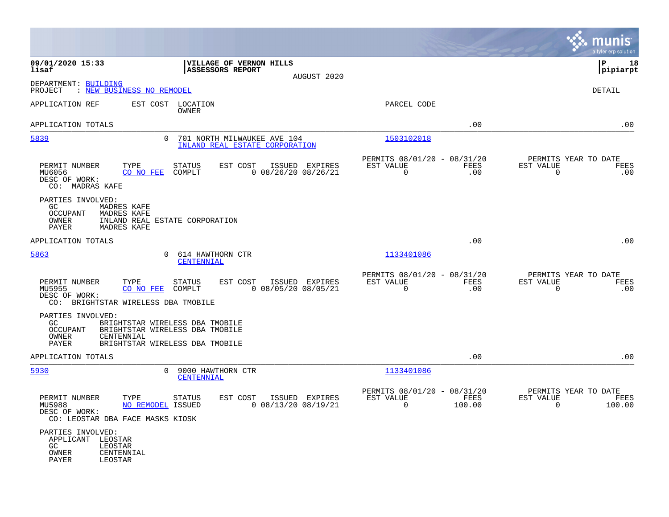|                                                                                                                  |                                                                                                       |                                                         |                       | munis<br>a tyler erp solution                                   |
|------------------------------------------------------------------------------------------------------------------|-------------------------------------------------------------------------------------------------------|---------------------------------------------------------|-----------------------|-----------------------------------------------------------------|
| 09/01/2020 15:33<br>lisaf                                                                                        | VILLAGE OF VERNON HILLS<br>ASSESSORS REPORT<br>AUGUST 2020                                            |                                                         |                       | 18<br>IΡ<br> pipiarpt                                           |
| DEPARTMENT: BUILDING<br>PROJECT<br>: NEW BUSINESS NO REMODEL                                                     |                                                                                                       |                                                         |                       | DETAIL                                                          |
| EST COST<br>APPLICATION REF                                                                                      | LOCATION<br>OWNER                                                                                     | PARCEL CODE                                             |                       |                                                                 |
| APPLICATION TOTALS                                                                                               |                                                                                                       |                                                         | .00                   | .00                                                             |
| 5839                                                                                                             | 701 NORTH MILWAUKEE AVE 104<br>$\Omega$<br>INLAND REAL ESTATE CORPORATION                             | 1503102018                                              |                       |                                                                 |
| TYPE<br>PERMIT NUMBER<br>MU6056<br>CO NO FEE<br>DESC OF WORK:<br>CO: MADRAS KAFE                                 | EST COST<br>ISSUED EXPIRES<br>STATUS<br>COMPLT<br>$0$ 08/26/20 08/26/21                               | PERMITS 08/01/20 - 08/31/20<br>EST VALUE<br>0           | FEES<br>.00           | PERMITS YEAR TO DATE<br>EST VALUE<br>FEES<br>0<br>.00           |
| PARTIES INVOLVED:<br>GC<br>MADRES KAFE<br><b>MADRES KAFE</b><br>OCCUPANT<br>OWNER<br><b>PAYER</b><br>MADRES KAFE | INLAND REAL ESTATE CORPORATION                                                                        |                                                         |                       |                                                                 |
| APPLICATION TOTALS                                                                                               |                                                                                                       |                                                         | .00                   | .00                                                             |
| <u>5863</u>                                                                                                      | 614 HAWTHORN CTR<br>CENTENNIAL                                                                        | 1133401086                                              |                       |                                                                 |
| PERMIT NUMBER<br>TYPE<br>MU5955<br>CO NO FEE<br>DESC OF WORK:<br>CO: BRIGHTSTAR WIRELESS DBA TMOBILE             | EST COST<br>ISSUED EXPIRES<br>STATUS<br>$0$ 08/05/20 08/05/21<br>COMPLT                               | PERMITS 08/01/20 - 08/31/20<br>EST VALUE<br>$\mathbf 0$ | FEES<br>.00           | PERMITS YEAR TO DATE<br>EST VALUE<br>FEES<br>$\mathbf 0$<br>.00 |
| PARTIES INVOLVED:<br>GC.<br>OCCUPANT<br>OWNER<br>CENTENNIAL<br>PAYER                                             | BRIGHTSTAR WIRELESS DBA TMOBILE<br>BRIGHTSTAR WIRELESS DBA TMOBILE<br>BRIGHTSTAR WIRELESS DBA TMOBILE |                                                         |                       |                                                                 |
| APPLICATION TOTALS                                                                                               |                                                                                                       |                                                         | .00                   | .00                                                             |
| 5930                                                                                                             | 9000 HAWTHORN CTR<br>$\Omega$<br>CENTENNIAL                                                           | 1133401086                                              |                       |                                                                 |
| PERMIT NUMBER<br>TYPE<br>MU5988<br>NO REMODEL ISSUED<br>DESC OF WORK:<br>CO: LEOSTAR DBA FACE MASKS KIOSK        | EST COST<br>ISSUED EXPIRES<br><b>STATUS</b><br>$0$ 08/13/20 08/19/21                                  | PERMITS 08/01/20 - 08/31/20<br>EST VALUE<br>$\mathbf 0$ | <b>FEES</b><br>100.00 | PERMITS YEAR TO DATE<br>EST VALUE<br>FEES<br>100.00<br>0        |
| PARTIES INVOLVED:<br>APPLICANT LEOSTAR<br>LEOSTAR<br>GC.<br>CENTENNIAL<br>OWNER<br>PAYER<br>LEOSTAR              |                                                                                                       |                                                         |                       |                                                                 |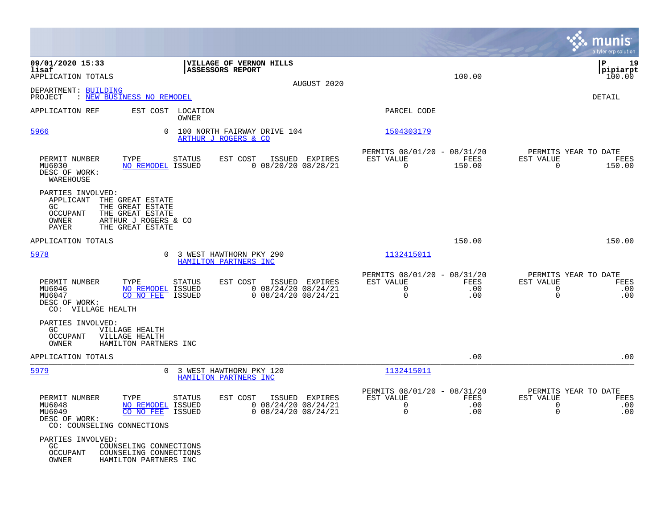|                                                                                                                                                                             |                                                                                                         |                                                                                           | munis<br>a tyler erp solution                                                         |
|-----------------------------------------------------------------------------------------------------------------------------------------------------------------------------|---------------------------------------------------------------------------------------------------------|-------------------------------------------------------------------------------------------|---------------------------------------------------------------------------------------|
| 09/01/2020 15:33<br>lisaf<br>APPLICATION TOTALS                                                                                                                             | VILLAGE OF VERNON HILLS<br>ASSESSORS REPORT                                                             | 100.00                                                                                    | ΙP<br>19<br> pipiarpt<br>100.00                                                       |
| DEPARTMENT: BUILDING<br>PROJECT<br>: NEW BUSINESS NO REMODEL                                                                                                                | AUGUST 2020                                                                                             |                                                                                           | DETAIL                                                                                |
| APPLICATION REF                                                                                                                                                             | EST COST LOCATION<br>OWNER                                                                              | PARCEL CODE                                                                               |                                                                                       |
| 5966<br>$\overline{0}$                                                                                                                                                      | 100 NORTH FAIRWAY DRIVE 104<br>ARTHUR J ROGERS & CO                                                     | 1504303179                                                                                |                                                                                       |
| PERMIT NUMBER<br>TYPE<br>NO REMODEL ISSUED<br>MU6030<br>DESC OF WORK:<br>WAREHOUSE                                                                                          | <b>STATUS</b><br>EST COST<br>ISSUED EXPIRES<br>$0$ 08/20/20 08/28/21                                    | PERMITS 08/01/20 - 08/31/20<br>EST VALUE<br>FEES<br>$\mathbf 0$<br>150.00                 | PERMITS YEAR TO DATE<br>EST VALUE<br>FEES<br>$\overline{0}$<br>150.00                 |
| PARTIES INVOLVED:<br>APPLICANT<br>THE GREAT ESTATE<br>GC.<br>THE GREAT ESTATE<br>OCCUPANT<br>THE GREAT ESTATE<br>OWNER<br>ARTHUR J ROGERS & CO<br>PAYER<br>THE GREAT ESTATE |                                                                                                         |                                                                                           |                                                                                       |
| APPLICATION TOTALS                                                                                                                                                          |                                                                                                         | 150.00                                                                                    | 150.00                                                                                |
| 5978<br>$\mathbf{0}$                                                                                                                                                        | 3 WEST HAWTHORN PKY 290<br>HAMILTON PARTNERS INC                                                        | 1132415011                                                                                |                                                                                       |
| PERMIT NUMBER<br>TYPE<br>MU6046<br><b>NO REMODEL ISSUED</b><br>MU6047<br>CO NO FEE<br>DESC OF WORK:<br>CO: VILLAGE HEALTH                                                   | EST COST<br>ISSUED EXPIRES<br><b>STATUS</b><br>$0$ 08/24/20 08/24/21<br>$0$ 08/24/20 08/24/21<br>ISSUED | PERMITS 08/01/20 - 08/31/20<br>EST VALUE<br>FEES<br>$\Omega$<br>.00<br>$\mathbf 0$<br>.00 | PERMITS YEAR TO DATE<br>EST VALUE<br>FEES<br>0<br>.00<br>$\mathbf 0$<br>.00           |
| PARTIES INVOLVED:<br>GC<br>VILLAGE HEALTH<br>OCCUPANT<br>VILLAGE HEALTH<br>OWNER<br>HAMILTON PARTNERS INC                                                                   |                                                                                                         |                                                                                           |                                                                                       |
| APPLICATION TOTALS                                                                                                                                                          |                                                                                                         | .00                                                                                       | .00                                                                                   |
| 5979<br>$\mathbf{0}$                                                                                                                                                        | 3 WEST HAWTHORN PKY 120<br>HAMILTON PARTNERS INC                                                        | 1132415011                                                                                |                                                                                       |
| PERMIT NUMBER<br>TYPE<br>NO REMODEL ISSUED<br>MU6048<br>MU6049<br>CO NO FEE<br>DESC OF WORK:<br>CO: COUNSELING CONNECTIONS                                                  | <b>STATUS</b><br>ISSUED EXPIRES<br>EST COST<br>$0$ 08/24/20 08/24/21<br>ISSUED<br>$0$ 08/24/20 08/24/21 | PERMITS 08/01/20 - 08/31/20<br>EST VALUE<br><b>FEES</b><br>0<br>.00<br>$\mathbf 0$<br>.00 | PERMITS YEAR TO DATE<br>EST VALUE<br>FEES<br>$\mathbf 0$<br>.00<br>.00<br>$\mathbf 0$ |
| PARTIES INVOLVED:<br>GC<br>COUNSELING CONNECTIONS<br>OCCUPANT<br>COUNSELING CONNECTIONS<br>OWNER<br>HAMILTON PARTNERS INC                                                   |                                                                                                         |                                                                                           |                                                                                       |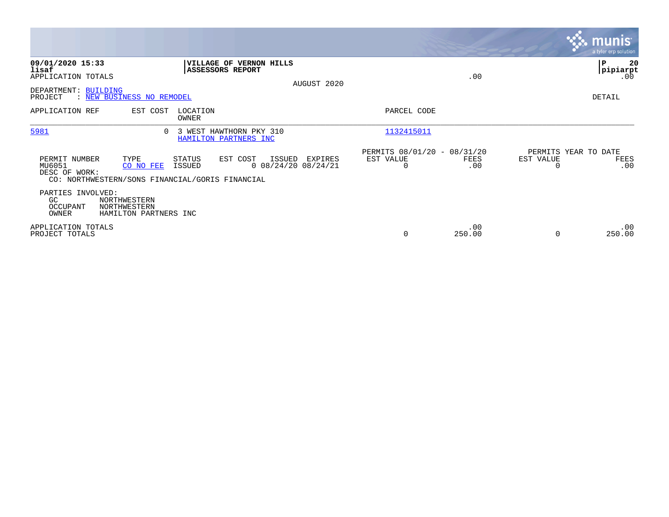|                                                                                    |                                                                      |                                                  |                                                        |                                               |               |           | $\overline{\mathsf{m}$ unis'<br>a tyler erp solution |
|------------------------------------------------------------------------------------|----------------------------------------------------------------------|--------------------------------------------------|--------------------------------------------------------|-----------------------------------------------|---------------|-----------|------------------------------------------------------|
| 09/01/2020 15:33<br>lisaf<br>APPLICATION TOTALS<br>DEPARTMENT: BUILDING<br>PROJECT | : NEW BUSINESS NO REMODEL                                            | ASSESSORS REPORT                                 | VILLAGE OF VERNON HILLS<br>AUGUST 2020                 |                                               | .00           |           | ∣P<br>20<br>$ $ pipiarpt<br>.00<br>DETAIL            |
| APPLICATION REF                                                                    | EST COST                                                             | LOCATION<br>OWNER                                |                                                        | PARCEL CODE                                   |               |           |                                                      |
| 5981                                                                               |                                                                      | 3 WEST HAWTHORN PKY 310<br>HAMILTON PARTNERS INC |                                                        | 1132415011                                    |               |           |                                                      |
| PERMIT NUMBER<br>MU6051<br>DESC OF WORK:                                           | TYPE<br>CO NO FEE<br>CO: NORTHWESTERN/SONS FINANCIAL/GORIS FINANCIAL | STATUS<br>ISSUED                                 | EST COST<br>ISSUED<br>EXPIRES<br>$0$ 08/24/20 08/24/21 | PERMITS 08/01/20 - 08/31/20<br>EST VALUE<br>0 | FEES<br>.00   | EST VALUE | PERMITS YEAR TO DATE<br>FEES<br>.00                  |
| PARTIES INVOLVED:<br>GC<br>OCCUPANT<br>OWNER                                       | NORTHWESTERN<br>NORTHWESTERN<br>HAMILTON PARTNERS INC                |                                                  |                                                        |                                               |               |           |                                                      |
| APPLICATION TOTALS<br>PROJECT TOTALS                                               |                                                                      |                                                  |                                                        | 0                                             | .00<br>250.00 |           | .00<br>250.00                                        |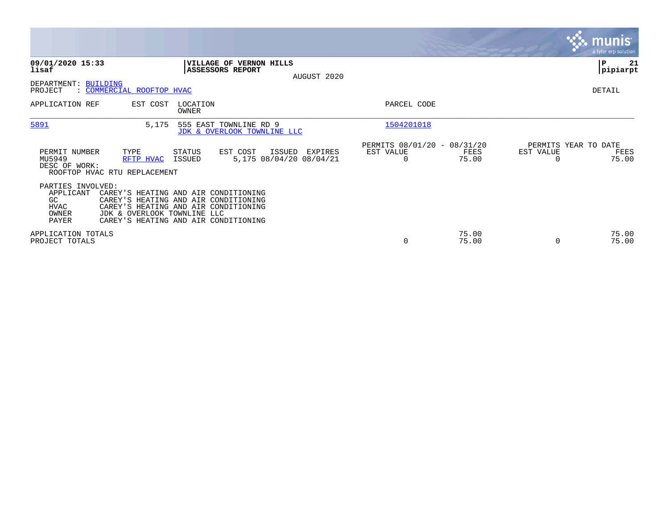|                                                                        |                                                                                                                                                                                             |                          |                                                       |             |                                                      |                |                                   | <b>munis</b><br>a tyler erp solution |
|------------------------------------------------------------------------|---------------------------------------------------------------------------------------------------------------------------------------------------------------------------------------------|--------------------------|-------------------------------------------------------|-------------|------------------------------------------------------|----------------|-----------------------------------|--------------------------------------|
| 09/01/2020 15:33<br>lisaf                                              |                                                                                                                                                                                             | <b>ASSESSORS REPORT</b>  | <b>VILLAGE OF VERNON HILLS</b>                        | AUGUST 2020 |                                                      |                |                                   | ∣P<br>21<br> pipiarpt                |
| DEPARTMENT: BUILDING<br>PROJECT                                        | : COMMERCIAL ROOFTOP HVAC                                                                                                                                                                   |                          |                                                       |             |                                                      |                |                                   | DETAIL                               |
| APPLICATION REF                                                        | EST COST                                                                                                                                                                                    | LOCATION<br><b>OWNER</b> |                                                       |             | PARCEL CODE                                          |                |                                   |                                      |
| 5891                                                                   | 5,175                                                                                                                                                                                       |                          | 555 EAST TOWNLINE RD 9<br>JDK & OVERLOOK TOWNLINE LLC |             | 1504201018                                           |                |                                   |                                      |
| PERMIT NUMBER<br>MU5949<br>DESC OF WORK:                               | TYPE<br>RFTP HVAC<br>ROOFTOP HVAC RTU REPLACEMENT                                                                                                                                           | STATUS<br>ISSUED         | EST COST<br>ISSUED<br>5,175 08/04/20 08/04/21         | EXPIRES     | PERMITS 08/01/20 - 08/31/20<br>EST VALUE<br>$\Omega$ | FEES<br>75.00  | PERMITS YEAR TO DATE<br>EST VALUE | FEES<br>75.00                        |
| PARTIES INVOLVED:<br>APPLICANT<br>GC.<br><b>HVAC</b><br>OWNER<br>PAYER | CAREY'S HEATING AND AIR CONDITIONING<br>CAREY'S HEATING AND AIR CONDITIONING<br>CAREY'S HEATING AND AIR CONDITIONING<br>JDK & OVERLOOK TOWNLINE LLC<br>CAREY'S HEATING AND AIR CONDITIONING |                          |                                                       |             |                                                      |                |                                   |                                      |
| APPLICATION TOTALS<br>PROJECT TOTALS                                   |                                                                                                                                                                                             |                          |                                                       |             | 0                                                    | 75.00<br>75.00 |                                   | 75.00<br>75.00                       |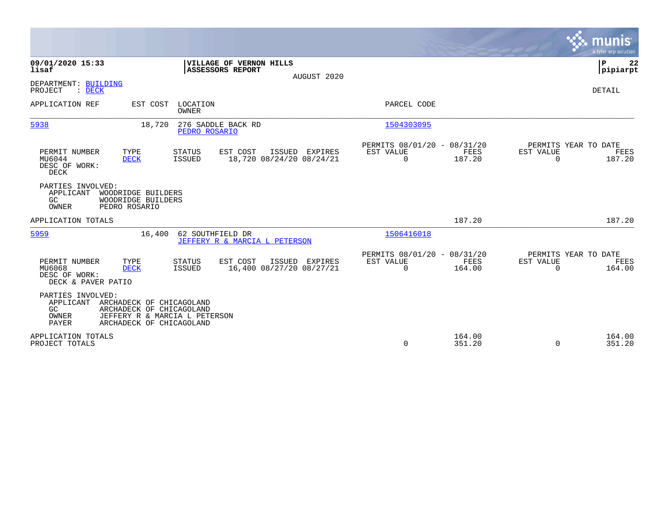|                                                                                                                                                                          |                                                            |                                                                               | munis<br>a tyler erp solution                                          |
|--------------------------------------------------------------------------------------------------------------------------------------------------------------------------|------------------------------------------------------------|-------------------------------------------------------------------------------|------------------------------------------------------------------------|
| 09/01/2020 15:33<br>lisaf                                                                                                                                                | VILLAGE OF VERNON HILLS<br>ASSESSORS REPORT<br>AUGUST 2020 |                                                                               | Þ<br>22<br> pipiarpt                                                   |
| DEPARTMENT: BUILDING<br>PROJECT<br>$\therefore$ DECK                                                                                                                     |                                                            |                                                                               | DETAIL                                                                 |
| LOCATION<br>APPLICATION REF<br>EST COST<br>OWNER                                                                                                                         |                                                            | PARCEL CODE                                                                   |                                                                        |
| 5938<br>18,720                                                                                                                                                           | 276 SADDLE BACK RD<br>PEDRO ROSARIO                        | 1504303095                                                                    |                                                                        |
| PERMIT NUMBER<br>TYPE<br><b>STATUS</b><br>MU6044<br><b>DECK</b><br>ISSUED<br>DESC OF WORK:<br>DECK                                                                       | EST COST<br>ISSUED EXPIRES<br>18,720 08/24/20 08/24/21     | PERMITS 08/01/20 - 08/31/20<br>EST VALUE<br><b>FEES</b><br>$\Omega$<br>187.20 | PERMITS YEAR TO DATE<br>EST VALUE<br><b>FEES</b><br>187.20<br>$\Omega$ |
| PARTIES INVOLVED:<br>WOODRIDGE BUILDERS<br>APPLICANT<br>GC<br>WOODRIDGE BUILDERS<br><b>OWNER</b><br>PEDRO ROSARIO                                                        |                                                            |                                                                               |                                                                        |
| APPLICATION TOTALS                                                                                                                                                       |                                                            | 187.20                                                                        | 187.20                                                                 |
| 5959<br>16,400                                                                                                                                                           | 62 SOUTHFIELD DR<br>JEFFERY R & MARCIA L PETERSON          | 1506416018                                                                    |                                                                        |
| PERMIT NUMBER<br>TYPE<br><b>STATUS</b><br>MU6068<br><b>DECK</b><br>ISSUED<br>DESC OF WORK:<br>DECK & PAVER PATIO                                                         | EST COST<br>ISSUED EXPIRES<br>16,400 08/27/20 08/27/21     | PERMITS 08/01/20 - 08/31/20<br><b>EST VALUE</b><br>FEES<br>$\Omega$<br>164.00 | PERMITS YEAR TO DATE<br>EST VALUE<br>FEES<br>$\Omega$<br>164.00        |
| PARTIES INVOLVED:<br>APPLICANT ARCHADECK OF CHICAGOLAND<br>GC<br>ARCHADECK OF CHICAGOLAND<br>OWNER<br>JEFFERY R & MARCIA L PETERSON<br>PAYER<br>ARCHADECK OF CHICAGOLAND |                                                            |                                                                               |                                                                        |
| APPLICATION TOTALS<br>PROJECT TOTALS                                                                                                                                     |                                                            | 164.00<br>0<br>351.20                                                         | 164.00<br>$\mathbf 0$<br>351.20                                        |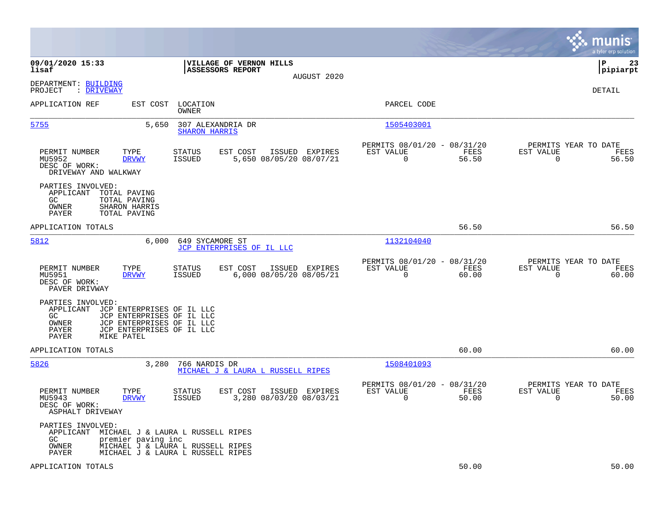|                                                                                                                                                                                                    |                                                                                         |                                                                          | munis<br>a tyler erp solution                                     |
|----------------------------------------------------------------------------------------------------------------------------------------------------------------------------------------------------|-----------------------------------------------------------------------------------------|--------------------------------------------------------------------------|-------------------------------------------------------------------|
| 09/01/2020 15:33<br>lisaf                                                                                                                                                                          | VILLAGE OF VERNON HILLS<br><b>ASSESSORS REPORT</b><br>AUGUST 2020                       |                                                                          | ΙP<br>23<br> pipiarpt                                             |
| DEPARTMENT: BUILDING<br>PROJECT<br>: DRIVEWAY                                                                                                                                                      |                                                                                         |                                                                          | DETAIL                                                            |
| APPLICATION REF<br>EST COST                                                                                                                                                                        | LOCATION<br>OWNER                                                                       | PARCEL CODE                                                              |                                                                   |
| 5755<br>5,650                                                                                                                                                                                      | 307 ALEXANDRIA DR<br><b>SHARON HARRIS</b>                                               | 1505403001                                                               |                                                                   |
| TYPE<br>PERMIT NUMBER<br>MU5952<br><b>DRVWY</b><br>DESC OF WORK:<br>DRIVEWAY AND WALKWAY                                                                                                           | EST COST<br>STATUS<br>ISSUED EXPIRES<br><b>ISSUED</b><br>5,650 08/05/20 08/07/21        | PERMITS 08/01/20 - 08/31/20<br>EST VALUE<br>FEES<br>$\mathbf 0$<br>56.50 | PERMITS YEAR TO DATE<br>EST VALUE<br>FEES<br>56.50<br>0           |
| PARTIES INVOLVED:<br>APPLICANT<br>TOTAL PAVING<br>GC<br>TOTAL PAVING<br>OWNER<br>SHARON HARRIS<br>PAYER<br>TOTAL PAVING                                                                            |                                                                                         |                                                                          |                                                                   |
| APPLICATION TOTALS                                                                                                                                                                                 |                                                                                         | 56.50                                                                    | 56.50                                                             |
| 5812<br>6,000                                                                                                                                                                                      | 649 SYCAMORE ST<br>JCP ENTERPRISES OF IL LLC                                            | 1132104040                                                               |                                                                   |
| PERMIT NUMBER<br>TYPE<br>MU5951<br><b>DRVWY</b><br>DESC OF WORK:<br>PAVER DRIVWAY                                                                                                                  | <b>STATUS</b><br>EST COST<br>ISSUED EXPIRES<br>6,000 08/05/20 08/05/21<br><b>ISSUED</b> | PERMITS 08/01/20 - 08/31/20<br>EST VALUE<br>FEES<br>$\Omega$<br>60.00    | PERMITS YEAR TO DATE<br>EST VALUE<br>FEES<br>$\mathbf 0$<br>60.00 |
| PARTIES INVOLVED:<br>APPLICANT<br>JCP ENTERPRISES OF IL LLC<br>GC.<br>JCP ENTERPRISES OF IL LLC<br>OWNER<br>JCP ENTERPRISES OF IL LLC<br>JCP ENTERPRISES OF IL LLC<br>PAYER<br>PAYER<br>MIKE PATEL |                                                                                         |                                                                          |                                                                   |
| APPLICATION TOTALS                                                                                                                                                                                 |                                                                                         | 60.00                                                                    | 60.00                                                             |
| 5826<br>3,280                                                                                                                                                                                      | 766 NARDIS DR<br>MICHAEL J & LAURA L RUSSELL RIPES                                      | 1508401093                                                               |                                                                   |
| PERMIT NUMBER<br>TYPE<br>MU5943<br><b>DRVWY</b><br>DESC OF WORK:<br>ASPHALT DRIVEWAY                                                                                                               | <b>STATUS</b><br>EST COST<br>ISSUED EXPIRES<br><b>ISSUED</b><br>3,280 08/03/20 08/03/21 | PERMITS 08/01/20 - 08/31/20<br>EST VALUE<br>FEES<br>0<br>50.00           | PERMITS YEAR TO DATE<br>EST VALUE<br>FEES<br>$\mathbf 0$<br>50.00 |
| PARTIES INVOLVED:<br>APPLICANT MICHAEL J & LAURA L RUSSELL RIPES<br>GC.<br>premier paving inc<br>OWNER<br>PAYER                                                                                    | MICHAEL J & LAURA L RUSSELL RIPES<br>MICHAEL J & LAURA L RUSSELL RIPES                  |                                                                          |                                                                   |
| APPLICATION TOTALS                                                                                                                                                                                 |                                                                                         | 50.00                                                                    | 50.00                                                             |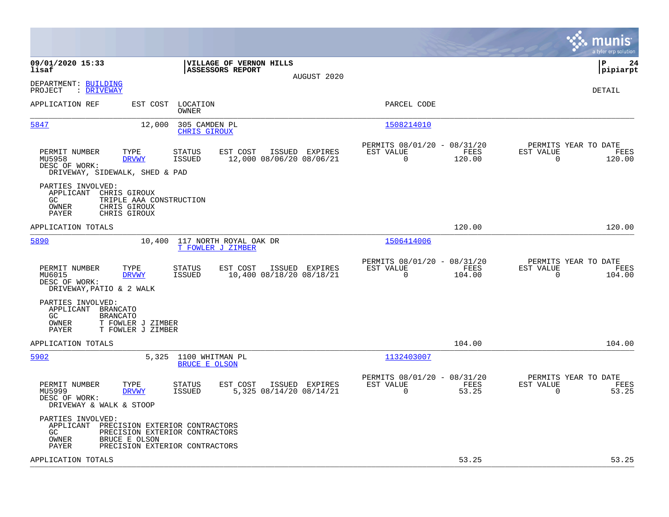|                                                                                                                                                                                |                |                                                         |                |                                                  | munis<br>a tyler erp solution |
|--------------------------------------------------------------------------------------------------------------------------------------------------------------------------------|----------------|---------------------------------------------------------|----------------|--------------------------------------------------|-------------------------------|
| 09/01/2020 15:33<br>VILLAGE OF VERNON HILLS<br>lisaf<br><b>ASSESSORS REPORT</b>                                                                                                | AUGUST 2020    |                                                         |                |                                                  | lР<br>24<br> pipiarpt         |
| DEPARTMENT: BUILDING<br>: <u>DRIVEWAY</u><br>PROJECT                                                                                                                           |                |                                                         |                |                                                  | DETAIL                        |
| EST COST<br>LOCATION<br>APPLICATION REF<br>OWNER                                                                                                                               |                | PARCEL CODE                                             |                |                                                  |                               |
| 5847<br>305 CAMDEN PL<br>12,000<br><b>CHRIS GIROUX</b>                                                                                                                         |                | 1508214010                                              |                |                                                  |                               |
| PERMIT NUMBER<br>TYPE<br>EST COST<br><b>STATUS</b><br>MU5958<br><b>DRVWY</b><br><b>ISSUED</b><br>12,000 08/06/20 08/06/21<br>DESC OF WORK:<br>DRIVEWAY, SIDEWALK, SHED & PAD   | ISSUED EXPIRES | PERMITS 08/01/20 - 08/31/20<br>EST VALUE<br>$\mathbf 0$ | FEES<br>120.00 | PERMITS YEAR TO DATE<br>EST VALUE<br>$\Omega$    | FEES<br>120.00                |
| PARTIES INVOLVED:<br>APPLICANT<br>CHRIS GIROUX<br>TRIPLE AAA CONSTRUCTION<br>GC.<br>OWNER<br>CHRIS GIROUX<br>PAYER<br>CHRIS GIROUX                                             |                |                                                         |                |                                                  |                               |
| APPLICATION TOTALS                                                                                                                                                             |                |                                                         | 120.00         |                                                  | 120.00                        |
| 5890<br>10,400<br>117 NORTH ROYAL OAK DR<br>T FOWLER J ZIMBER                                                                                                                  |                | 1506414006                                              |                |                                                  |                               |
| PERMIT NUMBER<br>TYPE<br>EST COST<br><b>STATUS</b><br>MU6015<br><b>ISSUED</b><br>10,400 08/18/20 08/18/21<br><b>DRVWY</b><br>DESC OF WORK:<br>DRIVEWAY, PATIO & 2 WALK         | ISSUED EXPIRES | PERMITS 08/01/20 - 08/31/20<br>EST VALUE<br>$\mathbf 0$ | FEES<br>104.00 | PERMITS YEAR TO DATE<br>EST VALUE<br>$\mathbf 0$ | FEES<br>104.00                |
| PARTIES INVOLVED:<br>APPLICANT<br>BRANCATO<br><b>BRANCATO</b><br>GC.<br>OWNER<br>T FOWLER J ZIMBER<br>PAYER<br>T FOWLER J ZIMBER                                               |                |                                                         |                |                                                  |                               |
| APPLICATION TOTALS                                                                                                                                                             |                |                                                         | 104.00         |                                                  | 104.00                        |
| 5902<br>5,325 1100 WHITMAN PL<br><b>BRUCE E OLSON</b>                                                                                                                          |                | 1132403007                                              |                |                                                  |                               |
| PERMIT NUMBER<br>TYPE<br><b>STATUS</b><br>EST COST<br>MU5999<br><b>DRVWY</b><br>ISSUED<br>5,325 08/14/20 08/14/21<br>DESC OF WORK:<br>DRIVEWAY & WALK & STOOP                  | ISSUED EXPIRES | PERMITS 08/01/20 - 08/31/20<br>EST VALUE<br>0           | FEES<br>53.25  | PERMITS YEAR TO DATE<br>EST VALUE<br>0           | FEES<br>53.25                 |
| PARTIES INVOLVED:<br>APPLICANT<br>PRECISION EXTERIOR CONTRACTORS<br>PRECISION EXTERIOR CONTRACTORS<br>GC.<br>BRUCE E OLSON<br>OWNER<br>PAYER<br>PRECISION EXTERIOR CONTRACTORS |                |                                                         |                |                                                  |                               |
| APPLICATION TOTALS                                                                                                                                                             |                |                                                         | 53.25          |                                                  | 53.25                         |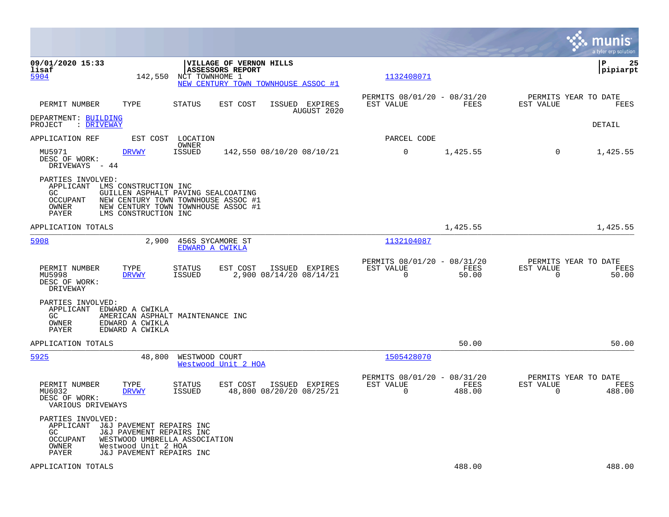|                                                                                                                                                                             |         |                                                                                                                  |                                                                                           |                                            |                                                         |                |                       | munis<br>a tyler erp solution          |
|-----------------------------------------------------------------------------------------------------------------------------------------------------------------------------|---------|------------------------------------------------------------------------------------------------------------------|-------------------------------------------------------------------------------------------|--------------------------------------------|---------------------------------------------------------|----------------|-----------------------|----------------------------------------|
| 09/01/2020 15:33<br>lisaf<br>5904                                                                                                                                           | 142,550 | NCT TOWNHOME 1                                                                                                   | <b>VILLAGE OF VERNON HILLS</b><br>ASSESSORS REPORT<br>NEW CENTURY TOWN TOWNHOUSE ASSOC #1 |                                            | 1132408071                                              |                |                       | lР<br>25<br> pipiarpt                  |
| PERMIT NUMBER<br>TYPE<br>DEPARTMENT: BUILDING                                                                                                                               |         | STATUS                                                                                                           | EST COST                                                                                  | ISSUED EXPIRES<br>AUGUST 2020              | PERMITS 08/01/20 - 08/31/20<br>EST VALUE                | FEES           | EST VALUE             | PERMITS YEAR TO DATE<br>FEES           |
| PROJECT : DRIVEWAY                                                                                                                                                          |         |                                                                                                                  |                                                                                           |                                            |                                                         |                |                       | DETAIL                                 |
| APPLICATION REF                                                                                                                                                             |         | EST COST LOCATION                                                                                                |                                                                                           |                                            | PARCEL CODE                                             |                |                       |                                        |
| MU5971<br><b>DRVWY</b><br>DESC OF WORK:<br>DRIVEWAYS - 44                                                                                                                   |         | OWNER<br>ISSUED                                                                                                  |                                                                                           | 142,550 08/10/20 08/10/21                  | $\mathbf 0$                                             | 1,425.55       | $\Omega$              | 1,425.55                               |
| PARTIES INVOLVED:<br>APPLICANT LMS CONSTRUCTION INC<br>GC.<br>OCCUPANT<br>OWNER<br>LMS CONSTRUCTION INC<br>PAYER                                                            |         | GUILLEN ASPHALT PAVING SEALCOATING<br>NEW CENTURY TOWN TOWNHOUSE ASSOC #1<br>NEW CENTURY TOWN TOWNHOUSE ASSOC #1 |                                                                                           |                                            |                                                         |                |                       |                                        |
| APPLICATION TOTALS                                                                                                                                                          |         |                                                                                                                  |                                                                                           |                                            |                                                         | 1,425.55       |                       | 1,425.55                               |
| 5908                                                                                                                                                                        | 2,900   | 456S SYCAMORE ST<br>EDWARD A CWIKLA                                                                              |                                                                                           |                                            | 1132104087                                              |                |                       |                                        |
| PERMIT NUMBER<br>TYPE<br>MU5998<br><b>DRVWY</b><br>DESC OF WORK:<br>DRIVEWAY                                                                                                |         | <b>STATUS</b><br>ISSUED                                                                                          | EST COST                                                                                  | ISSUED EXPIRES<br>2,900 08/14/20 08/14/21  | PERMITS 08/01/20 - 08/31/20<br>EST VALUE<br>$\Omega$    | FEES<br>50.00  | EST VALUE<br>$\Omega$ | PERMITS YEAR TO DATE<br>FEES<br>50.00  |
| PARTIES INVOLVED:<br>APPLICANT EDWARD A CWIKLA<br>GC.<br>OWNER<br>EDWARD A CWIKLA<br>PAYER<br>EDWARD A CWIKLA                                                               |         | AMERICAN ASPHALT MAINTENANCE INC                                                                                 |                                                                                           |                                            |                                                         |                |                       |                                        |
| APPLICATION TOTALS                                                                                                                                                          |         |                                                                                                                  |                                                                                           |                                            |                                                         | 50.00          |                       | 50.00                                  |
| 5925                                                                                                                                                                        | 48,800  | WESTWOOD COURT                                                                                                   | Westwood Unit 2 HOA                                                                       |                                            | 1505428070                                              |                |                       |                                        |
| PERMIT NUMBER<br>TYPE<br>MU6032<br><b>DRVWY</b><br>DESC OF WORK:<br>VARIOUS DRIVEWAYS                                                                                       |         | <b>STATUS</b><br>ISSUED                                                                                          | EST COST                                                                                  | ISSUED EXPIRES<br>48,800 08/20/20 08/25/21 | PERMITS 08/01/20 - 08/31/20<br>EST VALUE<br>$\mathbf 0$ | FEES<br>488.00 | EST VALUE<br>$\Omega$ | PERMITS YEAR TO DATE<br>FEES<br>488.00 |
| PARTIES INVOLVED:<br>APPLICANT J&J PAVEMENT REPAIRS INC<br>GC.<br>J&J PAVEMENT REPAIRS INC<br>OCCUPANT<br>OWNER<br>Westwood Unit 2 HOA<br>PAYER<br>J&J PAVEMENT REPAIRS INC |         | WESTWOOD UMBRELLA ASSOCIATION                                                                                    |                                                                                           |                                            |                                                         |                |                       |                                        |
| APPLICATION TOTALS                                                                                                                                                          |         |                                                                                                                  |                                                                                           |                                            |                                                         | 488.00         |                       | 488.00                                 |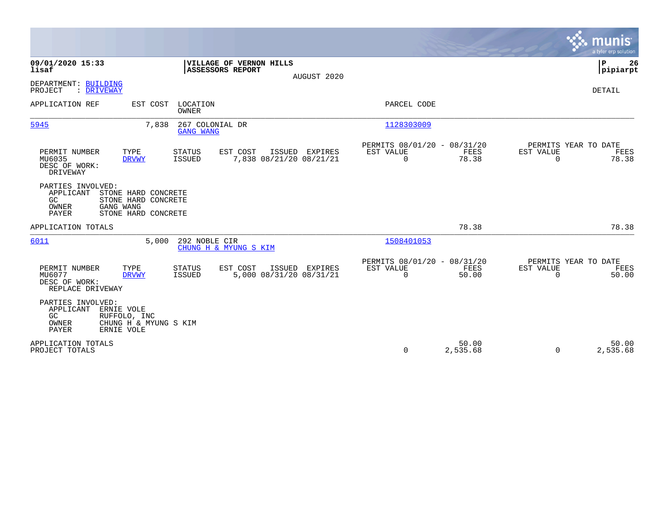|                                                               |                                                                                |                                        |                                               |                |                                                      |                   |                                                  | munis<br>a tyler erp solution |
|---------------------------------------------------------------|--------------------------------------------------------------------------------|----------------------------------------|-----------------------------------------------|----------------|------------------------------------------------------|-------------------|--------------------------------------------------|-------------------------------|
| 09/01/2020 15:33<br>lisaf                                     |                                                                                | <b>ASSESSORS REPORT</b>                | VILLAGE OF VERNON HILLS                       |                |                                                      |                   |                                                  | ΙP<br>26<br> pipiarpt         |
| DEPARTMENT: BUILDING<br>: DRIVEWAY<br>PROJECT                 |                                                                                |                                        |                                               | AUGUST 2020    |                                                      |                   |                                                  | DETAIL                        |
| APPLICATION REF                                               |                                                                                | EST COST LOCATION<br><b>OWNER</b>      |                                               |                | PARCEL CODE                                          |                   |                                                  |                               |
| 5945                                                          | 7,838                                                                          | 267 COLONIAL DR<br><b>GANG WANG</b>    |                                               |                | 1128303009                                           |                   |                                                  |                               |
| PERMIT NUMBER<br>MU6035<br>DESC OF WORK:<br>DRIVEWAY          | TYPE<br><b>DRVWY</b>                                                           | <b>STATUS</b><br><b>ISSUED</b>         | EST COST<br>7,838 08/21/20 08/21/21           | ISSUED EXPIRES | PERMITS 08/01/20 - 08/31/20<br>EST VALUE<br>$\Omega$ | FEES<br>78.38     | PERMITS YEAR TO DATE<br>EST VALUE<br>$\Omega$    | FEES<br>78.38                 |
| PARTIES INVOLVED:<br>APPLICANT<br>GC<br>OWNER<br>PAYER        | STONE HARD CONCRETE<br>STONE HARD CONCRETE<br>GANG WANG<br>STONE HARD CONCRETE |                                        |                                               |                |                                                      |                   |                                                  |                               |
| APPLICATION TOTALS                                            |                                                                                |                                        |                                               |                |                                                      | 78.38             |                                                  | 78.38                         |
| 6011                                                          | 5,000                                                                          | 292 NOBLE CIR<br>CHUNG H & MYUNG S KIM |                                               |                | 1508401053                                           |                   |                                                  |                               |
| PERMIT NUMBER<br>MU6077<br>DESC OF WORK:<br>REPLACE DRIVEWAY  | TYPE<br><b>DRVWY</b>                                                           | <b>STATUS</b><br><b>ISSUED</b>         | EST COST<br>ISSUED<br>5,000 08/31/20 08/31/21 | EXPIRES        | PERMITS 08/01/20 - 08/31/20<br>EST VALUE<br>0        | FEES<br>50.00     | PERMITS YEAR TO DATE<br>EST VALUE<br>$\mathbf 0$ | FEES<br>50.00                 |
| PARTIES INVOLVED:<br>APPLICANT<br>GC<br>OWNER<br><b>PAYER</b> | ERNIE VOLE<br>RUFFOLO, INC<br>CHUNG H & MYUNG S KIM<br>ERNIE VOLE              |                                        |                                               |                |                                                      |                   |                                                  |                               |
| APPLICATION TOTALS<br>PROJECT TOTALS                          |                                                                                |                                        |                                               |                | 0                                                    | 50.00<br>2,535.68 | $\Omega$                                         | 50.00<br>2,535.68             |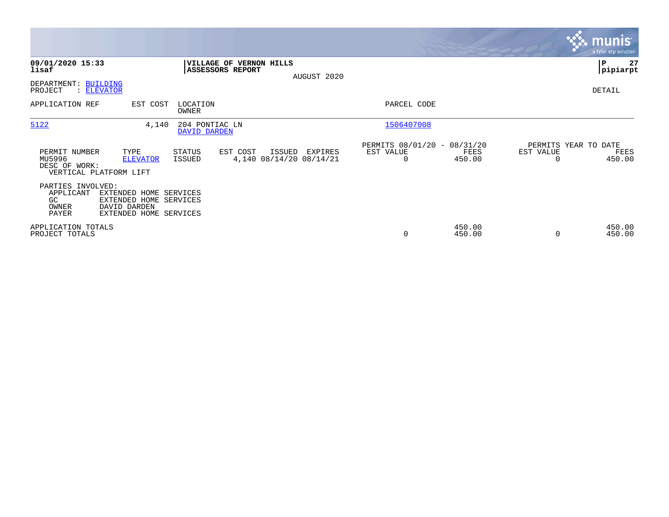|                                                        |                                                                                            |                                             |                                              |                                                      |                  |           | <b>munis</b><br>a tyler erp solution   |
|--------------------------------------------------------|--------------------------------------------------------------------------------------------|---------------------------------------------|----------------------------------------------|------------------------------------------------------|------------------|-----------|----------------------------------------|
| 09/01/2020 15:33<br>lisaf                              |                                                                                            | VILLAGE OF VERNON HILLS<br>ASSESSORS REPORT | AUGUST 2020                                  |                                                      |                  |           | IΡ<br>27<br> pipiarpt                  |
| DEPARTMENT:<br>PROJECT                                 | <b>BUILDING</b><br>: ELEVATOR                                                              |                                             |                                              |                                                      |                  |           | DETAIL                                 |
| APPLICATION REF                                        | EST COST                                                                                   | LOCATION<br>OWNER                           |                                              | PARCEL CODE                                          |                  |           |                                        |
| 5122                                                   | 4,140                                                                                      | 204 PONTIAC LN<br>DAVID DARDEN              |                                              | 1506407008                                           |                  |           |                                        |
| PERMIT NUMBER<br>MU5996<br>DESC OF WORK:               | TYPE<br><b>ELEVATOR</b><br>VERTICAL PLATFORM LIFT                                          | EST COST<br>STATUS<br>ISSUED                | ISSUED<br>EXPIRES<br>4,140 08/14/20 08/14/21 | PERMITS 08/01/20 - 08/31/20<br>EST VALUE<br>$\Omega$ | FEES<br>450.00   | EST VALUE | PERMITS YEAR TO DATE<br>FEES<br>450.00 |
| PARTIES INVOLVED:<br>APPLICANT<br>GC<br>OWNER<br>PAYER | EXTENDED HOME SERVICES<br>EXTENDED HOME SERVICES<br>DAVID DARDEN<br>EXTENDED HOME SERVICES |                                             |                                              |                                                      |                  |           |                                        |
| APPLICATION TOTALS<br>PROJECT TOTALS                   |                                                                                            |                                             |                                              | 0                                                    | 450.00<br>450.00 | $\Omega$  | 450.00<br>450.00                       |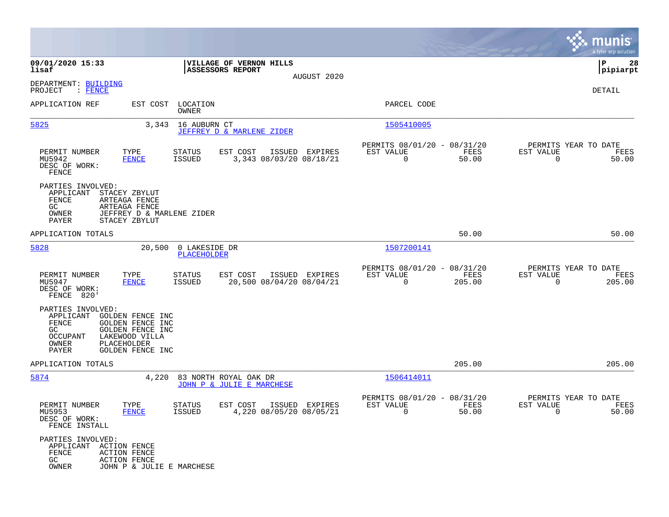|                                                                                                                                                                                              |                                                                                  |                                                                             | munis<br>a tyler erp solution                                        |
|----------------------------------------------------------------------------------------------------------------------------------------------------------------------------------------------|----------------------------------------------------------------------------------|-----------------------------------------------------------------------------|----------------------------------------------------------------------|
| 09/01/2020 15:33<br>lisaf                                                                                                                                                                    | VILLAGE OF VERNON HILLS<br>ASSESSORS REPORT                                      |                                                                             | l P<br>28<br> pipiarpt                                               |
| DEPARTMENT: BUILDING<br>PROJECT<br>$\colon$ FENCE                                                                                                                                            | AUGUST 2020                                                                      |                                                                             | DETAIL                                                               |
| APPLICATION REF                                                                                                                                                                              | EST COST LOCATION<br>OWNER                                                       | PARCEL CODE                                                                 |                                                                      |
| 5825                                                                                                                                                                                         | 3,343 16 AUBURN CT<br>JEFFREY D & MARLENE ZIDER                                  | 1505410005                                                                  |                                                                      |
| PERMIT NUMBER<br>TYPE<br>MU5942<br><b>FENCE</b><br>DESC OF WORK:<br>FENCE                                                                                                                    | EST COST<br>ISSUED EXPIRES<br>STATUS<br><b>ISSUED</b><br>3,343 08/03/20 08/18/21 | PERMITS 08/01/20 - 08/31/20<br>EST VALUE<br>FEES<br>$\overline{0}$<br>50.00 | PERMITS YEAR TO DATE<br>EST VALUE<br>FEES<br>$\Omega$<br>50.00       |
| PARTIES INVOLVED:<br>APPLICANT<br>STACEY ZBYLUT<br>FENCE<br>ARTEAGA FENCE<br>GC.<br>ARTEAGA FENCE<br>OWNER<br>PAYER<br>STACEY ZBYLUT                                                         | JEFFREY D & MARLENE ZIDER                                                        |                                                                             |                                                                      |
| APPLICATION TOTALS                                                                                                                                                                           |                                                                                  | 50.00                                                                       | 50.00                                                                |
| 5828                                                                                                                                                                                         | 20,500<br>0 LAKESIDE DR<br>PLACEHOLDER                                           | 1507200141                                                                  |                                                                      |
| PERMIT NUMBER<br>TYPE<br>MU5947<br><b>FENCE</b><br>DESC OF WORK:<br>FENCE 820'                                                                                                               | STATUS<br>EST COST<br>ISSUED EXPIRES<br>ISSUED<br>20,500 08/04/20 08/04/21       | PERMITS 08/01/20 - 08/31/20<br>EST VALUE<br>FEES<br>205.00<br>$\mathbf 0$   | PERMITS YEAR TO DATE<br>EST VALUE<br>FEES<br>$\mathbf 0$<br>205.00   |
| PARTIES INVOLVED:<br>APPLICANT<br>GOLDEN FENCE INC<br>FENCE<br>GOLDEN FENCE INC<br>GC<br>GOLDEN FENCE INC<br>OCCUPANT<br>LAKEWOOD VILLA<br>OWNER<br>PLACEHOLDER<br>PAYER<br>GOLDEN FENCE INC |                                                                                  |                                                                             |                                                                      |
| APPLICATION TOTALS                                                                                                                                                                           |                                                                                  | 205.00                                                                      | 205.00                                                               |
| 5874                                                                                                                                                                                         | 4,220<br>83 NORTH ROYAL OAK DR<br>JOHN P & JULIE E MARCHESE                      | 1506414011                                                                  |                                                                      |
| PERMIT NUMBER<br>TYPE<br>MU5953<br><b>FENCE</b><br>DESC OF WORK:<br>FENCE INSTALL                                                                                                            | EST COST<br>ISSUED EXPIRES<br><b>STATUS</b><br>ISSUED<br>4,220 08/05/20 08/05/21 | PERMITS 08/01/20 - 08/31/20<br>EST VALUE<br>FEES<br>$\overline{0}$<br>50.00 | PERMITS YEAR TO DATE<br>EST VALUE<br>FEES<br>50.00<br>$\overline{0}$ |
| PARTIES INVOLVED:<br>APPLICANT ACTION FENCE<br>FENCE<br><b>ACTION FENCE</b><br>GC<br><b>ACTION FENCE</b><br>OWNER                                                                            | JOHN P & JULIE E MARCHESE                                                        |                                                                             |                                                                      |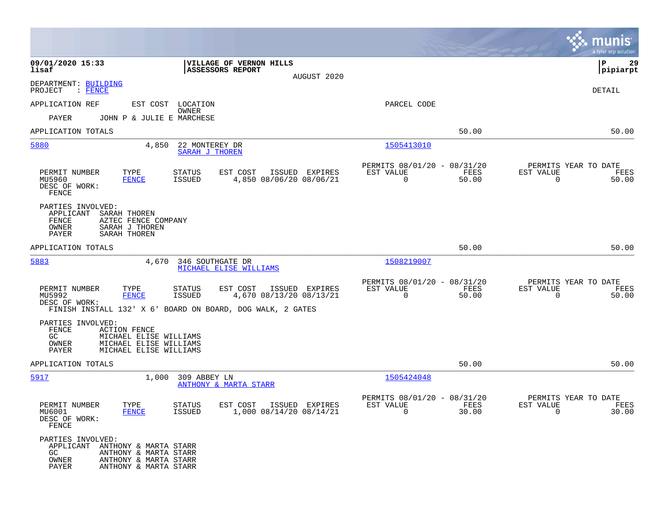|                                                                                                                                                                       |                                                                                                                                         |                                                                      |                                              | munis<br>a tyler erp solution         |
|-----------------------------------------------------------------------------------------------------------------------------------------------------------------------|-----------------------------------------------------------------------------------------------------------------------------------------|----------------------------------------------------------------------|----------------------------------------------|---------------------------------------|
| 09/01/2020 15:33<br>lisaf                                                                                                                                             | VILLAGE OF VERNON HILLS<br><b>ASSESSORS REPORT</b>                                                                                      |                                                                      |                                              | 29<br>ΙP<br> pipiarpt                 |
| DEPARTMENT: BUILDING<br>PROJECT<br>$\mathbb{F}$ $\mathbb{F}$ $\mathbb{E}$ $\mathbb{N}$ $\mathbb{C}$ $\mathbb{E}$                                                      | AUGUST 2020                                                                                                                             |                                                                      |                                              | DETAIL                                |
| APPLICATION REF<br>EST COST LOCATION                                                                                                                                  |                                                                                                                                         | PARCEL CODE                                                          |                                              |                                       |
| PAYER<br>JOHN P & JULIE E MARCHESE                                                                                                                                    | <b>OWNER</b>                                                                                                                            |                                                                      |                                              |                                       |
| APPLICATION TOTALS                                                                                                                                                    |                                                                                                                                         |                                                                      | 50.00                                        | 50.00                                 |
| 5880<br>4,850                                                                                                                                                         | 22 MONTEREY DR<br>SARAH J THOREN                                                                                                        | 1505413010                                                           |                                              |                                       |
| TYPE<br>PERMIT NUMBER<br>MU5960<br><b>FENCE</b><br>DESC OF WORK:<br>FENCE                                                                                             | ISSUED EXPIRES<br><b>STATUS</b><br>EST COST<br>4,850 08/06/20 08/06/21<br>ISSUED                                                        | PERMITS 08/01/20 - 08/31/20<br>EST VALUE<br>$\mathbf 0$              | FEES<br>EST VALUE<br>50.00<br>$\mathbf 0$    | PERMITS YEAR TO DATE<br>FEES<br>50.00 |
| PARTIES INVOLVED:<br>APPLICANT<br>SARAH THOREN<br>FENCE<br>AZTEC FENCE COMPANY<br>OWNER<br>SARAH J THOREN<br>PAYER<br>SARAH THOREN                                    |                                                                                                                                         |                                                                      |                                              |                                       |
| APPLICATION TOTALS                                                                                                                                                    |                                                                                                                                         |                                                                      | 50.00                                        | 50.00                                 |
| 5883<br>4,670                                                                                                                                                         | 346 SOUTHGATE DR<br>MICHAEL ELISE WILLIAMS                                                                                              | 1508219007                                                           |                                              |                                       |
| PERMIT NUMBER<br>TYPE<br>MU5992<br><b>FENCE</b><br>DESC OF WORK:                                                                                                      | EST COST<br>STATUS<br>ISSUED EXPIRES<br>4,670 08/13/20 08/13/21<br>ISSUED<br>FINISH INSTALL 132' X 6' BOARD ON BOARD, DOG WALK, 2 GATES | PERMITS 08/01/20 - 08/31/20<br>EST VALUE<br>0                        | FEES<br>EST VALUE<br>50.00<br>$\mathbf 0$    | PERMITS YEAR TO DATE<br>FEES<br>50.00 |
| PARTIES INVOLVED:<br><b>FENCE</b><br><b>ACTION FENCE</b><br>GC<br>MICHAEL ELISE WILLIAMS<br>OWNER<br>MICHAEL ELISE WILLIAMS<br><b>PAYER</b><br>MICHAEL ELISE WILLIAMS |                                                                                                                                         |                                                                      |                                              |                                       |
| APPLICATION TOTALS                                                                                                                                                    |                                                                                                                                         |                                                                      | 50.00                                        | 50.00                                 |
| 5917<br>1,000                                                                                                                                                         | 309 ABBEY LN<br><b>ANTHONY &amp; MARTA STARR</b>                                                                                        | 1505424048                                                           |                                              |                                       |
| PERMIT NUMBER<br>TYPE<br>MU6001<br><b>FENCE</b><br>DESC OF WORK:<br>FENCE                                                                                             | <b>STATUS</b><br>EST COST<br>ISSUED EXPIRES<br>1,000 08/14/20 08/14/21<br>ISSUED                                                        | PERMITS 08/01/20 - 08/31/20<br>EST VALUE<br>$\overline{\phantom{0}}$ | FEES<br>EST VALUE<br>30.00<br>$\overline{0}$ | PERMITS YEAR TO DATE<br>FEES<br>30.00 |
| PARTIES INVOLVED:<br>APPLICANT ANTHONY & MARTA STARR<br>GC<br>ANTHONY & MARTA STARR<br>OWNER<br>ANTHONY & MARTA STARR<br>PAYER<br>ANTHONY & MARTA STARR               |                                                                                                                                         |                                                                      |                                              |                                       |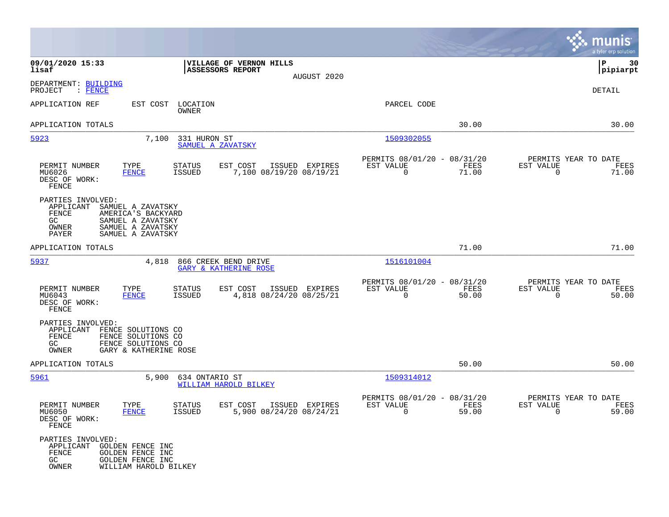|                                                                                                                                                      |                                                                                         |                                               |                |                                                         |               |                                                  | munis<br>a tyler erp solution |
|------------------------------------------------------------------------------------------------------------------------------------------------------|-----------------------------------------------------------------------------------------|-----------------------------------------------|----------------|---------------------------------------------------------|---------------|--------------------------------------------------|-------------------------------|
| 09/01/2020 15:33<br>lisaf                                                                                                                            |                                                                                         | VILLAGE OF VERNON HILLS<br>ASSESSORS REPORT   |                |                                                         |               |                                                  | P<br>30<br> pipiarpt          |
| DEPARTMENT: BUILDING                                                                                                                                 |                                                                                         |                                               | AUGUST 2020    |                                                         |               |                                                  |                               |
| PROJECT<br>$:$ FENCE                                                                                                                                 |                                                                                         |                                               |                |                                                         |               |                                                  | DETAIL                        |
| APPLICATION REF                                                                                                                                      | EST COST<br>LOCATION<br>OWNER                                                           |                                               |                | PARCEL CODE                                             |               |                                                  |                               |
| APPLICATION TOTALS                                                                                                                                   |                                                                                         |                                               |                |                                                         | 30.00         |                                                  | 30.00                         |
| 5923                                                                                                                                                 | 7,100<br>331 HURON ST<br>SAMUEL A ZAVATSKY                                              |                                               |                | 1509302055                                              |               |                                                  |                               |
| TYPE<br>PERMIT NUMBER<br>MU6026<br><b>FENCE</b><br>DESC OF WORK:<br>FENCE                                                                            | STATUS<br>ISSUED                                                                        | EST COST<br>7,100 08/19/20 08/19/21           | ISSUED EXPIRES | PERMITS 08/01/20 - 08/31/20<br>EST VALUE<br>0           | FEES<br>71.00 | PERMITS YEAR TO DATE<br>EST VALUE<br>0           | FEES<br>71.00                 |
| PARTIES INVOLVED:<br>APPLICANT<br>SAMUEL A ZAVATSKY<br>FENCE<br>GC.<br>SAMUEL A ZAVATSKY<br>OWNER<br>SAMUEL A ZAVATSKY<br>PAYER<br>SAMUEL A ZAVATSKY | AMERICA'S BACKYARD                                                                      |                                               |                |                                                         |               |                                                  |                               |
| APPLICATION TOTALS                                                                                                                                   |                                                                                         |                                               |                |                                                         | 71.00         |                                                  | 71.00                         |
| 5937                                                                                                                                                 | 4,818                                                                                   | 866 CREEK BEND DRIVE<br>GARY & KATHERINE ROSE |                | 1516101004                                              |               |                                                  |                               |
| PERMIT NUMBER<br>TYPE<br>MU6043<br><b>FENCE</b><br>DESC OF WORK:<br>FENCE                                                                            | <b>STATUS</b><br>ISSUED                                                                 | EST COST<br>ISSUED<br>4,818 08/24/20 08/25/21 | EXPIRES        | PERMITS 08/01/20 - 08/31/20<br>EST VALUE<br>$\mathbf 0$ | FEES<br>50.00 | PERMITS YEAR TO DATE<br>EST VALUE<br>$\mathbf 0$ | FEES<br>50.00                 |
| PARTIES INVOLVED:<br>APPLICANT<br>FENCE<br>GC<br>OWNER                                                                                               | FENCE SOLUTIONS CO<br>FENCE SOLUTIONS CO<br>FENCE SOLUTIONS CO<br>GARY & KATHERINE ROSE |                                               |                |                                                         |               |                                                  |                               |
| APPLICATION TOTALS                                                                                                                                   |                                                                                         |                                               |                |                                                         | 50.00         |                                                  | 50.00                         |
| 5961                                                                                                                                                 | 5,900<br>634 ONTARIO ST                                                                 | <b>WILLIAM HAROLD BILKEY</b>                  |                | 1509314012                                              |               |                                                  |                               |
| TYPE<br>PERMIT NUMBER<br><b>FENCE</b><br>MU6050<br>DESC OF WORK:<br>FENCE                                                                            | STATUS<br>ISSUED                                                                        | EST COST<br>5,900 08/24/20 08/24/21           | ISSUED EXPIRES | PERMITS 08/01/20 - 08/31/20<br>EST VALUE<br>0           | FEES<br>59.00 | PERMITS YEAR TO DATE<br>EST VALUE<br>0           | FEES<br>59.00                 |
| PARTIES INVOLVED:<br>APPLICANT<br><b>GOLDEN FENCE INC</b><br>FENCE<br>GOLDEN FENCE INC<br>GC<br><b>GOLDEN FENCE INC</b><br>OWNER                     | WILLIAM HAROLD BILKEY                                                                   |                                               |                |                                                         |               |                                                  |                               |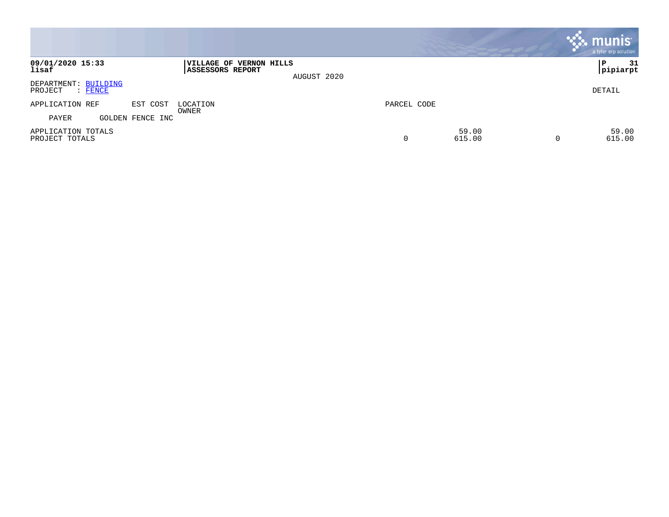|                                                   |                               |                                                                   |             |                 | <b>munis</b><br>a tyler erp solution |
|---------------------------------------------------|-------------------------------|-------------------------------------------------------------------|-------------|-----------------|--------------------------------------|
| 09/01/2020 15:33<br>lisaf                         |                               | VILLAGE OF VERNON HILLS<br><b>ASSESSORS REPORT</b><br>AUGUST 2020 |             |                 | 31<br>P<br> pipiarpt                 |
| DEPARTMENT: BUILDING<br>PROJECT<br>$\colon$ FENCE |                               |                                                                   |             |                 | DETAIL                               |
| APPLICATION REF                                   | EST COST<br>LOCATION<br>OWNER |                                                                   | PARCEL CODE |                 |                                      |
| PAYER                                             | GOLDEN FENCE INC              |                                                                   |             |                 |                                      |
| APPLICATION TOTALS<br>PROJECT TOTALS              |                               |                                                                   | 0           | 59.00<br>615.00 | 59.00<br>615.00                      |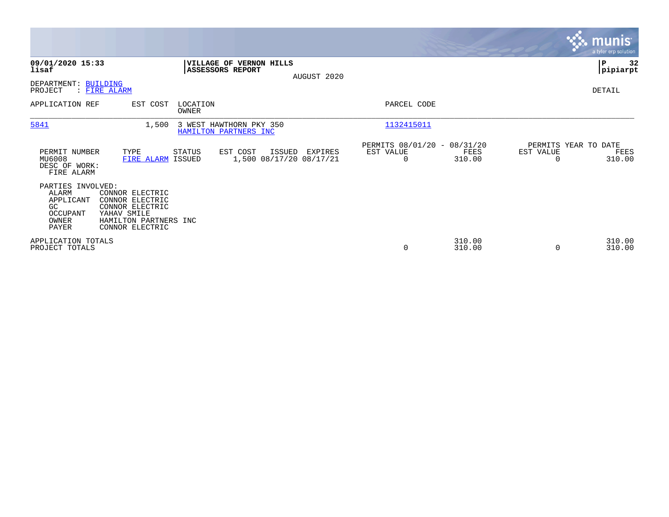|                                                                              |                                                                                                                  |                   |                                                  |             |                                               |                  |           | <b>munis</b><br>a tyler erp solution   |
|------------------------------------------------------------------------------|------------------------------------------------------------------------------------------------------------------|-------------------|--------------------------------------------------|-------------|-----------------------------------------------|------------------|-----------|----------------------------------------|
| 09/01/2020 15:33<br>lisaf                                                    |                                                                                                                  | ASSESSORS REPORT  | VILLAGE OF VERNON HILLS                          | AUGUST 2020 |                                               |                  |           | 32<br>∣₽<br> pipiarpt                  |
| DEPARTMENT: BUILDING<br>PROJECT                                              | : FIRE ALARM                                                                                                     |                   |                                                  |             |                                               |                  |           | DETAIL                                 |
| APPLICATION REF                                                              | EST COST                                                                                                         | LOCATION<br>OWNER |                                                  |             | PARCEL CODE                                   |                  |           |                                        |
| 5841                                                                         | 1,500                                                                                                            |                   | 3 WEST HAWTHORN PKY 350<br>HAMILTON PARTNERS INC |             | 1132415011                                    |                  |           |                                        |
| PERMIT NUMBER<br>MU6008<br>DESC OF WORK:<br>FIRE ALARM                       | TYPE<br>FIRE ALARM ISSUED                                                                                        | STATUS            | EST COST<br>ISSUED<br>1,500 08/17/20 08/17/21    | EXPIRES     | PERMITS 08/01/20 - 08/31/20<br>EST VALUE<br>0 | FEES<br>310.00   | EST VALUE | PERMITS YEAR TO DATE<br>FEES<br>310.00 |
| PARTIES INVOLVED:<br>ALARM<br>APPLICANT<br>GC.<br>OCCUPANT<br>OWNER<br>PAYER | CONNOR ELECTRIC<br>CONNOR ELECTRIC<br>CONNOR ELECTRIC<br>YAHAV SMILE<br>HAMILTON PARTNERS INC<br>CONNOR ELECTRIC |                   |                                                  |             |                                               |                  |           |                                        |
| APPLICATION TOTALS<br>PROJECT TOTALS                                         |                                                                                                                  |                   |                                                  |             | $\mathbf 0$                                   | 310.00<br>310.00 | $\Omega$  | 310.00<br>310.00                       |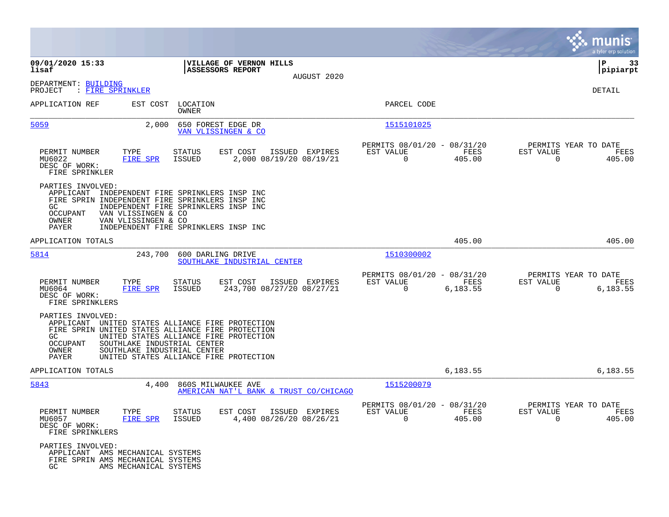|                                                                                                                                                                                                                               |                                                                                                                      |                                                                          | munis<br>a tyler erp solution                                      |
|-------------------------------------------------------------------------------------------------------------------------------------------------------------------------------------------------------------------------------|----------------------------------------------------------------------------------------------------------------------|--------------------------------------------------------------------------|--------------------------------------------------------------------|
| 09/01/2020 15:33<br>lisaf                                                                                                                                                                                                     | VILLAGE OF VERNON HILLS<br><b>ASSESSORS REPORT</b><br>AUGUST 2020                                                    |                                                                          | P<br>33<br> pipiarpt                                               |
| DEPARTMENT: BUILDING<br>: <u>FIRE SPRINKLER</u><br>PROJECT                                                                                                                                                                    |                                                                                                                      |                                                                          | <b>DETAIL</b>                                                      |
| APPLICATION REF<br>EST COST                                                                                                                                                                                                   | LOCATION<br>OWNER                                                                                                    | PARCEL CODE                                                              |                                                                    |
| 5059<br>2,000                                                                                                                                                                                                                 | 650 FOREST EDGE DR<br>VAN VLISSINGEN & CO                                                                            | 1515101025                                                               |                                                                    |
| PERMIT NUMBER<br>TYPE<br>MU6022<br>FIRE SPR<br>DESC OF WORK:<br>FIRE SPRINKLER                                                                                                                                                | <b>STATUS</b><br>EST COST<br>ISSUED EXPIRES<br>ISSUED<br>2,000 08/19/20 08/19/21                                     | PERMITS 08/01/20 - 08/31/20<br>EST VALUE<br>FEES<br>0<br>405.00          | PERMITS YEAR TO DATE<br>EST VALUE<br>FEES<br>$\mathbf 0$<br>405.00 |
| PARTIES INVOLVED:<br>APPLICANT<br>FIRE SPRIN INDEPENDENT FIRE SPRINKLERS INSP INC<br>GC.<br><b>OCCUPANT</b><br>VAN VLISSINGEN & CO<br>OWNER<br>VAN VLISSINGEN & CO<br>PAYER                                                   | INDEPENDENT FIRE SPRINKLERS INSP INC<br>INDEPENDENT FIRE SPRINKLERS INSP INC<br>INDEPENDENT FIRE SPRINKLERS INSP INC |                                                                          |                                                                    |
| APPLICATION TOTALS                                                                                                                                                                                                            |                                                                                                                      | 405.00                                                                   | 405.00                                                             |
| 5814<br>243,700                                                                                                                                                                                                               | 600 DARLING DRIVE<br>SOUTHLAKE INDUSTRIAL CENTER                                                                     | 1510300002                                                               |                                                                    |
| PERMIT NUMBER<br>TYPE<br><b>FIRE SPR</b><br>MU6064<br>DESC OF WORK:<br>FIRE SPRINKLERS                                                                                                                                        | <b>STATUS</b><br>EST COST<br>ISSUED EXPIRES<br><b>ISSUED</b><br>243,700 08/27/20 08/27/21                            | PERMITS 08/01/20 - 08/31/20<br>EST VALUE<br>FEES<br>$\Omega$<br>6,183.55 | PERMITS YEAR TO DATE<br>EST VALUE<br>FEES<br>$\Omega$<br>6,183.55  |
| PARTIES INVOLVED:<br>APPLICANT UNITED STATES ALLIANCE FIRE PROTECTION<br>FIRE SPRIN UNITED STATES ALLIANCE FIRE PROTECTION<br>GC.<br>SOUTHLAKE INDUSTRIAL CENTER<br>OCCUPANT<br>OWNER<br>SOUTHLAKE INDUSTRIAL CENTER<br>PAYER | UNITED STATES ALLIANCE FIRE PROTECTION<br>UNITED STATES ALLIANCE FIRE PROTECTION                                     |                                                                          |                                                                    |
| APPLICATION TOTALS                                                                                                                                                                                                            |                                                                                                                      | 6,183.55                                                                 | 6,183.55                                                           |
| 5843<br>4,400                                                                                                                                                                                                                 | 860S MILWAUKEE AVE<br>AMERICAN NAT'L BANK & TRUST CO/CHICAGO                                                         | 1515200079                                                               |                                                                    |
| PERMIT NUMBER<br>TYPE<br><b>FIRE SPR</b><br>MU6057<br>DESC OF WORK:<br>FIRE SPRINKLERS                                                                                                                                        | <b>STATUS</b><br>EST COST<br>ISSUED EXPIRES<br>ISSUED<br>4,400 08/26/20 08/26/21                                     | PERMITS 08/01/20 - 08/31/20<br>EST VALUE<br>FEES<br>$\Omega$<br>405.00   | PERMITS YEAR TO DATE<br>EST VALUE<br>FEES<br>$\mathbf 0$<br>405.00 |
| PARTIES INVOLVED:<br>APPLICANT AMS MECHANICAL SYSTEMS<br>FIRE SPRIN AMS MECHANICAL SYSTEMS<br>GC<br>AMS MECHANICAL SYSTEMS                                                                                                    |                                                                                                                      |                                                                          |                                                                    |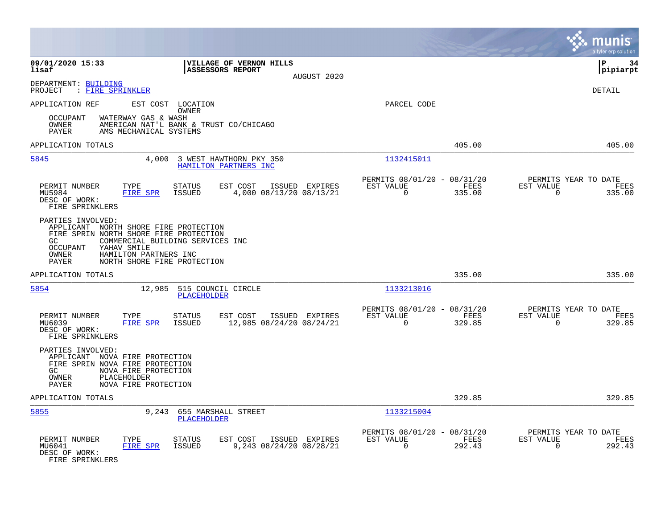|                                                                                                                                                                                                                                                                    |                                                                           | munis<br>a tyler erp solution                                         |
|--------------------------------------------------------------------------------------------------------------------------------------------------------------------------------------------------------------------------------------------------------------------|---------------------------------------------------------------------------|-----------------------------------------------------------------------|
| 09/01/2020 15:33<br>VILLAGE OF VERNON HILLS<br><b>ASSESSORS REPORT</b><br>lisaf<br>AUGUST 2020                                                                                                                                                                     |                                                                           | l P<br>34<br> pipiarpt                                                |
| DEPARTMENT: BUILDING<br>: FIRE SPRINKLER<br>PROJECT                                                                                                                                                                                                                |                                                                           | DETAIL                                                                |
| APPLICATION REF<br>EST COST LOCATION<br><b>OWNER</b>                                                                                                                                                                                                               | PARCEL CODE                                                               |                                                                       |
| OCCUPANT<br>WATERWAY GAS & WASH<br>OWNER<br>AMERICAN NAT'L BANK & TRUST CO/CHICAGO<br>PAYER<br>AMS MECHANICAL SYSTEMS                                                                                                                                              |                                                                           |                                                                       |
| APPLICATION TOTALS                                                                                                                                                                                                                                                 | 405.00                                                                    | 405.00                                                                |
| 5845<br>4,000 3 WEST HAWTHORN PKY 350<br>HAMILTON PARTNERS INC                                                                                                                                                                                                     | 1132415011                                                                |                                                                       |
| PERMIT NUMBER<br>TYPE<br><b>STATUS</b><br>EST COST<br>ISSUED EXPIRES<br><b>FIRE SPR</b><br><b>ISSUED</b><br>4,000 08/13/20 08/13/21<br>MU5984<br>DESC OF WORK:<br>FIRE SPRINKLERS                                                                                  | PERMITS 08/01/20 - 08/31/20<br>FEES<br>EST VALUE<br>$\mathbf 0$<br>335.00 | PERMITS YEAR TO DATE<br>EST VALUE<br>FEES<br>$\overline{0}$<br>335.00 |
| PARTIES INVOLVED:<br>APPLICANT NORTH SHORE FIRE PROTECTION<br>FIRE SPRIN NORTH SHORE FIRE PROTECTION<br>GC.<br>COMMERCIAL BUILDING SERVICES INC<br><b>OCCUPANT</b><br>YAHAV SMILE<br>OWNER<br>HAMILTON PARTNERS INC<br><b>PAYER</b><br>NORTH SHORE FIRE PROTECTION |                                                                           |                                                                       |
| APPLICATION TOTALS                                                                                                                                                                                                                                                 | 335.00                                                                    | 335.00                                                                |
| 5854<br>12,985<br>515 COUNCIL CIRCLE<br><b>PLACEHOLDER</b>                                                                                                                                                                                                         | 1133213016                                                                |                                                                       |
| <b>STATUS</b><br>EST COST<br>PERMIT NUMBER<br>TYPE<br>ISSUED EXPIRES<br>12,985 08/24/20 08/24/21<br>MU6039<br><b>FIRE SPR</b><br>ISSUED<br>DESC OF WORK:<br>FIRE SPRINKLERS                                                                                        | PERMITS 08/01/20 - 08/31/20<br>EST VALUE<br>FEES<br>$\Omega$<br>329.85    | PERMITS YEAR TO DATE<br>EST VALUE<br>FEES<br>329.85<br>$\Omega$       |
| PARTIES INVOLVED:<br>APPLICANT NOVA FIRE PROTECTION<br>FIRE SPRIN NOVA FIRE PROTECTION<br>GC<br>NOVA FIRE PROTECTION<br>PLACEHOLDER<br>OWNER<br>PAYER<br>NOVA FIRE PROTECTION                                                                                      |                                                                           |                                                                       |
| APPLICATION TOTALS                                                                                                                                                                                                                                                 | 329.85                                                                    | 329.85                                                                |
| 5855<br>9,243 655 MARSHALL STREET<br>PLACEHOLDER                                                                                                                                                                                                                   | 1133215004                                                                |                                                                       |
| PERMIT NUMBER<br>TYPE<br>EST COST<br>ISSUED EXPIRES<br>STATUS<br>9,243 08/24/20 08/28/21<br>MU6041<br>FIRE SPR<br>ISSUED<br>DESC OF WORK:<br>FIRE SPRINKLERS                                                                                                       | PERMITS 08/01/20 - 08/31/20<br>EST VALUE<br>FEES<br>$\Omega$<br>292.43    | PERMITS YEAR TO DATE<br>EST VALUE<br>FEES<br>292.43<br>$\Omega$       |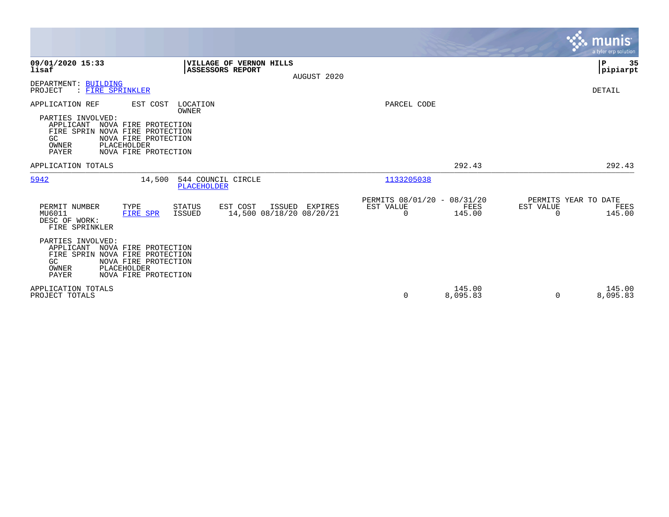|                                                                                                                                                                                                                                             |                                                        |                                               |                    | munis<br>a tyler erp solution                                   |
|---------------------------------------------------------------------------------------------------------------------------------------------------------------------------------------------------------------------------------------------|--------------------------------------------------------|-----------------------------------------------|--------------------|-----------------------------------------------------------------|
| 09/01/2020 15:33<br>ASSESSORS REPORT<br>lisaf                                                                                                                                                                                               | VILLAGE OF VERNON HILLS<br>AUGUST 2020                 |                                               |                    | l P<br>35<br> pipiarpt                                          |
| DEPARTMENT: BUILDING<br>PROJECT<br>: FIRE SPRINKLER                                                                                                                                                                                         |                                                        |                                               |                    | DETAIL                                                          |
| APPLICATION REF<br>EST COST<br>LOCATION<br>OWNER<br>PARTIES INVOLVED:<br>APPLICANT<br>NOVA FIRE PROTECTION<br>FIRE SPRIN NOVA FIRE PROTECTION<br>GC<br>NOVA FIRE PROTECTION<br>OWNER<br>PLACEHOLDER<br><b>PAYER</b><br>NOVA FIRE PROTECTION |                                                        | PARCEL CODE                                   |                    |                                                                 |
| APPLICATION TOTALS                                                                                                                                                                                                                          |                                                        |                                               | 292.43             | 292.43                                                          |
| 5942<br>544 COUNCIL CIRCLE<br>14,500<br><b>PLACEHOLDER</b>                                                                                                                                                                                  |                                                        | 1133205038                                    |                    |                                                                 |
| PERMIT NUMBER<br>TYPE<br>STATUS<br>MU6011<br><b>ISSUED</b><br><b>FIRE SPR</b><br>DESC OF WORK:<br>FIRE SPRINKLER                                                                                                                            | EST COST<br>ISSUED EXPIRES<br>14,500 08/18/20 08/20/21 | PERMITS 08/01/20 - 08/31/20<br>EST VALUE<br>0 | FEES<br>145.00     | PERMITS YEAR TO DATE<br>EST VALUE<br>FEES<br>$\Omega$<br>145.00 |
| PARTIES INVOLVED:<br>APPLICANT<br>NOVA FIRE PROTECTION<br>FIRE SPRIN NOVA FIRE PROTECTION<br>NOVA FIRE PROTECTION<br>GC<br>OWNER<br>PLACEHOLDER<br>PAYER<br>NOVA FIRE PROTECTION                                                            |                                                        |                                               |                    |                                                                 |
| APPLICATION TOTALS<br>PROJECT TOTALS                                                                                                                                                                                                        |                                                        | 0                                             | 145.00<br>8,095.83 | 145.00<br>8,095.83<br>$\Omega$                                  |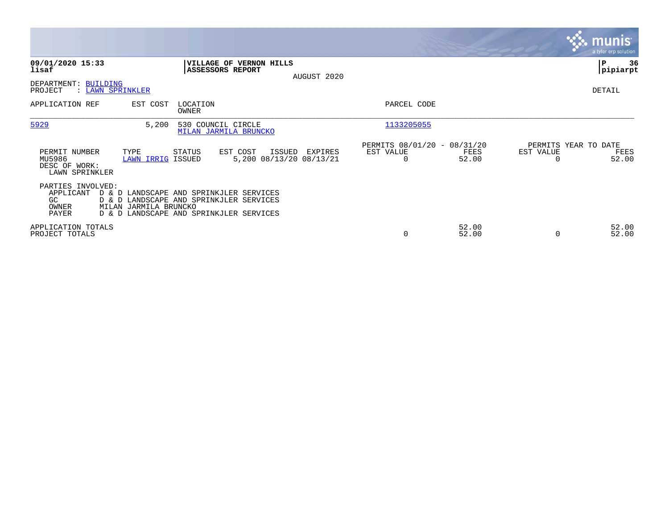|                                                            |                           |                                                                                                                               |                                   |             |                                                      |                |           | $\overline{\mathbf{r}}$ munis<br>a tyler erp solution |
|------------------------------------------------------------|---------------------------|-------------------------------------------------------------------------------------------------------------------------------|-----------------------------------|-------------|------------------------------------------------------|----------------|-----------|-------------------------------------------------------|
| 09/01/2020 15:33<br>lisaf                                  |                           | VILLAGE OF VERNON HILLS<br>ASSESSORS REPORT                                                                                   |                                   | AUGUST 2020 |                                                      |                |           | ∣P<br>36<br> pipiarpt                                 |
| DEPARTMENT: BUILDING<br>PROJECT                            | : LAWN SPRINKLER          |                                                                                                                               |                                   |             |                                                      |                |           | DETAIL                                                |
| APPLICATION REF                                            | EST COST                  | LOCATION<br>OWNER                                                                                                             |                                   |             | PARCEL CODE                                          |                |           |                                                       |
| 5929                                                       | 5,200                     | 530 COUNCIL CIRCLE<br>MILAN JARMILA BRUNCKO                                                                                   |                                   |             | 1133205055                                           |                |           |                                                       |
| PERMIT NUMBER<br>MU5986<br>DESC OF WORK:<br>LAWN SPRINKLER | TYPE<br>LAWN IRRIG ISSUED | EST COST<br>STATUS                                                                                                            | ISSUED<br>5,200 08/13/20 08/13/21 | EXPIRES     | PERMITS 08/01/20 - 08/31/20<br>EST VALUE<br>$\Omega$ | FEES<br>52.00  | EST VALUE | PERMITS YEAR TO DATE<br>FEES<br>52.00                 |
| PARTIES INVOLVED:<br>APPLICANT<br>GC<br>OWNER<br>PAYER     | MILAN JARMILA BRUNCKO     | D & D LANDSCAPE AND SPRINKJLER SERVICES<br>D & D LANDSCAPE AND SPRINKJLER SERVICES<br>D & D LANDSCAPE AND SPRINKJLER SERVICES |                                   |             |                                                      |                |           |                                                       |
| APPLICATION TOTALS<br>PROJECT TOTALS                       |                           |                                                                                                                               |                                   |             | 0                                                    | 52.00<br>52.00 |           | 52.00<br>52.00                                        |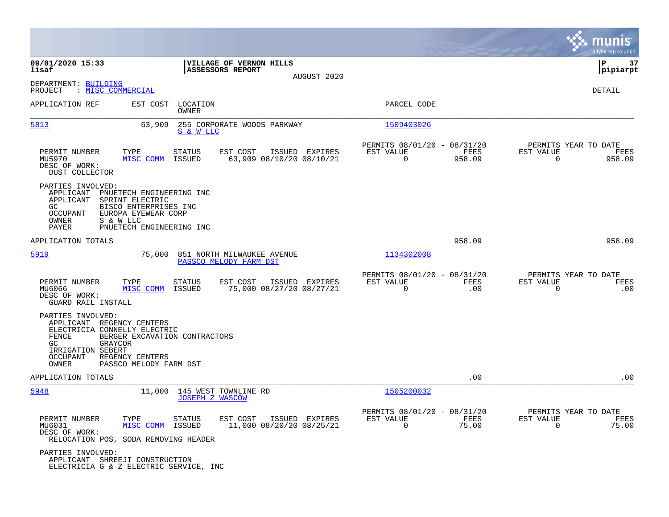|                                                                                                                                                                                                                                         |                                                                                   |                                                                          | munis<br>a tyler erp solution                                   |
|-----------------------------------------------------------------------------------------------------------------------------------------------------------------------------------------------------------------------------------------|-----------------------------------------------------------------------------------|--------------------------------------------------------------------------|-----------------------------------------------------------------|
| 09/01/2020 15:33<br>lisaf                                                                                                                                                                                                               | VILLAGE OF VERNON HILLS<br>ASSESSORS REPORT                                       |                                                                          | P<br>37<br> pipiarpt                                            |
| DEPARTMENT: BUILDING<br>: MISC COMMERCIAL<br>PROJECT                                                                                                                                                                                    | AUGUST 2020                                                                       |                                                                          | DETAIL                                                          |
| APPLICATION REF<br>EST COST                                                                                                                                                                                                             | LOCATION<br>OWNER                                                                 | PARCEL CODE                                                              |                                                                 |
| 5813<br>63,909                                                                                                                                                                                                                          | 255 CORPORATE WOODS PARKWAY<br>S & W LLC                                          | 1509403026                                                               |                                                                 |
| PERMIT NUMBER<br>TYPE<br>MU5970<br>MISC COMM<br>DESC OF WORK:<br>DUST COLLECTOR                                                                                                                                                         | <b>STATUS</b><br>EST COST<br>ISSUED EXPIRES<br>ISSUED<br>63,909 08/10/20 08/10/21 | PERMITS 08/01/20 - 08/31/20<br>EST VALUE<br>FEES<br>$\Omega$<br>958.09   | PERMITS YEAR TO DATE<br>EST VALUE<br>FEES<br>$\Omega$<br>958.09 |
| PARTIES INVOLVED:<br>APPLICANT<br>PNUETECH ENGINEERING INC<br>APPLICANT<br>SPRINT ELECTRIC<br>GC.<br>BISCO ENTERPRISES INC<br><b>OCCUPANT</b><br>EUROPA EYEWEAR CORP<br>OWNER<br>S & W LLC<br>PAYER<br>PNUETECH ENGINEERING INC         |                                                                                   |                                                                          |                                                                 |
| APPLICATION TOTALS                                                                                                                                                                                                                      |                                                                                   | 958.09                                                                   | 958.09                                                          |
| 5919<br>75,000                                                                                                                                                                                                                          | 851 NORTH MILWAUKEE AVENUE<br>PASSCO MELODY FARM DST                              | 1134302008                                                               |                                                                 |
| PERMIT NUMBER<br>TYPE<br>MU6066<br>MISC COMM<br>DESC OF WORK:<br>GUARD RAIL INSTALL                                                                                                                                                     | <b>STATUS</b><br>EST COST<br>ISSUED EXPIRES<br>ISSUED<br>75,000 08/27/20 08/27/21 | PERMITS 08/01/20 - 08/31/20<br>EST VALUE<br>FEES<br>$\Omega$<br>.00      | PERMITS YEAR TO DATE<br>EST VALUE<br>FEES<br>0<br>.00           |
| PARTIES INVOLVED:<br>APPLICANT REGENCY CENTERS<br>ELECTRICIA CONNELLY ELECTRIC<br>FENCE<br>BERGER EXCAVATION CONTRACTORS<br>GC<br>GRAYCOR<br>IRRIGATION SEBERT<br><b>OCCUPANT</b><br>REGENCY CENTERS<br>OWNER<br>PASSCO MELODY FARM DST |                                                                                   |                                                                          |                                                                 |
| APPLICATION TOTALS                                                                                                                                                                                                                      |                                                                                   | .00                                                                      | .00                                                             |
| 5948<br>11,000                                                                                                                                                                                                                          | 145 WEST TOWNLINE RD<br><b>JOSEPH Z WASCOW</b>                                    | 1505200032                                                               |                                                                 |
| PERMIT NUMBER<br>TYPE<br>MISC COMM<br>MU6031<br>DESC OF WORK:<br>RELOCATION POS, SODA REMOVING HEADER                                                                                                                                   | STATUS<br>EST COST<br>ISSUED EXPIRES<br>11,000 08/20/20 08/25/21<br>ISSUED        | PERMITS 08/01/20 - 08/31/20<br>EST VALUE<br>FEES<br>$\mathbf 0$<br>75.00 | PERMITS YEAR TO DATE<br>EST VALUE<br>FEES<br>75.00<br>0         |
| PARTIES INVOLVED:<br>APPLICANT SHREEJI CONSTRUCTION<br>ELECTRICIA G & Z ELECTRIC SERVICE, INC                                                                                                                                           |                                                                                   |                                                                          |                                                                 |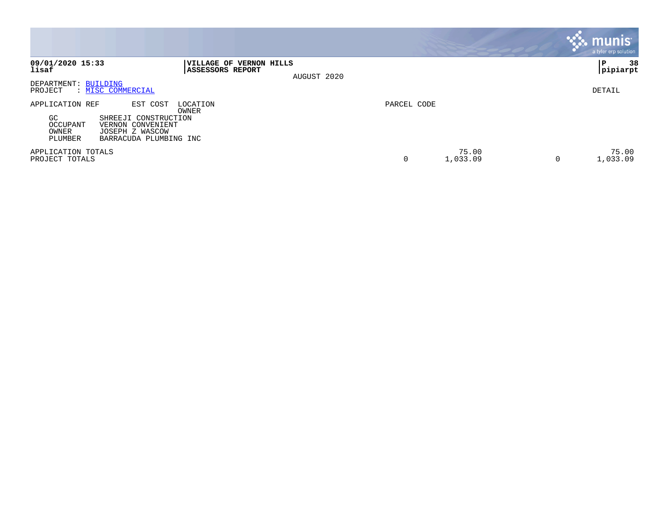|                                                                                                                                                              |                                                                           |             |                   |   | munis <sup>1</sup><br>a tyler erp solution |
|--------------------------------------------------------------------------------------------------------------------------------------------------------------|---------------------------------------------------------------------------|-------------|-------------------|---|--------------------------------------------|
| 09/01/2020 15:33<br>lisaf                                                                                                                                    | <b> VILLAGE OF VERNON HILLS</b><br><b>ASSESSORS REPORT</b><br>AUGUST 2020 |             |                   |   | 38<br>∣P<br>pipiarpt                       |
| DEPARTMENT: BUILDING<br>: MISC COMMERCIAL<br>PROJECT                                                                                                         |                                                                           |             |                   |   | DETAIL                                     |
| APPLICATION REF<br>EST COST<br>GC.<br>SHREEJI CONSTRUCTION<br>OCCUPANT<br>VERNON CONVENIENT<br>OWNER<br>JOSEPH Z WASCOW<br>BARRACUDA PLUMBING INC<br>PLUMBER | LOCATION<br>OWNER                                                         | PARCEL CODE |                   |   |                                            |
| APPLICATION TOTALS<br>PROJECT TOTALS                                                                                                                         |                                                                           | 0           | 75.00<br>1,033.09 | 0 | 75.00<br>1,033.09                          |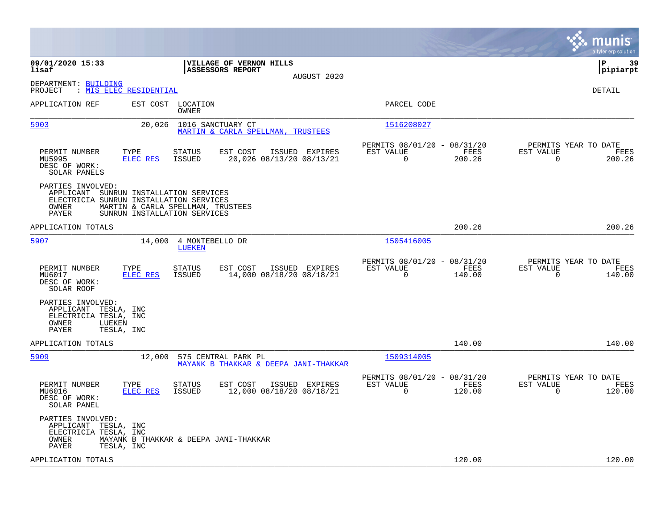|                                                                                                                          |                                                                                          |                                                                               | a tyler erp solution                                               |
|--------------------------------------------------------------------------------------------------------------------------|------------------------------------------------------------------------------------------|-------------------------------------------------------------------------------|--------------------------------------------------------------------|
| 09/01/2020 15:33<br>lisaf                                                                                                | VILLAGE OF VERNON HILLS<br>ASSESSORS REPORT<br>AUGUST 2020                               |                                                                               | -39<br>l P<br> pipiarpt                                            |
| DEPARTMENT: BUILDING<br>: MIS ELEC RESIDENTIAL<br>PROJECT                                                                |                                                                                          |                                                                               | <b>DETAIL</b>                                                      |
| APPLICATION REF                                                                                                          | EST COST LOCATION<br>OWNER                                                               | PARCEL CODE                                                                   |                                                                    |
| 5903<br>20,026                                                                                                           | 1016 SANCTUARY CT<br>MARTIN & CARLA SPELLMAN, TRUSTEES                                   | 1516208027                                                                    |                                                                    |
| PERMIT NUMBER<br>TYPE<br>MU5995<br>ELEC RES<br>DESC OF WORK:<br>SOLAR PANELS                                             | <b>STATUS</b><br>EST COST<br>ISSUED EXPIRES<br><b>ISSUED</b><br>20,026 08/13/20 08/13/21 | PERMITS 08/01/20 - 08/31/20<br>EST VALUE<br>FEES<br>$\mathbf 0$<br>200.26     | PERMITS YEAR TO DATE<br>EST VALUE<br>FEES<br>$\mathbf 0$<br>200.26 |
| PARTIES INVOLVED:<br>APPLICANT SUNRUN INSTALLATION SERVICES<br>ELECTRICIA SUNRUN INSTALLATION SERVICES<br>OWNER<br>PAYER | MARTIN & CARLA SPELLMAN, TRUSTEES<br>SUNRUN INSTALLATION SERVICES                        |                                                                               |                                                                    |
| APPLICATION TOTALS                                                                                                       |                                                                                          | 200.26                                                                        | 200.26                                                             |
| 5907                                                                                                                     | 14,000 4 MONTEBELLO DR<br><b>LUEKEN</b>                                                  | 1505416005                                                                    |                                                                    |
| PERMIT NUMBER<br>TYPE<br>MU6017<br><b>ELEC RES</b><br>DESC OF WORK:<br>SOLAR ROOF                                        | STATUS<br>EST COST<br>ISSUED EXPIRES<br>ISSUED<br>14,000 08/18/20 08/18/21               | PERMITS 08/01/20 - 08/31/20<br>EST VALUE<br>FEES<br>$\Omega$<br>140.00        | PERMITS YEAR TO DATE<br>EST VALUE<br>FEES<br>$\Omega$<br>140.00    |
| PARTIES INVOLVED:<br>APPLICANT TESLA, INC<br>ELECTRICIA TESLA, INC<br>OWNER<br>LUEKEN<br><b>PAYER</b><br>TESLA, INC      |                                                                                          |                                                                               |                                                                    |
| APPLICATION TOTALS                                                                                                       |                                                                                          | 140.00                                                                        | 140.00                                                             |
| 5909<br>12,000                                                                                                           | 575 CENTRAL PARK PL<br>MAYANK B THAKKAR & DEEPA JANI-THAKKAR                             | 1509314005                                                                    |                                                                    |
| PERMIT NUMBER<br>TYPE<br>MU6016<br>ELEC RES<br>DESC OF WORK:<br>SOLAR PANEL                                              | <b>STATUS</b><br>EST COST<br>ISSUED EXPIRES<br>12,000 08/18/20 08/18/21<br>ISSUED        | PERMITS 08/01/20 - 08/31/20<br>EST VALUE<br><b>FEES</b><br>$\Omega$<br>120.00 | PERMITS YEAR TO DATE<br>EST VALUE<br>FEES<br>$\mathbf 0$<br>120.00 |
| PARTIES INVOLVED:<br>APPLICANT TESLA, INC<br>ELECTRICIA TESLA, INC<br>OWNER<br>PAYER<br>TESLA, INC                       | MAYANK B THAKKAR & DEEPA JANI-THAKKAR                                                    |                                                                               |                                                                    |
| APPLICATION TOTALS                                                                                                       |                                                                                          | 120.00                                                                        | 120.00                                                             |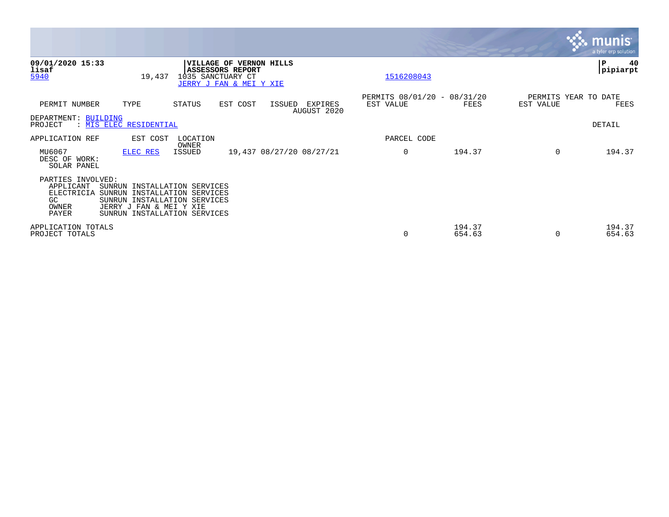|                                                                             |                                                                                              |                                                                         |                                                                                                    |        |                          |                                          |                  |           | munis<br>a tyler erp solution |
|-----------------------------------------------------------------------------|----------------------------------------------------------------------------------------------|-------------------------------------------------------------------------|----------------------------------------------------------------------------------------------------|--------|--------------------------|------------------------------------------|------------------|-----------|-------------------------------|
| 09/01/2020 15:33<br>lisaf<br>5940                                           | 19,437                                                                                       |                                                                         | VILLAGE OF VERNON HILLS<br><b>ASSESSORS REPORT</b><br>1035 SANCTUARY CT<br>JERRY J FAN & MEI Y XIE |        |                          | 1516208043                               |                  |           | P<br>40<br>pipiarpt           |
| PERMIT NUMBER                                                               | TYPE                                                                                         | STATUS                                                                  | EST COST                                                                                           | ISSUED | EXPIRES<br>AUGUST 2020   | PERMITS 08/01/20 - 08/31/20<br>EST VALUE | FEES             | EST VALUE | PERMITS YEAR TO DATE<br>FEES  |
| DEPARTMENT: BUILDING<br>PROJECT                                             | : MIS ELEC RESIDENTIAL                                                                       |                                                                         |                                                                                                    |        |                          |                                          |                  |           | DETAIL                        |
| APPLICATION REF                                                             | EST COST                                                                                     | LOCATION<br>OWNER                                                       |                                                                                                    |        |                          | PARCEL CODE                              |                  |           |                               |
| MU6067<br>DESC OF WORK:<br>SOLAR PANEL                                      | ELEC RES                                                                                     | ISSUED                                                                  |                                                                                                    |        | 19,437 08/27/20 08/27/21 | $\mathbf 0$                              | 194.37           | $\Omega$  | 194.37                        |
| PARTIES INVOLVED:<br>APPLICANT<br>ELECTRICIA<br>GC<br>OWNER<br><b>PAYER</b> | <b>SUNRUN</b><br>SUNRUN<br>SUNRUN<br>JERRY J FAN & MEI Y XIE<br>SUNRUN INSTALLATION SERVICES | INSTALLATION SERVICES<br>INSTALLATION SERVICES<br>INSTALLATION SERVICES |                                                                                                    |        |                          |                                          |                  |           |                               |
| APPLICATION TOTALS<br>PROJECT TOTALS                                        |                                                                                              |                                                                         |                                                                                                    |        |                          | $\mathbf 0$                              | 194.37<br>654.63 | $\Omega$  | 194.37<br>654.63              |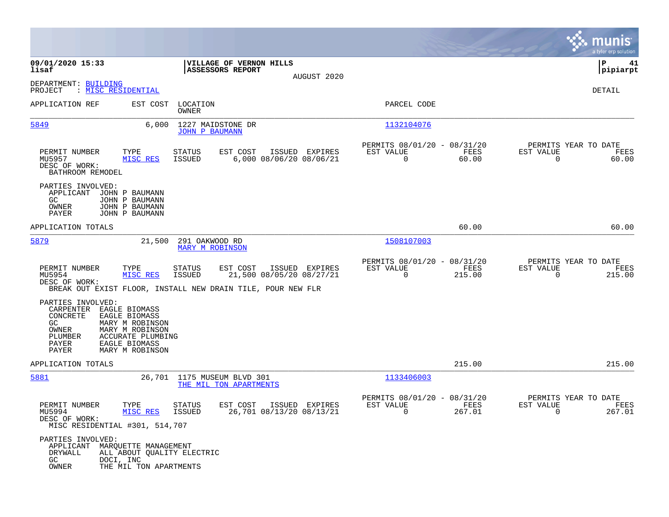|                                                                                                         |                                                                                                                               |                                                       |                                      |                |                                                         |                |                                                     | munis<br>a tyler erp solution |
|---------------------------------------------------------------------------------------------------------|-------------------------------------------------------------------------------------------------------------------------------|-------------------------------------------------------|--------------------------------------|----------------|---------------------------------------------------------|----------------|-----------------------------------------------------|-------------------------------|
| 09/01/2020 15:33<br>lisaf                                                                               |                                                                                                                               | ASSESSORS REPORT                                      | VILLAGE OF VERNON HILLS              |                |                                                         |                |                                                     | P<br>41<br> pipiarpt          |
| DEPARTMENT: BUILDING<br>PROJECT<br>: MISC RESIDENTIAL                                                   |                                                                                                                               |                                                       |                                      | AUGUST 2020    |                                                         |                |                                                     | DETAIL                        |
| APPLICATION REF                                                                                         | EST COST                                                                                                                      | LOCATION<br>OWNER                                     |                                      |                | PARCEL CODE                                             |                |                                                     |                               |
| 5849                                                                                                    | 6,000                                                                                                                         | 1227 MAIDSTONE DR<br><b>JOHN P BAUMANN</b>            |                                      |                | 1132104076                                              |                |                                                     |                               |
| PERMIT NUMBER<br>MU5957<br>DESC OF WORK:<br>BATHROOM REMODEL                                            | TYPE<br>MISC RES                                                                                                              | STATUS<br>ISSUED                                      | EST COST<br>6,000 08/06/20 08/06/21  | ISSUED EXPIRES | PERMITS 08/01/20 - 08/31/20<br>EST VALUE<br>$\mathbf 0$ | FEES<br>60.00  | PERMITS YEAR TO DATE<br>EST VALUE<br>$\overline{0}$ | FEES<br>60.00                 |
| PARTIES INVOLVED:<br>APPLICANT JOHN P BAUMANN<br>GC<br>OWNER<br>PAYER                                   | JOHN P BAUMANN<br>JOHN P BAUMANN<br>JOHN P BAUMANN                                                                            |                                                       |                                      |                |                                                         |                |                                                     |                               |
| APPLICATION TOTALS                                                                                      |                                                                                                                               |                                                       |                                      |                |                                                         | 60.00          |                                                     | 60.00                         |
| 5879                                                                                                    | 21,500                                                                                                                        | 291 OAKWOOD RD<br><b>MARY M ROBINSON</b>              |                                      |                | 1508107003                                              |                |                                                     |                               |
| PERMIT NUMBER<br>MU5954<br>DESC OF WORK:<br>BREAK OUT EXIST FLOOR, INSTALL NEW DRAIN TILE, POUR NEW FLR | TYPE<br>MISC RES                                                                                                              | <b>STATUS</b><br>ISSUED                               | EST COST<br>21,500 08/05/20 08/27/21 | ISSUED EXPIRES | PERMITS 08/01/20 - 08/31/20<br>EST VALUE<br>0           | FEES<br>215.00 | PERMITS YEAR TO DATE<br>EST VALUE<br>0              | FEES<br>215.00                |
| PARTIES INVOLVED:<br>CARPENTER<br>CONCRETE<br>GC<br>OWNER<br>PLUMBER<br>PAYER<br>PAYER                  | EAGLE BIOMASS<br>EAGLE BIOMASS<br>MARY M ROBINSON<br>MARY M ROBINSON<br>ACCURATE PLUMBING<br>EAGLE BIOMASS<br>MARY M ROBINSON |                                                       |                                      |                |                                                         |                |                                                     |                               |
| APPLICATION TOTALS                                                                                      |                                                                                                                               |                                                       |                                      |                |                                                         | 215.00         |                                                     | 215.00                        |
| 5881                                                                                                    |                                                                                                                               | 26,701 1175 MUSEUM BLVD 301<br>THE MIL TON APARTMENTS |                                      |                | 1133406003                                              |                |                                                     |                               |
| PERMIT NUMBER<br>MU5994<br>DESC OF WORK:<br>MISC RESIDENTIAL #301, 514,707                              | TYPE<br>MISC RES ISSUED                                                                                                       | <b>STATUS</b>                                         | EST COST<br>26,701 08/13/20 08/13/21 | ISSUED EXPIRES | PERMITS 08/01/20 - 08/31/20<br>EST VALUE<br>$\sim$ 0    | FEES<br>267.01 | PERMITS YEAR TO DATE<br>EST VALUE<br>$\sim$ 0       | FEES<br>267.01                |
| PARTIES INVOLVED:<br>APPLICANT MARQUETTE MANAGEMENT<br>DRYWALL<br>GC<br>OWNER                           | ALL ABOUT QUALITY ELECTRIC<br>DOCI, INC<br>THE MIL TON APARTMENTS                                                             |                                                       |                                      |                |                                                         |                |                                                     |                               |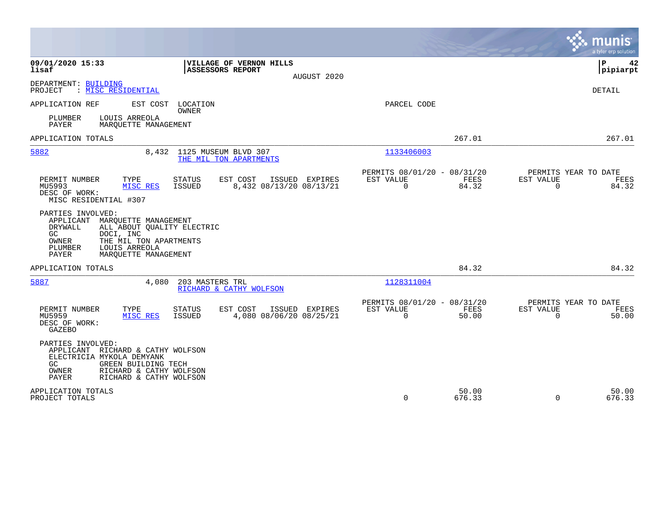|                                                                                                                                                                                                                    |                                                                       | munis<br>a tyler erp solution                                  |
|--------------------------------------------------------------------------------------------------------------------------------------------------------------------------------------------------------------------|-----------------------------------------------------------------------|----------------------------------------------------------------|
| 09/01/2020 15:33<br>VILLAGE OF VERNON HILLS<br>lisaf<br><b>ASSESSORS REPORT</b><br>AUGUST 2020                                                                                                                     |                                                                       | ΙP<br>42<br> pipiarpt                                          |
| DEPARTMENT: BUILDING<br>: MISC RESIDENTIAL<br>PROJECT                                                                                                                                                              |                                                                       | DETAIL                                                         |
| APPLICATION REF<br>EST COST<br>LOCATION<br>OWNER<br>LOUIS ARREOLA<br>PLUMBER<br>PAYER<br>MARQUETTE MANAGEMENT                                                                                                      | PARCEL CODE                                                           |                                                                |
| APPLICATION TOTALS                                                                                                                                                                                                 | 267.01                                                                | 267.01                                                         |
| 5882<br>8,432 1125 MUSEUM BLVD 307<br>THE MIL TON APARTMENTS                                                                                                                                                       | 1133406003                                                            |                                                                |
| PERMIT NUMBER<br>TYPE<br><b>STATUS</b><br>EST COST<br>ISSUED EXPIRES<br>MU5993<br>MISC RES<br>ISSUED<br>8,432 08/13/20 08/13/21<br>DESC OF WORK:<br>MISC RESIDENTIAL #307                                          | PERMITS 08/01/20 - 08/31/20<br>FEES<br>EST VALUE<br>$\Omega$<br>84.32 | PERMITS YEAR TO DATE<br>EST VALUE<br>FEES<br>$\Omega$<br>84.32 |
| PARTIES INVOLVED:<br>APPLICANT<br>MARQUETTE MANAGEMENT<br>DRYWALL<br>ALL ABOUT OUALITY ELECTRIC<br>GC<br>DOCI, INC<br>OWNER<br>THE MIL TON APARTMENTS<br>PLUMBER<br>LOUIS ARREOLA<br>PAYER<br>MARQUETTE MANAGEMENT |                                                                       |                                                                |
| APPLICATION TOTALS                                                                                                                                                                                                 | 84.32                                                                 | 84.32                                                          |
| 5887<br>4,080<br>203 MASTERS TRL<br>RICHARD & CATHY WOLFSON                                                                                                                                                        | 1128311004                                                            |                                                                |
| PERMIT NUMBER<br>TYPE<br>EST COST<br><b>STATUS</b><br>ISSUED EXPIRES<br>4,080 08/06/20 08/25/21<br>MU5959<br><b>MISC RES</b><br>ISSUED<br>DESC OF WORK:<br>GAZEBO                                                  | PERMITS 08/01/20 - 08/31/20<br>EST VALUE<br>FEES<br>$\Omega$<br>50.00 | PERMITS YEAR TO DATE<br>EST VALUE<br>FEES<br>50.00<br>$\Omega$ |
| PARTIES INVOLVED:<br>APPLICANT RICHARD & CATHY WOLFSON<br>ELECTRICIA MYKOLA DEMYANK<br>GC.<br>GREEN BUILDING TECH<br>OWNER<br>RICHARD & CATHY WOLFSON<br><b>PAYER</b><br>RICHARD & CATHY WOLFSON                   |                                                                       |                                                                |
| APPLICATION TOTALS<br>PROJECT TOTALS                                                                                                                                                                               | 50.00<br>$\mathbf 0$<br>676.33                                        | 50.00<br>$\Omega$<br>676.33                                    |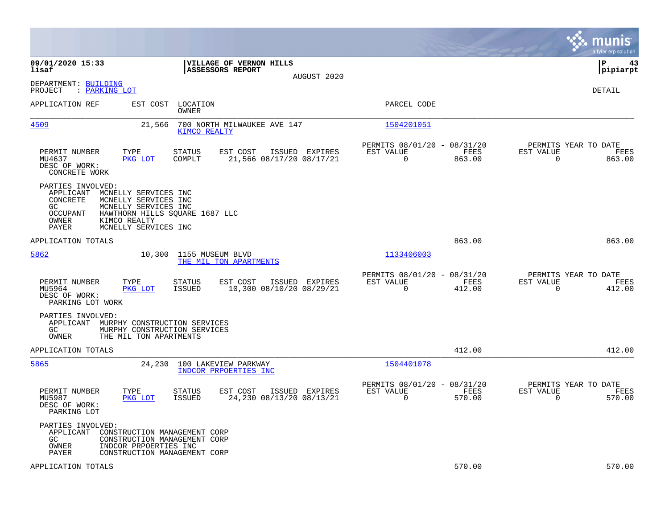|                                                                                                                                                                                                                      |                                                                                              |                                                                              | munis<br>a tyler erp solution                                      |
|----------------------------------------------------------------------------------------------------------------------------------------------------------------------------------------------------------------------|----------------------------------------------------------------------------------------------|------------------------------------------------------------------------------|--------------------------------------------------------------------|
| 09/01/2020 15:33<br>lisaf                                                                                                                                                                                            | VILLAGE OF VERNON HILLS<br>ASSESSORS REPORT                                                  |                                                                              | l P<br>43<br> pipiarpt                                             |
| DEPARTMENT: BUILDING<br>: PARKING LOT<br>PROJECT                                                                                                                                                                     | AUGUST 2020                                                                                  |                                                                              | DETAIL                                                             |
| APPLICATION REF                                                                                                                                                                                                      | EST COST<br>LOCATION<br>OWNER                                                                | PARCEL CODE                                                                  |                                                                    |
| 4509                                                                                                                                                                                                                 | 700 NORTH MILWAUKEE AVE 147<br>21,566<br>KIMCO REALTY                                        | 1504201051                                                                   |                                                                    |
| PERMIT NUMBER<br>TYPE<br>MU4637<br><u>PKG LOT</u><br>DESC OF WORK:<br>CONCRETE WORK                                                                                                                                  | <b>STATUS</b><br>EST COST<br>ISSUED EXPIRES<br>COMPLT<br>21,566 08/17/20 08/17/21            | PERMITS 08/01/20 - 08/31/20<br>EST VALUE<br>FEES<br>$\mathsf{O}$<br>863.00   | PERMITS YEAR TO DATE<br>EST VALUE<br>FEES<br>0<br>863.00           |
| PARTIES INVOLVED:<br>APPLICANT<br>MCNELLY SERVICES INC<br>CONCRETE<br>MCNELLY SERVICES INC<br>GC.<br>MCNELLY SERVICES INC<br><b>OCCUPANT</b><br><b>OWNER</b><br>KIMCO REALTY<br><b>PAYER</b><br>MCNELLY SERVICES INC | HAWTHORN HILLS SOUARE 1687 LLC                                                               |                                                                              |                                                                    |
| APPLICATION TOTALS                                                                                                                                                                                                   |                                                                                              | 863.00                                                                       | 863.00                                                             |
| 5862                                                                                                                                                                                                                 | 10,300<br>1155 MUSEUM BLVD<br>THE MIL TON APARTMENTS                                         | 1133406003                                                                   |                                                                    |
| TYPE<br>PERMIT NUMBER<br>MU5964<br>PKG LOT<br>DESC OF WORK:<br>PARKING LOT WORK                                                                                                                                      | EST COST<br>ISSUED EXPIRES<br>STATUS<br><b>ISSUED</b><br>10,300 08/10/20 08/29/21            | PERMITS 08/01/20 - 08/31/20<br>EST VALUE<br>FEES<br>0<br>412.00              | PERMITS YEAR TO DATE<br>EST VALUE<br>FEES<br>0<br>412.00           |
| PARTIES INVOLVED:<br>APPLICANT MURPHY CONSTRUCTION SERVICES<br>GC.<br>OWNER                                                                                                                                          | MURPHY CONSTRUCTION SERVICES<br>THE MIL TON APARTMENTS                                       |                                                                              |                                                                    |
| APPLICATION TOTALS                                                                                                                                                                                                   |                                                                                              | 412.00                                                                       | 412.00                                                             |
| 5865                                                                                                                                                                                                                 | 24,230<br>100 LAKEVIEW PARKWAY<br>INDCOR PRPOERTIES INC                                      | 1504401078                                                                   |                                                                    |
| PERMIT NUMBER<br>TYPE<br>PKG LOT<br>MU5987<br>DESC OF WORK:<br>PARKING LOT                                                                                                                                           | <b>STATUS</b><br>EST COST<br>ISSUED EXPIRES<br><b>ISSUED</b><br>24,230 08/13/20 08/13/21     | PERMITS 08/01/20 - 08/31/20<br>EST VALUE<br>FEES<br>$\overline{0}$<br>570.00 | PERMITS YEAR TO DATE<br>EST VALUE<br>FEES<br>$\mathbf 0$<br>570.00 |
| PARTIES INVOLVED:<br>APPLICANT<br>GC<br>OWNER<br>INDCOR PRPOERTIES INC<br>PAYER                                                                                                                                      | CONSTRUCTION MANAGEMENT CORP<br>CONSTRUCTION MANAGEMENT CORP<br>CONSTRUCTION MANAGEMENT CORP |                                                                              |                                                                    |
| APPLICATION TOTALS                                                                                                                                                                                                   |                                                                                              | 570.00                                                                       | 570.00                                                             |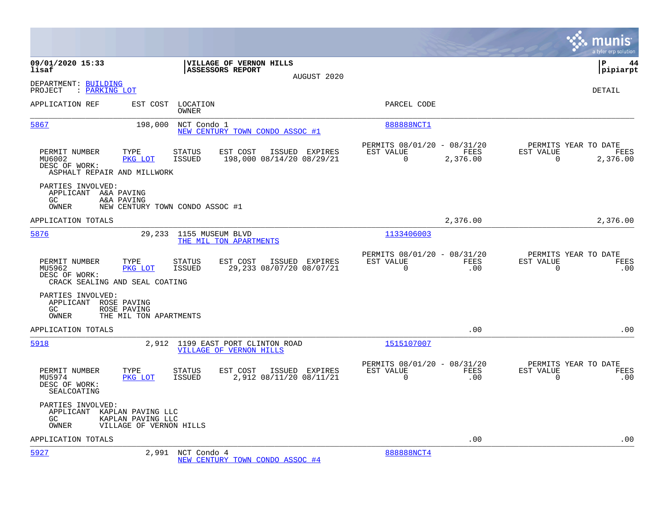|                                                                         |                                                                              |                                                                     |             |                                                         |                    |                                                  | a tyler erp solution  |
|-------------------------------------------------------------------------|------------------------------------------------------------------------------|---------------------------------------------------------------------|-------------|---------------------------------------------------------|--------------------|--------------------------------------------------|-----------------------|
| 09/01/2020 15:33<br>lisaf                                               |                                                                              | VILLAGE OF VERNON HILLS<br><b>ASSESSORS REPORT</b>                  | AUGUST 2020 |                                                         |                    |                                                  | lР<br>44<br> pipiarpt |
| DEPARTMENT: BUILDING<br>: PARKING LOT<br>PROJECT                        |                                                                              |                                                                     |             |                                                         |                    |                                                  | DETAIL                |
| APPLICATION REF                                                         | EST COST LOCATION<br>OWNER                                                   |                                                                     |             | PARCEL CODE                                             |                    |                                                  |                       |
| 5867                                                                    | 198,000                                                                      | NCT Condo 1<br>NEW CENTURY TOWN CONDO ASSOC #1                      |             | 888888NCT1                                              |                    |                                                  |                       |
| PERMIT NUMBER<br>MU6002<br>DESC OF WORK:<br>ASPHALT REPAIR AND MILLWORK | TYPE<br><b>STATUS</b><br>PKG LOT<br><b>ISSUED</b>                            | EST COST<br>ISSUED EXPIRES<br>198,000 08/14/20 08/29/21             |             | PERMITS 08/01/20 - 08/31/20<br>EST VALUE<br>$\Omega$    | FEES<br>2,376.00   | PERMITS YEAR TO DATE<br>EST VALUE<br>$\Omega$    | FEES<br>2,376.00      |
| PARTIES INVOLVED:<br>APPLICANT A&A PAVING<br>GC<br>OWNER                | A&A PAVING<br>NEW CENTURY TOWN CONDO ASSOC #1                                |                                                                     |             |                                                         |                    |                                                  |                       |
| APPLICATION TOTALS                                                      |                                                                              |                                                                     |             |                                                         | 2,376.00           |                                                  | 2,376.00              |
| 5876                                                                    | 29,233 1155 MUSEUM BLVD                                                      | THE MIL TON APARTMENTS                                              |             | 1133406003                                              |                    |                                                  |                       |
| PERMIT NUMBER<br>MU5962<br>DESC OF WORK:                                | TYPE<br><b>STATUS</b><br>PKG LOT<br>ISSUED<br>CRACK SEALING AND SEAL COATING | EST COST<br>ISSUED EXPIRES<br>29,233 08/07/20 08/07/21              |             | PERMITS 08/01/20 - 08/31/20<br>EST VALUE<br>$\Omega$    | <b>FEES</b><br>.00 | PERMITS YEAR TO DATE<br>EST VALUE<br>$\Omega$    | FEES<br>.00           |
| PARTIES INVOLVED:<br>APPLICANT ROSE PAVING<br>GC.<br><b>OWNER</b>       | ROSE PAVING<br>THE MIL TON APARTMENTS                                        |                                                                     |             |                                                         |                    |                                                  |                       |
| APPLICATION TOTALS                                                      |                                                                              |                                                                     |             |                                                         | .00                |                                                  | .00                   |
| 5918                                                                    |                                                                              | 2,912 1199 EAST PORT CLINTON ROAD<br><b>VILLAGE OF VERNON HILLS</b> |             | 1515107007                                              |                    |                                                  |                       |
| PERMIT NUMBER<br>MU5974<br>DESC OF WORK:<br>SEALCOATING                 | TYPE<br><b>STATUS</b><br>PKG LOT<br>ISSUED                                   | EST COST<br>ISSUED EXPIRES<br>2,912 08/11/20 08/11/21               |             | PERMITS 08/01/20 - 08/31/20<br>EST VALUE<br>$\mathbf 0$ | FEES<br>.00        | PERMITS YEAR TO DATE<br>EST VALUE<br>$\mathbf 0$ | FEES<br>.00           |
| PARTIES INVOLVED:<br>APPLICANT KAPLAN PAVING LLC<br>GC<br>OWNER         | KAPLAN PAVING LLC<br>VILLAGE OF VERNON HILLS                                 |                                                                     |             |                                                         |                    |                                                  |                       |
| APPLICATION TOTALS                                                      |                                                                              |                                                                     |             |                                                         | .00                |                                                  | .00                   |
| 5927                                                                    | 2,991                                                                        | NCT Condo 4<br>NEW CENTURY TOWN CONDO ASSOC #4                      |             | 888888NCT4                                              |                    |                                                  |                       |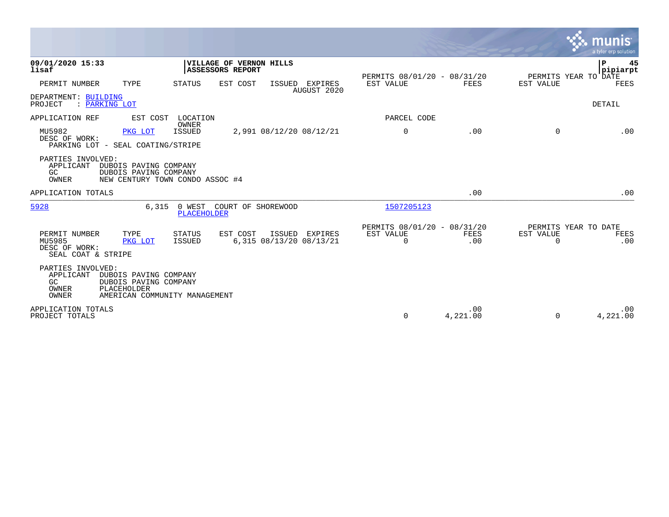|                                                                                   |                                                                                   |                                           |                                               |                 |                                               | <u>ः munis</u><br>a tyler erp solution |
|-----------------------------------------------------------------------------------|-----------------------------------------------------------------------------------|-------------------------------------------|-----------------------------------------------|-----------------|-----------------------------------------------|----------------------------------------|
| 09/01/2020 15:33<br>lisaf                                                         | <b>VILLAGE OF VERNON HILLS</b><br><b>ASSESSORS REPORT</b>                         |                                           | PERMITS 08/01/20 - 08/31/20                   |                 | PERMITS YEAR TO DATE                          | ΙP<br>45<br> pipiarpt                  |
| PERMIT NUMBER<br>TYPE                                                             | STATUS<br>EST COST                                                                | ISSUED EXPIRES<br>AUGUST 2020             | EST VALUE                                     | FEES            | EST VALUE                                     | FEES                                   |
| DEPARTMENT: BUILDING<br>: PARKING LOT<br>PROJECT                                  |                                                                                   |                                           |                                               |                 |                                               | DETAIL                                 |
| APPLICATION REF                                                                   | EST COST<br>LOCATION<br>OWNER                                                     |                                           | PARCEL CODE                                   |                 |                                               |                                        |
| MU5982<br>PKG LOT<br>DESC OF WORK:<br>PARKING LOT - SEAL COATING/STRIPE           | <b>ISSUED</b>                                                                     | 2,991 08/12/20 08/12/21                   | 0                                             | .00             | $\Omega$                                      | .00                                    |
| PARTIES INVOLVED:<br>APPLICANT<br>GC<br>OWNER                                     | DUBOIS PAVING COMPANY<br>DUBOIS PAVING COMPANY<br>NEW CENTURY TOWN CONDO ASSOC #4 |                                           |                                               |                 |                                               |                                        |
| APPLICATION TOTALS                                                                |                                                                                   |                                           |                                               | .00             |                                               | .00                                    |
| 5928                                                                              | 0 WEST COURT OF SHOREWOOD<br>6,315<br><b>PLACEHOLDER</b>                          |                                           | 1507205123                                    |                 |                                               |                                        |
| PERMIT NUMBER<br>TYPE<br>MU5985<br>PKG LOT<br>DESC OF WORK:<br>SEAL COAT & STRIPE | STATUS<br>EST COST<br>ISSUED                                                      | ISSUED EXPIRES<br>6,315 08/13/20 08/13/21 | PERMITS 08/01/20 - 08/31/20<br>EST VALUE<br>0 | FEES<br>.00     | PERMITS YEAR TO DATE<br>EST VALUE<br>$\Omega$ | FEES<br>.00                            |
| PARTIES INVOLVED:<br>APPLICANT<br>GC<br>PLACEHOLDER<br>OWNER<br>OWNER             | DUBOIS PAVING COMPANY<br>DUBOIS PAVING COMPANY<br>AMERICAN COMMUNITY MANAGEMENT   |                                           |                                               |                 |                                               |                                        |
| APPLICATION TOTALS<br>PROJECT TOTALS                                              |                                                                                   |                                           | 0                                             | .00<br>4,221.00 | $\Omega$                                      | .00<br>4,221.00                        |

and the contract of the contract of the contract of the contract of the contract of the contract of the contract of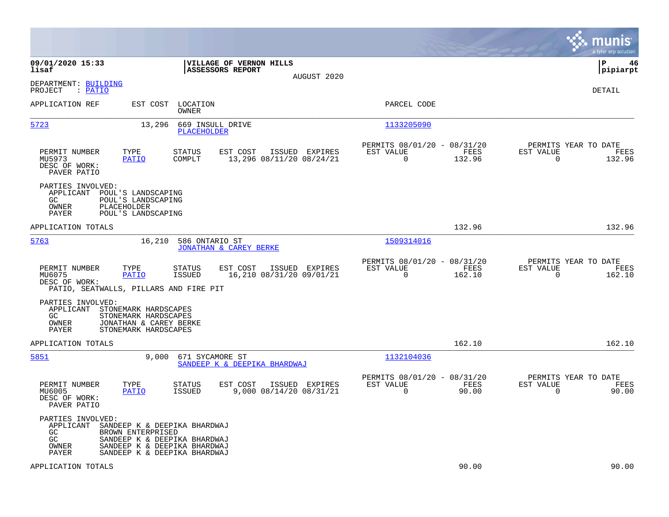|                                                                                                                                                                                                                   |                                                                                   |                                                                           | munis<br>a tyler erp solution                                         |
|-------------------------------------------------------------------------------------------------------------------------------------------------------------------------------------------------------------------|-----------------------------------------------------------------------------------|---------------------------------------------------------------------------|-----------------------------------------------------------------------|
| 09/01/2020 15:33<br>lisaf                                                                                                                                                                                         | VILLAGE OF VERNON HILLS<br><b>ASSESSORS REPORT</b><br>AUGUST 2020                 |                                                                           | ΙP<br>46<br> pipiarpt                                                 |
| DEPARTMENT: BUILDING<br>PROJECT<br>: PATIO                                                                                                                                                                        |                                                                                   |                                                                           | DETAIL                                                                |
| APPLICATION REF                                                                                                                                                                                                   | EST COST LOCATION<br>OWNER                                                        | PARCEL CODE                                                               |                                                                       |
| 5723<br>13,296                                                                                                                                                                                                    | 669 INSULL DRIVE<br><b>PLACEHOLDER</b>                                            | 1133205090                                                                |                                                                       |
| PERMIT NUMBER<br>TYPE<br>MU5973<br><b>PATIO</b><br>DESC OF WORK:<br>PAVER PATIO                                                                                                                                   | <b>STATUS</b><br>EST COST<br>ISSUED EXPIRES<br>COMPLT<br>13,296 08/11/20 08/24/21 | PERMITS 08/01/20 - 08/31/20<br>EST VALUE<br>FEES<br>132.96<br>$\mathbf 0$ | PERMITS YEAR TO DATE<br>EST VALUE<br>FEES<br>$\overline{0}$<br>132.96 |
| PARTIES INVOLVED:<br>APPLICANT<br>POUL'S LANDSCAPING<br>GC<br>POUL'S LANDSCAPING<br>OWNER<br>PLACEHOLDER<br>PAYER<br>POUL'S LANDSCAPING                                                                           |                                                                                   |                                                                           |                                                                       |
| APPLICATION TOTALS                                                                                                                                                                                                |                                                                                   | 132.96                                                                    | 132.96                                                                |
| 5763<br>16,210                                                                                                                                                                                                    | 586 ONTARIO ST<br><b>JONATHAN &amp; CAREY BERKE</b>                               | 1509314016                                                                |                                                                       |
| PERMIT NUMBER<br>TYPE<br>MU6075<br>PATIO<br>DESC OF WORK:<br>PATIO, SEATWALLS, PILLARS AND FIRE PIT                                                                                                               | ISSUED EXPIRES<br><b>STATUS</b><br>EST COST<br>ISSUED<br>16,210 08/31/20 09/01/21 | PERMITS 08/01/20 - 08/31/20<br>EST VALUE<br>FEES<br>162.10<br>$\Omega$    | PERMITS YEAR TO DATE<br>EST VALUE<br>FEES<br>$\Omega$<br>162.10       |
| PARTIES INVOLVED:<br>APPLICANT STONEMARK HARDSCAPES<br>GC<br>STONEMARK HARDSCAPES<br>JONATHAN & CAREY BERKE<br>OWNER<br>STONEMARK HARDSCAPES<br>PAYER                                                             |                                                                                   |                                                                           |                                                                       |
| APPLICATION TOTALS                                                                                                                                                                                                |                                                                                   | 162.10                                                                    | 162.10                                                                |
| 5851<br>9,000                                                                                                                                                                                                     | 671 SYCAMORE ST<br>SANDEEP K & DEEPIKA BHARDWAJ                                   | 1132104036                                                                |                                                                       |
| PERMIT NUMBER<br>TYPE<br>MU6005<br>PATIO<br>DESC OF WORK:<br>PAVER PATIO                                                                                                                                          | <b>STATUS</b><br>EST COST<br>ISSUED EXPIRES<br>9,000 08/14/20 08/31/21<br>ISSUED  | PERMITS 08/01/20 - 08/31/20<br>EST VALUE<br>FEES<br>$\Omega$<br>90.00     | PERMITS YEAR TO DATE<br>EST VALUE<br>FEES<br>$\Omega$<br>90.00        |
| PARTIES INVOLVED:<br>APPLICANT<br>SANDEEP K & DEEPIKA BHARDWAJ<br>GC<br>BROWN ENTERPRISED<br>GC<br>SANDEEP K & DEEPIKA BHARDWAJ<br>OWNER<br>SANDEEP K & DEEPIKA BHARDWAJ<br>SANDEEP K & DEEPIKA BHARDWAJ<br>PAYER |                                                                                   |                                                                           |                                                                       |
| APPLICATION TOTALS                                                                                                                                                                                                |                                                                                   | 90.00                                                                     | 90.00                                                                 |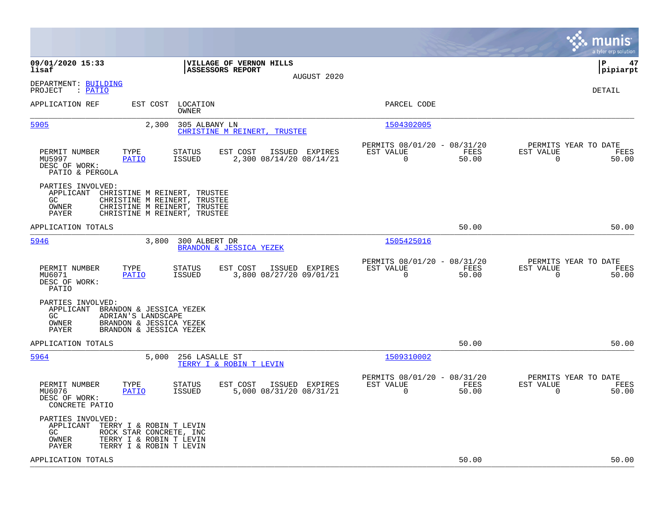|                                                                                                                                                                                         |                                                                          | munis<br>a tyler erp solution                                     |
|-----------------------------------------------------------------------------------------------------------------------------------------------------------------------------------------|--------------------------------------------------------------------------|-------------------------------------------------------------------|
| 09/01/2020 15:33<br>VILLAGE OF VERNON HILLS<br>lisaf<br>ASSESSORS REPORT<br>AUGUST 2020                                                                                                 |                                                                          | P<br>47<br> pipiarpt                                              |
| DEPARTMENT: BUILDING<br>: PATIO<br>PROJECT                                                                                                                                              |                                                                          | <b>DETAIL</b>                                                     |
| APPLICATION REF<br>EST COST<br>LOCATION<br>OWNER                                                                                                                                        | PARCEL CODE                                                              |                                                                   |
| 5905<br>2,300<br>305 ALBANY LN<br>CHRISTINE M REINERT, TRUSTEE                                                                                                                          | 1504302005                                                               |                                                                   |
| PERMIT NUMBER<br>TYPE<br>STATUS<br>EST COST<br>ISSUED EXPIRES<br>MU5997<br>PATIO<br><b>ISSUED</b><br>2,300 08/14/20 08/14/21<br>DESC OF WORK:<br>PATIO & PERGOLA                        | PERMITS 08/01/20 - 08/31/20<br>EST VALUE<br>FEES<br>$\mathbf 0$<br>50.00 | PERMITS YEAR TO DATE<br>EST VALUE<br>FEES<br>$\mathbf 0$<br>50.00 |
| PARTIES INVOLVED:<br>APPLICANT<br>CHRISTINE M REINERT, TRUSTEE<br>GC.<br>CHRISTINE M REINERT, TRUSTEE<br>OWNER<br>CHRISTINE M REINERT, TRUSTEE<br>PAYER<br>CHRISTINE M REINERT, TRUSTEE |                                                                          |                                                                   |
| APPLICATION TOTALS                                                                                                                                                                      | 50.00                                                                    | 50.00                                                             |
| 5946<br>3,800<br>300 ALBERT DR<br>BRANDON & JESSICA YEZEK                                                                                                                               | 1505425016                                                               |                                                                   |
| PERMIT NUMBER<br>TYPE<br>STATUS<br>EST COST<br>ISSUED EXPIRES<br><b>ISSUED</b><br>3,800 08/27/20 09/01/21<br>MU6071<br><b>PATIO</b><br>DESC OF WORK:<br>PATIO                           | PERMITS 08/01/20 - 08/31/20<br>EST VALUE<br>FEES<br>$\mathbf 0$<br>50.00 | PERMITS YEAR TO DATE<br>EST VALUE<br>FEES<br>$\mathbf 0$<br>50.00 |
| PARTIES INVOLVED:<br>APPLICANT<br>BRANDON & JESSICA YEZEK<br>GC<br>ADRIAN'S LANDSCAPE<br>OWNER<br>BRANDON & JESSICA YEZEK<br>PAYER<br>BRANDON & JESSICA YEZEK                           |                                                                          |                                                                   |
| APPLICATION TOTALS                                                                                                                                                                      | 50.00                                                                    | 50.00                                                             |
| 5964<br>5,000<br>256 LASALLE ST<br>TERRY I & ROBIN T LEVIN                                                                                                                              | 1509310002                                                               |                                                                   |
| PERMIT NUMBER<br>TYPE<br>STATUS<br>EST COST<br>ISSUED EXPIRES<br>MU6076<br><b>PATIO</b><br><b>ISSUED</b><br>5,000 08/31/20 08/31/21<br>DESC OF WORK:<br>CONCRETE PATIO                  | PERMITS 08/01/20 - 08/31/20<br>EST VALUE<br>FEES<br>0<br>50.00           | PERMITS YEAR TO DATE<br>EST VALUE<br>FEES<br>0<br>50.00           |
| PARTIES INVOLVED:<br>APPLICANT<br>TERRY I & ROBIN T LEVIN<br>GC.<br>ROCK STAR CONCRETE, INC<br>TERRY I & ROBIN T LEVIN<br>OWNER<br>TERRY I & ROBIN T LEVIN<br>PAYER                     |                                                                          |                                                                   |
| APPLICATION TOTALS                                                                                                                                                                      | 50.00                                                                    | 50.00                                                             |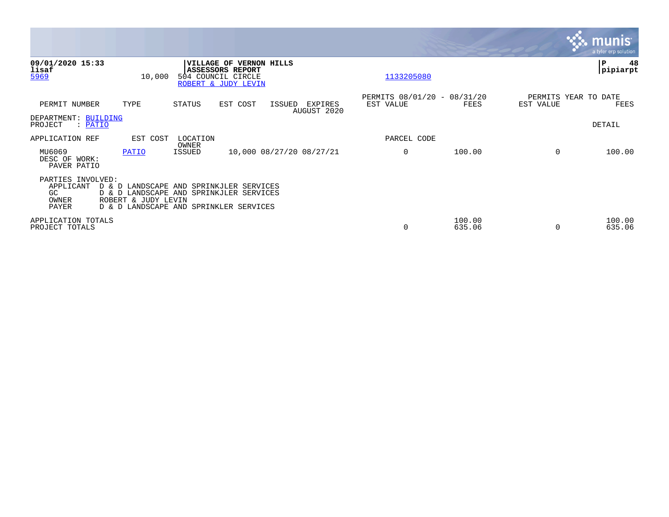|                                                                                                                                                                                                                |                                               |                                                  | munis <sup>®</sup><br>a tyler erp solution |
|----------------------------------------------------------------------------------------------------------------------------------------------------------------------------------------------------------------|-----------------------------------------------|--------------------------------------------------|--------------------------------------------|
| 09/01/2020 15:33<br>VILLAGE OF VERNON HILLS<br>lisaf<br>ASSESSORS REPORT<br>5969<br>504 COUNCIL CIRCLE<br>10,000<br>ROBERT & JUDY LEVIN                                                                        | 1133205080                                    |                                                  | IΡ<br>48<br> pipiarpt                      |
| PERMIT NUMBER<br>TYPE<br>STATUS<br>EST COST                                                                                                                                                                    | EST VALUE<br>ISSUED<br>EXPIRES<br>AUGUST 2020 | PERMITS 08/01/20 - 08/31/20<br>EST VALUE<br>FEES | PERMITS YEAR TO DATE<br>FEES               |
| DEPARTMENT: BUILDING<br>: PATIO<br>PROJECT                                                                                                                                                                     |                                               |                                                  | DETAIL                                     |
| EST COST<br>APPLICATION REF<br>LOCATION<br>OWNER                                                                                                                                                               | PARCEL CODE                                   |                                                  |                                            |
| MU6069<br>PATIO<br>ISSUED<br>DESC OF WORK:<br>PAVER PATIO                                                                                                                                                      | $\mathbf 0$<br>10,000 08/27/20 08/27/21       | 100.00                                           | 100.00<br>$\Omega$                         |
| PARTIES INVOLVED:<br>APPLICANT<br>D & D LANDSCAPE AND SPRINKJLER SERVICES<br>GC.<br>D & D LANDSCAPE AND SPRINKJLER SERVICES<br>OWNER<br>ROBERT & JUDY LEVIN<br>D & D LANDSCAPE AND SPRINKLER SERVICES<br>PAYER |                                               |                                                  |                                            |
| APPLICATION TOTALS<br>PROJECT TOTALS                                                                                                                                                                           | 0                                             | 100.00<br>635.06                                 | 100.00<br>635.06                           |

**The State**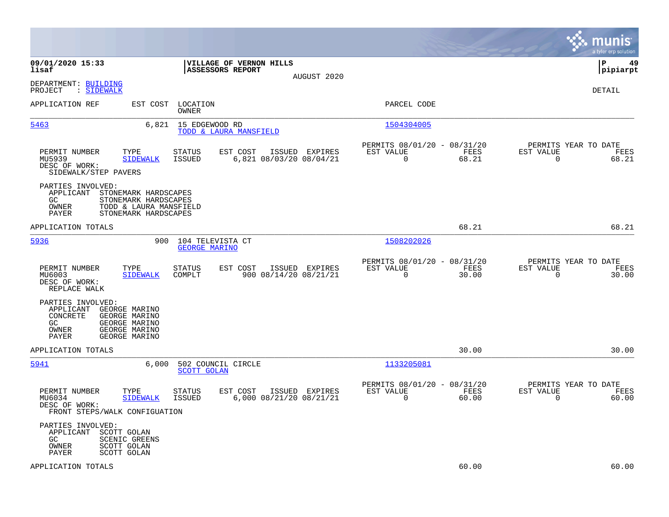|                                                                                                                                                           |                                                                                         |                                                                             | munis<br>a tyler erp solution                                     |
|-----------------------------------------------------------------------------------------------------------------------------------------------------------|-----------------------------------------------------------------------------------------|-----------------------------------------------------------------------------|-------------------------------------------------------------------|
| 09/01/2020 15:33<br>lisaf                                                                                                                                 | VILLAGE OF VERNON HILLS<br>ASSESSORS REPORT<br>AUGUST 2020                              |                                                                             | P<br>49<br> pipiarpt                                              |
| DEPARTMENT: BUILDING<br>PROJECT<br>: SIDEWALK                                                                                                             |                                                                                         |                                                                             | <b>DETAIL</b>                                                     |
| APPLICATION REF<br>EST COST                                                                                                                               | LOCATION<br>OWNER                                                                       | PARCEL CODE                                                                 |                                                                   |
| 5463<br>6,821                                                                                                                                             | 15 EDGEWOOD RD<br>TODD & LAURA MANSFIELD                                                | 1504304005                                                                  |                                                                   |
| PERMIT NUMBER<br>TYPE<br>MU5939<br><b>SIDEWALK</b><br>DESC OF WORK:<br>SIDEWALK/STEP PAVERS                                                               | EST COST<br><b>STATUS</b><br>ISSUED EXPIRES<br>6,821 08/03/20 08/04/21<br>ISSUED        | PERMITS 08/01/20 - 08/31/20<br>EST VALUE<br>FEES<br>$\overline{0}$<br>68.21 | PERMITS YEAR TO DATE<br>EST VALUE<br>FEES<br>$\mathbf 0$<br>68.21 |
| PARTIES INVOLVED:<br>APPLICANT<br>STONEMARK HARDSCAPES<br>GC.<br>STONEMARK HARDSCAPES<br>OWNER<br>TODD & LAURA MANSFIELD<br>PAYER<br>STONEMARK HARDSCAPES |                                                                                         |                                                                             |                                                                   |
| APPLICATION TOTALS                                                                                                                                        |                                                                                         | 68.21                                                                       | 68.21                                                             |
| 5936<br>900                                                                                                                                               | 104 TELEVISTA CT<br><b>GEORGE MARINO</b>                                                | 1508202026                                                                  |                                                                   |
| TYPE<br>PERMIT NUMBER<br>MU6003<br><b>SIDEWALK</b><br>DESC OF WORK:<br>REPLACE WALK                                                                       | <b>STATUS</b><br>EST COST<br>ISSUED EXPIRES<br>900 08/14/20 08/21/21<br>COMPLT          | PERMITS 08/01/20 - 08/31/20<br>EST VALUE<br>FEES<br>$\overline{0}$<br>30.00 | PERMITS YEAR TO DATE<br>EST VALUE<br>FEES<br>$\mathbf 0$<br>30.00 |
| PARTIES INVOLVED:<br>GEORGE MARINO<br>APPLICANT<br>CONCRETE<br>GEORGE MARINO<br>GC<br>GEORGE MARINO<br>GEORGE MARINO<br>OWNER<br>GEORGE MARINO<br>PAYER   |                                                                                         |                                                                             |                                                                   |
| APPLICATION TOTALS                                                                                                                                        |                                                                                         | 30.00                                                                       | 30.00                                                             |
| <u>5941</u><br>6,000                                                                                                                                      | 502 COUNCIL CIRCLE<br><b>SCOTT GOLAN</b>                                                | 1133205081                                                                  |                                                                   |
| PERMIT NUMBER<br>TYPE<br>MU6034<br><b>SIDEWALK</b><br>DESC OF WORK:<br>FRONT STEPS/WALK CONFIGUATION                                                      | <b>STATUS</b><br>EST COST<br>ISSUED EXPIRES<br>6,000 08/21/20 08/21/21<br><b>ISSUED</b> | PERMITS 08/01/20 - 08/31/20<br>EST VALUE<br>FEES<br>0<br>60.00              | PERMITS YEAR TO DATE<br>EST VALUE<br>FEES<br>$\mathbf 0$<br>60.00 |
| PARTIES INVOLVED:<br>APPLICANT SCOTT GOLAN<br>GC.<br><b>SCENIC GREENS</b><br>OWNER<br>SCOTT GOLAN<br>PAYER<br>SCOTT GOLAN                                 |                                                                                         |                                                                             |                                                                   |
| APPLICATION TOTALS                                                                                                                                        |                                                                                         | 60.00                                                                       | 60.00                                                             |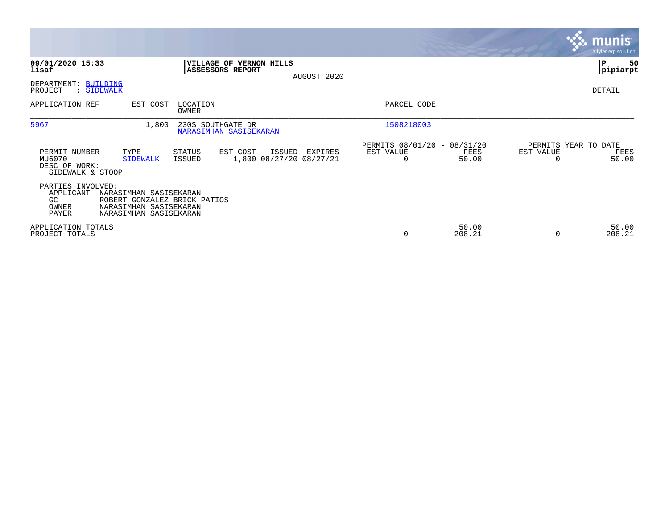|                                                               |                                                                                                            |                                                           |                                              |                                                      |                 |                                   | <b>munis</b><br>a tyler erp solution |
|---------------------------------------------------------------|------------------------------------------------------------------------------------------------------------|-----------------------------------------------------------|----------------------------------------------|------------------------------------------------------|-----------------|-----------------------------------|--------------------------------------|
| 09/01/2020 15:33<br>lisaf                                     |                                                                                                            | <b>VILLAGE OF VERNON HILLS</b><br><b>ASSESSORS REPORT</b> | AUGUST 2020                                  |                                                      |                 |                                   | l P<br>50<br> pipiarpt               |
| DEPARTMENT: BUILDING<br>PROJECT                               | : SIDEWALK                                                                                                 |                                                           |                                              |                                                      |                 |                                   | DETAIL                               |
| APPLICATION REF                                               | EST COST                                                                                                   | LOCATION<br>OWNER                                         |                                              | PARCEL CODE                                          |                 |                                   |                                      |
| 5967                                                          | 1,800                                                                                                      | 230S SOUTHGATE DR<br>NARASIMHAN SASISEKARAN               |                                              | 1508218003                                           |                 |                                   |                                      |
| PERMIT NUMBER<br>MU6070<br>DESC OF WORK:<br>SIDEWALK & STOOP  | TYPE<br><b>SIDEWALK</b>                                                                                    | STATUS<br>EST COST<br>ISSUED                              | ISSUED<br>EXPIRES<br>1,800 08/27/20 08/27/21 | PERMITS 08/01/20 - 08/31/20<br>EST VALUE<br>$\Omega$ | FEES<br>50.00   | PERMITS YEAR TO DATE<br>EST VALUE | FEES<br>50.00                        |
| PARTIES INVOLVED:<br>APPLICANT<br>GC<br>OWNER<br><b>PAYER</b> | NARASIMHAN SASISEKARAN<br>ROBERT GONZALEZ BRICK PATIOS<br>NARASIMHAN SASISEKARAN<br>NARASIMHAN SASISEKARAN |                                                           |                                              |                                                      |                 |                                   |                                      |
| APPLICATION TOTALS<br>PROJECT TOTALS                          |                                                                                                            |                                                           |                                              | 0                                                    | 50.00<br>208.21 | $\Omega$                          | 50.00<br>208.21                      |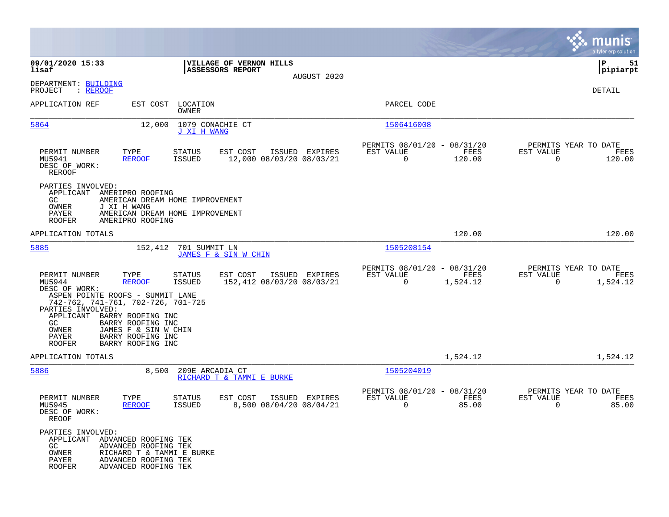|                                                                                                                                                                                                 |                                                                                                       |                                 |                                             |                                             |                                                         |                  |                                                  | munis<br>a tyler erp solution |
|-------------------------------------------------------------------------------------------------------------------------------------------------------------------------------------------------|-------------------------------------------------------------------------------------------------------|---------------------------------|---------------------------------------------|---------------------------------------------|---------------------------------------------------------|------------------|--------------------------------------------------|-------------------------------|
| 09/01/2020 15:33<br>lisaf                                                                                                                                                                       |                                                                                                       |                                 | VILLAGE OF VERNON HILLS<br>ASSESSORS REPORT |                                             |                                                         |                  |                                                  | l P<br>51<br> pipiarpt        |
| DEPARTMENT: BUILDING<br>PROJECT<br>: <u>REROOF</u>                                                                                                                                              |                                                                                                       |                                 |                                             | AUGUST 2020                                 |                                                         |                  |                                                  | DETAIL                        |
| APPLICATION REF                                                                                                                                                                                 |                                                                                                       | EST COST LOCATION<br>OWNER      |                                             |                                             | PARCEL CODE                                             |                  |                                                  |                               |
| 5864                                                                                                                                                                                            | 12,000                                                                                                | 1079 CONACHIE CT<br>J XI H WANG |                                             |                                             | 1506416008                                              |                  |                                                  |                               |
| PERMIT NUMBER<br>MU5941<br>DESC OF WORK:<br>REROOF                                                                                                                                              | TYPE<br><u>REROOF</u>                                                                                 | <b>STATUS</b><br>ISSUED         | EST COST                                    | ISSUED EXPIRES<br>12,000 08/03/20 08/03/21  | PERMITS 08/01/20 - 08/31/20<br>EST VALUE<br>$\Omega$    | FEES<br>120.00   | PERMITS YEAR TO DATE<br>EST VALUE<br>$\Omega$    | FEES<br>120.00                |
| PARTIES INVOLVED:<br>APPLICANT AMERIPRO ROOFING<br>GC.<br>OWNER<br>PAYER<br>ROOFER                                                                                                              | AMERICAN DREAM HOME IMPROVEMENT<br>J XI H WANG<br>AMERICAN DREAM HOME IMPROVEMENT<br>AMERIPRO ROOFING |                                 |                                             |                                             |                                                         |                  |                                                  |                               |
| APPLICATION TOTALS                                                                                                                                                                              |                                                                                                       |                                 |                                             |                                             |                                                         | 120.00           |                                                  | 120.00                        |
| 5885                                                                                                                                                                                            | 152,412                                                                                               | 701 SUMMIT LN                   | JAMES F & SIN W CHIN                        |                                             | 1505208154                                              |                  |                                                  |                               |
| PERMIT NUMBER<br>MU5944<br>DESC OF WORK:<br>ASPEN POINTE ROOFS - SUMMIT LANE<br>742-762, 741-761, 702-726, 701-725<br>PARTIES INVOLVED:<br>APPLICANT BARRY ROOFING INC<br>GC.<br>OWNER<br>PAYER | TYPE<br><b>REROOF</b><br>BARRY ROOFING INC<br>JAMES F & SIN W CHIN<br>BARRY ROOFING INC               | <b>STATUS</b><br>ISSUED         | EST COST                                    | ISSUED EXPIRES<br>152,412 08/03/20 08/03/21 | PERMITS 08/01/20 - 08/31/20<br>EST VALUE<br>$\mathbf 0$ | FEES<br>1,524.12 | PERMITS YEAR TO DATE<br>EST VALUE<br>$\mathbf 0$ | FEES<br>1,524.12              |
| <b>ROOFER</b>                                                                                                                                                                                   | BARRY ROOFING INC                                                                                     |                                 |                                             |                                             |                                                         |                  |                                                  |                               |
| APPLICATION TOTALS<br>5886                                                                                                                                                                      | 8,500                                                                                                 | 209E ARCADIA CT                 | RICHARD T & TAMMI E BURKE                   |                                             | 1505204019                                              | 1,524.12         |                                                  | 1,524.12                      |
| PERMIT NUMBER<br>MU5945<br>DESC OF WORK:<br>REOOF                                                                                                                                               | TYPE<br><b>REROOF</b>                                                                                 | STATUS<br>ISSUED                | EST COST                                    | ISSUED EXPIRES<br>8,500 08/04/20 08/04/21   | PERMITS 08/01/20 - 08/31/20<br>EST VALUE<br>0           | FEES<br>85.00    | PERMITS YEAR TO DATE<br>EST VALUE<br>0           | FEES<br>85.00                 |
| PARTIES INVOLVED:<br>APPLICANT ADVANCED ROOFING TEK<br>GC<br>OWNER<br>PAYER<br>ROOFER                                                                                                           | ADVANCED ROOFING TEK<br>RICHARD T & TAMMI E BURKE<br>ADVANCED ROOFING TEK<br>ADVANCED ROOFING TEK     |                                 |                                             |                                             |                                                         |                  |                                                  |                               |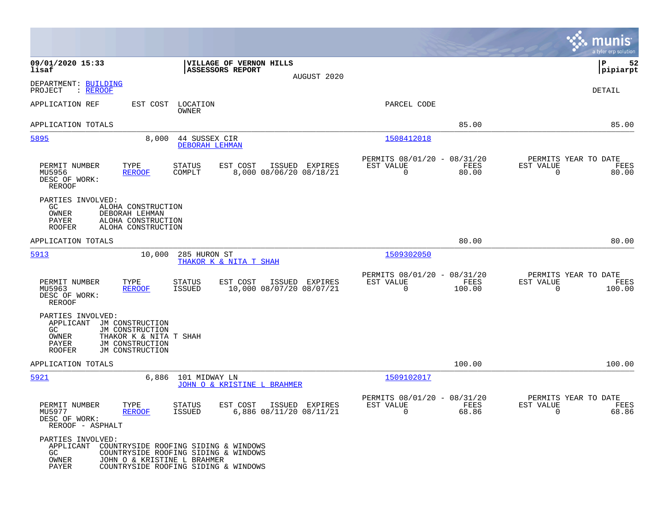|                                                                                                                                                     |                                                                                                             |                                                            |                                                            |                |                                                     | munis<br>a tyler erp solution |
|-----------------------------------------------------------------------------------------------------------------------------------------------------|-------------------------------------------------------------------------------------------------------------|------------------------------------------------------------|------------------------------------------------------------|----------------|-----------------------------------------------------|-------------------------------|
| 09/01/2020 15:33<br>lisaf                                                                                                                           |                                                                                                             | VILLAGE OF VERNON HILLS<br>ASSESSORS REPORT<br>AUGUST 2020 |                                                            |                |                                                     | P<br>52<br> pipiarpt          |
| DEPARTMENT: BUILDING<br>PROJECT<br>: REROOF                                                                                                         |                                                                                                             |                                                            |                                                            |                |                                                     | DETAIL                        |
| APPLICATION REF                                                                                                                                     | LOCATION<br>EST COST<br>OWNER                                                                               |                                                            | PARCEL CODE                                                |                |                                                     |                               |
| APPLICATION TOTALS                                                                                                                                  |                                                                                                             |                                                            |                                                            | 85.00          |                                                     | 85.00                         |
| 5895                                                                                                                                                | 8,000<br>44 SUSSEX CIR<br><b>DEBORAH LEHMAN</b>                                                             |                                                            | 1508412018                                                 |                |                                                     |                               |
| PERMIT NUMBER<br>TYPE<br>MU5956<br>DESC OF WORK:<br><b>REROOF</b>                                                                                   | <b>STATUS</b><br>COMPLT<br><b>REROOF</b>                                                                    | EST COST<br>ISSUED EXPIRES<br>8,000 08/06/20 08/18/21      | PERMITS 08/01/20 - 08/31/20<br>EST VALUE<br>$\mathbf 0$    | FEES<br>80.00  | PERMITS YEAR TO DATE<br>EST VALUE<br>$\mathbf 0$    | FEES<br>80.00                 |
| PARTIES INVOLVED:<br>GC<br>OWNER<br>DEBORAH LEHMAN<br>PAYER<br><b>ROOFER</b>                                                                        | ALOHA CONSTRUCTION<br>ALOHA CONSTRUCTION<br>ALOHA CONSTRUCTION                                              |                                                            |                                                            |                |                                                     |                               |
| APPLICATION TOTALS                                                                                                                                  |                                                                                                             |                                                            |                                                            | 80.00          |                                                     | 80.00                         |
| 5913                                                                                                                                                | 10,000<br>285 HURON ST                                                                                      | THAKOR K & NITA T SHAH                                     | 1509302050                                                 |                |                                                     |                               |
| PERMIT NUMBER<br>TYPE<br>MU5963<br>DESC OF WORK:<br><b>REROOF</b>                                                                                   | <b>STATUS</b><br><b>ISSUED</b><br><b>REROOF</b>                                                             | EST COST<br>ISSUED EXPIRES<br>10,000 08/07/20 08/07/21     | PERMITS 08/01/20 - 08/31/20<br>EST VALUE<br>$\mathbf 0$    | FEES<br>100.00 | PERMITS YEAR TO DATE<br>EST VALUE<br>0              | FEES<br>100.00                |
| PARTIES INVOLVED:<br>APPLICANT<br>JM CONSTRUCTION<br>GC<br>JM CONSTRUCTION<br>OWNER<br>PAYER<br>JM CONSTRUCTION<br><b>ROOFER</b><br>JM CONSTRUCTION | THAKOR K & NITA T SHAH                                                                                      |                                                            |                                                            |                |                                                     |                               |
| APPLICATION TOTALS                                                                                                                                  |                                                                                                             |                                                            |                                                            | 100.00         |                                                     | 100.00                        |
| 5921                                                                                                                                                | 101 MIDWAY LN<br>6,886                                                                                      | JOHN O & KRISTINE L BRAHMER                                | 1509102017                                                 |                |                                                     |                               |
| PERMIT NUMBER<br>TYPE<br>MU5977<br>DESC OF WORK:<br>REROOF - ASPHALT                                                                                | <b>STATUS</b><br><b>REROOF</b><br>ISSUED                                                                    | EST COST<br>ISSUED<br>EXPIRES<br>6,886 08/11/20 08/11/21   | PERMITS 08/01/20 - 08/31/20<br>EST VALUE<br>$\overline{0}$ | FEES<br>68.86  | PERMITS YEAR TO DATE<br>EST VALUE<br>$\overline{0}$ | FEES<br>68.86                 |
| PARTIES INVOLVED:<br>APPLICANT COUNTRYSIDE ROOFING SIDING & WINDOWS<br>GC<br>OWNER<br>PAYER                                                         | COUNTRYSIDE ROOFING SIDING & WINDOWS<br>JOHN O & KRISTINE L BRAHMER<br>COUNTRYSIDE ROOFING SIDING & WINDOWS |                                                            |                                                            |                |                                                     |                               |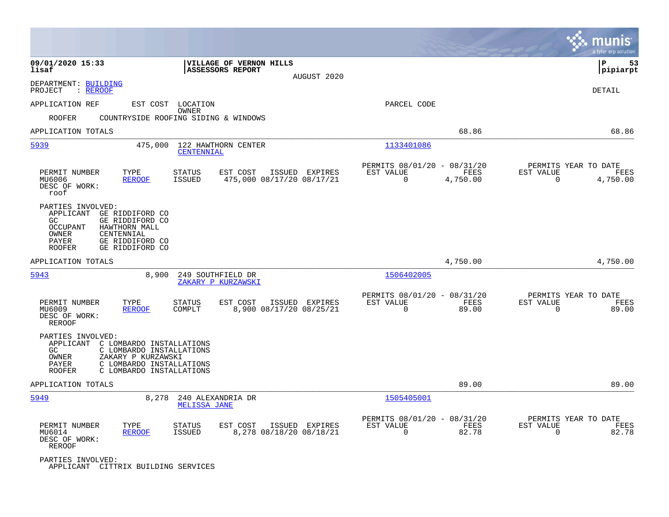|                                                                                                                                                                                                               |                                                                                    |                                                                             | munis<br>a tyler erp solution                                     |
|---------------------------------------------------------------------------------------------------------------------------------------------------------------------------------------------------------------|------------------------------------------------------------------------------------|-----------------------------------------------------------------------------|-------------------------------------------------------------------|
| 09/01/2020 15:33<br>lisaf                                                                                                                                                                                     | VILLAGE OF VERNON HILLS<br>ASSESSORS REPORT<br>AUGUST 2020                         |                                                                             | 53<br>l P<br> pipiarpt                                            |
| DEPARTMENT: BUILDING<br>: <u>REROOF</u><br>PROJECT                                                                                                                                                            |                                                                                    |                                                                             | <b>DETAIL</b>                                                     |
| APPLICATION REF                                                                                                                                                                                               | EST COST LOCATION                                                                  | PARCEL CODE                                                                 |                                                                   |
| <b>ROOFER</b>                                                                                                                                                                                                 | OWNER<br>COUNTRYSIDE ROOFING SIDING & WINDOWS                                      |                                                                             |                                                                   |
| APPLICATION TOTALS                                                                                                                                                                                            |                                                                                    | 68.86                                                                       | 68.86                                                             |
| 5939<br>475,000                                                                                                                                                                                               | 122 HAWTHORN CENTER<br>CENTENNIAL                                                  | 1133401086                                                                  |                                                                   |
| PERMIT NUMBER<br>TYPE<br>MU6006<br><b>REROOF</b><br>DESC OF WORK:<br>roof                                                                                                                                     | EST COST<br>ISSUED EXPIRES<br><b>STATUS</b><br>475,000 08/17/20 08/17/21<br>ISSUED | PERMITS 08/01/20 - 08/31/20<br>EST VALUE<br>FEES<br>$\mathbf 0$<br>4,750.00 | PERMITS YEAR TO DATE<br>EST VALUE<br>FEES<br>0<br>4,750.00        |
| PARTIES INVOLVED:<br>APPLICANT<br>GE RIDDIFORD CO<br>GC<br>GE RIDDIFORD CO<br>OCCUPANT<br>HAWTHORN MALL<br>OWNER<br>CENTENNIAL<br>GE RIDDIFORD CO<br>PAYER<br>GE RIDDIFORD CO<br><b>ROOFER</b>                |                                                                                    |                                                                             |                                                                   |
| APPLICATION TOTALS                                                                                                                                                                                            |                                                                                    | 4,750.00                                                                    | 4,750.00                                                          |
| 5943<br>8,900                                                                                                                                                                                                 | 249 SOUTHFIELD DR<br>ZAKARY P KURZAWSKI                                            | 1506402005                                                                  |                                                                   |
| PERMIT NUMBER<br>TYPE<br>MU6009<br><b>REROOF</b><br>DESC OF WORK:<br>REROOF                                                                                                                                   | <b>STATUS</b><br>EST COST<br>ISSUED EXPIRES<br>COMPLT<br>8,900 08/17/20 08/25/21   | PERMITS 08/01/20 - 08/31/20<br>EST VALUE<br>FEES<br>$\mathbf 0$<br>89.00    | PERMITS YEAR TO DATE<br>EST VALUE<br>FEES<br>$\mathbf 0$<br>89.00 |
| PARTIES INVOLVED:<br>APPLICANT<br>C LOMBARDO INSTALLATIONS<br>GC<br>C LOMBARDO INSTALLATIONS<br>OWNER<br>ZAKARY P KURZAWSKI<br>C LOMBARDO INSTALLATIONS<br>PAYER<br>C LOMBARDO INSTALLATIONS<br><b>ROOFER</b> |                                                                                    |                                                                             |                                                                   |
| APPLICATION TOTALS                                                                                                                                                                                            |                                                                                    | 89.00                                                                       | 89.00                                                             |
| 5949<br>8,278                                                                                                                                                                                                 | 240 ALEXANDRIA DR<br>MELISSA JANE                                                  | 1505405001                                                                  |                                                                   |
| PERMIT NUMBER<br>TYPE<br>MU6014<br><b>REROOF</b><br>DESC OF WORK:<br>REROOF                                                                                                                                   | <b>STATUS</b><br>EST COST<br>ISSUED EXPIRES<br>8,278 08/18/20 08/18/21<br>ISSUED   | PERMITS 08/01/20 - 08/31/20<br>EST VALUE<br>FEES<br>82.78<br>$\mathbf 0$    | PERMITS YEAR TO DATE<br>EST VALUE<br>FEES<br>82.78<br>$\mathbf 0$ |
| PARTIES INVOLVED:<br>APPLICANT CITTRIX BUILDING SERVICES                                                                                                                                                      |                                                                                    |                                                                             |                                                                   |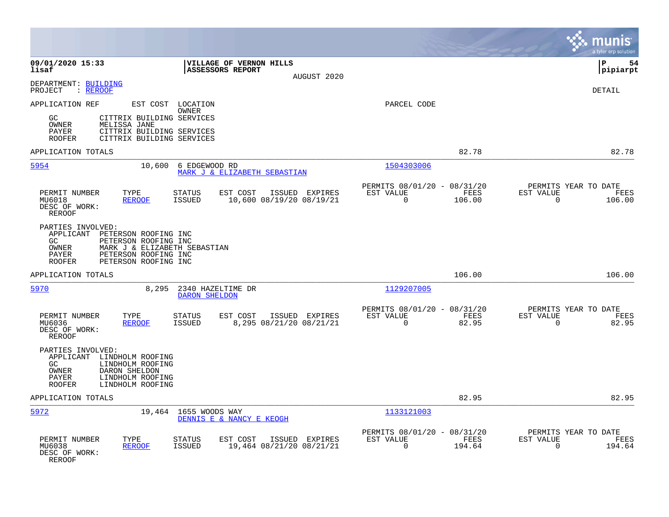|                                                                                                                                                                                                          |                                                                                          |                                                                        | munis<br>a tyler erp solution                                      |
|----------------------------------------------------------------------------------------------------------------------------------------------------------------------------------------------------------|------------------------------------------------------------------------------------------|------------------------------------------------------------------------|--------------------------------------------------------------------|
| 09/01/2020 15:33<br>lisaf                                                                                                                                                                                | VILLAGE OF VERNON HILLS<br>ASSESSORS REPORT<br>AUGUST 2020                               |                                                                        | lР<br>54<br> pipiarpt                                              |
| DEPARTMENT: BUILDING<br>PROJECT<br>: REROOF                                                                                                                                                              |                                                                                          |                                                                        | DETAIL                                                             |
| APPLICATION REF<br>CITTRIX BUILDING SERVICES<br>GC<br>OWNER<br>MELISSA JANE<br>CITTRIX BUILDING SERVICES<br>PAYER<br><b>ROOFER</b><br>CITTRIX BUILDING SERVICES                                          | EST COST LOCATION<br><b>OWNER</b>                                                        | PARCEL CODE                                                            |                                                                    |
| APPLICATION TOTALS                                                                                                                                                                                       |                                                                                          | 82.78                                                                  | 82.78                                                              |
| 5954<br>10,600                                                                                                                                                                                           | 6 EDGEWOOD RD<br>MARK J & ELIZABETH SEBASTIAN                                            | 1504303006                                                             |                                                                    |
| PERMIT NUMBER<br>TYPE<br><b>REROOF</b><br>MU6018<br>DESC OF WORK:<br><b>REROOF</b>                                                                                                                       | <b>STATUS</b><br>EST COST<br>ISSUED EXPIRES<br>10,600 08/19/20 08/19/21<br><b>ISSUED</b> | PERMITS 08/01/20 - 08/31/20<br>EST VALUE<br>FEES<br>$\Omega$<br>106.00 | PERMITS YEAR TO DATE<br>EST VALUE<br>FEES<br>$\mathbf 0$<br>106.00 |
| PARTIES INVOLVED:<br>APPLICANT<br>PETERSON ROOFING INC<br>PETERSON ROOFING INC<br>GC.<br>OWNER<br>MARK J & ELIZABETH SEBASTIAN<br>PAYER<br>PETERSON ROOFING INC<br>PETERSON ROOFING INC<br><b>ROOFER</b> |                                                                                          |                                                                        |                                                                    |
| APPLICATION TOTALS                                                                                                                                                                                       |                                                                                          | 106.00                                                                 | 106.00                                                             |
| 5970<br>8,295                                                                                                                                                                                            | 2340 HAZELTIME DR<br><b>DARON SHELDON</b>                                                | 1129207005                                                             |                                                                    |
| PERMIT NUMBER<br>TYPE<br>MU6036<br><b>REROOF</b><br>DESC OF WORK:<br>REROOF                                                                                                                              | <b>STATUS</b><br>EST COST<br>ISSUED EXPIRES<br><b>ISSUED</b><br>8,295 08/21/20 08/21/21  | PERMITS 08/01/20 - 08/31/20<br>EST VALUE<br>FEES<br>$\Omega$<br>82.95  | PERMITS YEAR TO DATE<br>EST VALUE<br>FEES<br>$\Omega$<br>82.95     |
| PARTIES INVOLVED:<br>APPLICANT LINDHOLM ROOFING<br>GC.<br>LINDHOLM ROOFING<br>OWNER<br>DARON SHELDON<br>PAYER<br>LINDHOLM ROOFING<br><b>ROOFER</b><br>LINDHOLM ROOFING                                   |                                                                                          |                                                                        |                                                                    |
| APPLICATION TOTALS                                                                                                                                                                                       |                                                                                          | 82.95                                                                  | 82.95                                                              |
| 5972<br>19,464                                                                                                                                                                                           | 1655 WOODS WAY<br>DENNIS E & NANCY E KEOGH                                               | 1133121003                                                             |                                                                    |
| PERMIT NUMBER<br>TYPE<br>MU6038<br><b>REROOF</b><br>DESC OF WORK:<br>REROOF                                                                                                                              | <b>STATUS</b><br>EST COST<br>ISSUED EXPIRES<br>19,464 08/21/20 08/21/21<br><b>ISSUED</b> | PERMITS 08/01/20 - 08/31/20<br>EST VALUE<br>FEES<br>$\Omega$<br>194.64 | PERMITS YEAR TO DATE<br>EST VALUE<br>FEES<br>194.64<br>$\Omega$    |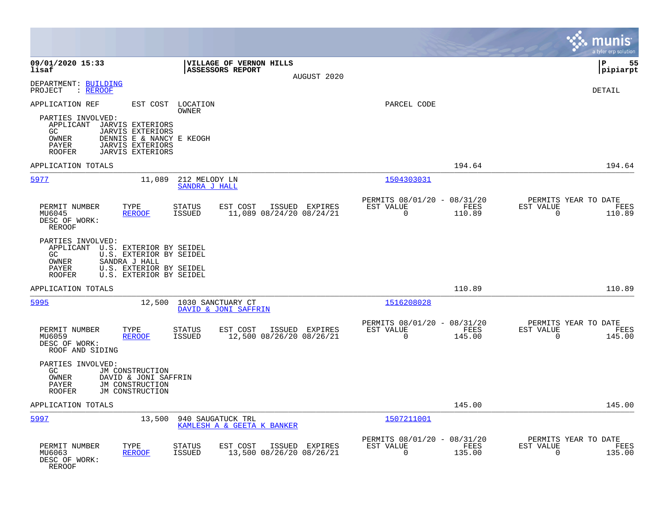|                                                                                                                                                                                                           |                                                                                   |                                                                           | munis<br>a tyler erp solution                                      |
|-----------------------------------------------------------------------------------------------------------------------------------------------------------------------------------------------------------|-----------------------------------------------------------------------------------|---------------------------------------------------------------------------|--------------------------------------------------------------------|
| 09/01/2020 15:33<br>lisaf                                                                                                                                                                                 | VILLAGE OF VERNON HILLS<br><b>ASSESSORS REPORT</b><br>AUGUST 2020                 |                                                                           | l P<br>55<br> pipiarpt                                             |
| DEPARTMENT: BUILDING<br>: REROOF<br>PROJECT                                                                                                                                                               |                                                                                   |                                                                           | <b>DETAIL</b>                                                      |
| APPLICATION REF<br>EST COST                                                                                                                                                                               | LOCATION<br>OWNER                                                                 | PARCEL CODE                                                               |                                                                    |
| PARTIES INVOLVED:<br>APPLICANT<br>JARVIS EXTERIORS<br>GC.<br><b>JARVIS EXTERIORS</b><br>OWNER<br>DENNIS E & NANCY E KEOGH<br><b>JARVIS EXTERIORS</b><br>PAYER<br><b>ROOFER</b><br><b>JARVIS EXTERIORS</b> |                                                                                   |                                                                           |                                                                    |
| APPLICATION TOTALS                                                                                                                                                                                        |                                                                                   | 194.64                                                                    | 194.64                                                             |
| 5977<br>11,089                                                                                                                                                                                            | 212 MELODY LN<br>SANDRA J HALL                                                    | 1504303031                                                                |                                                                    |
| PERMIT NUMBER<br>TYPE<br>MU6045<br><b>REROOF</b><br>DESC OF WORK:<br><b>REROOF</b>                                                                                                                        | STATUS<br>EST COST<br>ISSUED EXPIRES<br>11,089 08/24/20 08/24/21<br><b>ISSUED</b> | PERMITS 08/01/20 - 08/31/20<br>EST VALUE<br>FEES<br>$\mathbf 0$<br>110.89 | PERMITS YEAR TO DATE<br>EST VALUE<br>FEES<br>$\mathbf 0$<br>110.89 |
| PARTIES INVOLVED:<br>APPLICANT U.S. EXTERIOR BY SEIDEL<br>GC.<br>U.S. EXTERIOR BY SEIDEL<br>OWNER<br>SANDRA J HALL<br>U.S. EXTERIOR BY SEIDEL<br>PAYER<br>U.S. EXTERIOR BY SEIDEL<br><b>ROOFER</b>        |                                                                                   |                                                                           |                                                                    |
| APPLICATION TOTALS                                                                                                                                                                                        |                                                                                   | 110.89                                                                    | 110.89                                                             |
| 5995<br>12,500                                                                                                                                                                                            | 1030 SANCTUARY CT<br>DAVID & JONI SAFFRIN                                         | 1516208028                                                                |                                                                    |
| PERMIT NUMBER<br>TYPE<br>MU6059<br><b>REROOF</b><br>DESC OF WORK:<br>ROOF AND SIDING                                                                                                                      | STATUS<br>EST COST<br>ISSUED EXPIRES<br>12,500 08/26/20 08/26/21<br><b>ISSUED</b> | PERMITS 08/01/20 - 08/31/20<br>FEES<br>EST VALUE<br>$\mathbf 0$<br>145.00 | PERMITS YEAR TO DATE<br>EST VALUE<br>FEES<br>$\mathbf 0$<br>145.00 |
| PARTIES INVOLVED:<br>GC.<br>JM CONSTRUCTION<br>OWNER<br>DAVID & JONI SAFFRIN<br>JM CONSTRUCTION<br>PAYER<br>JM CONSTRUCTION<br><b>ROOFER</b>                                                              |                                                                                   |                                                                           |                                                                    |
| APPLICATION TOTALS                                                                                                                                                                                        |                                                                                   | 145.00                                                                    | 145.00                                                             |
| 5997<br>13,500                                                                                                                                                                                            | 940 SAUGATUCK TRL<br>KAMLESH A & GEETA K BANKER                                   | 1507211001                                                                |                                                                    |
| PERMIT NUMBER<br>TYPE<br>MU6063<br><b>REROOF</b><br>DESC OF WORK:<br>REROOF                                                                                                                               | STATUS<br>EST COST<br>ISSUED EXPIRES<br>13,500 08/26/20 08/26/21<br><b>ISSUED</b> | PERMITS 08/01/20 - 08/31/20<br>EST VALUE<br>FEES<br>$\mathbf 0$<br>135.00 | PERMITS YEAR TO DATE<br>EST VALUE<br>FEES<br>$\mathbf 0$<br>135.00 |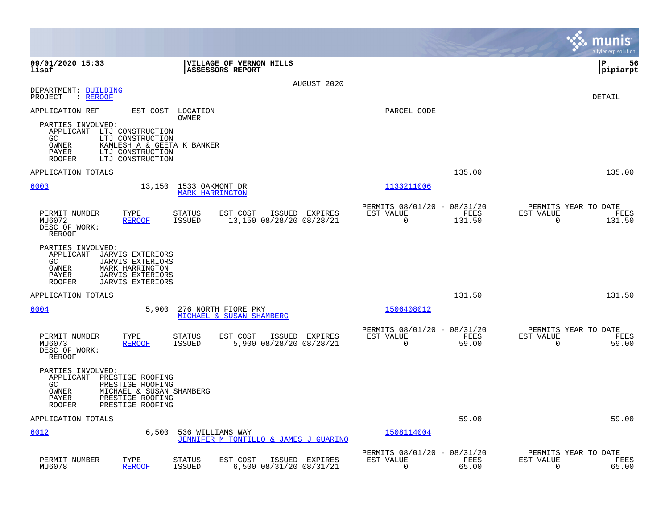|                                                                                                                                                                                                  |                                                                           | munis<br>a tyler erp solution                            |
|--------------------------------------------------------------------------------------------------------------------------------------------------------------------------------------------------|---------------------------------------------------------------------------|----------------------------------------------------------|
| 09/01/2020 15:33<br>VILLAGE OF VERNON HILLS<br>lisaf<br>ASSESSORS REPORT                                                                                                                         |                                                                           | ΙP<br>56<br> pipiarpt                                    |
| AUGUST 2020                                                                                                                                                                                      |                                                                           |                                                          |
| DEPARTMENT: BUILDING<br>PROJECT<br>: REROOF                                                                                                                                                      |                                                                           | <b>DETAIL</b>                                            |
| APPLICATION REF<br>EST COST LOCATION                                                                                                                                                             | PARCEL CODE                                                               |                                                          |
| OWNER<br>PARTIES INVOLVED:<br>APPLICANT LTJ CONSTRUCTION<br>GC.<br>LTJ CONSTRUCTION<br>OWNER<br>KAMLESH A & GEETA K BANKER<br>PAYER<br>LTJ CONSTRUCTION<br>LTJ CONSTRUCTION<br>ROOFER            |                                                                           |                                                          |
| APPLICATION TOTALS                                                                                                                                                                               | 135.00                                                                    | 135.00                                                   |
| 6003<br>13,150<br>1533 OAKMONT DR<br><b>MARK HARRINGTON</b>                                                                                                                                      | 1133211006                                                                |                                                          |
| PERMIT NUMBER<br>TYPE<br><b>STATUS</b><br>EST COST<br>ISSUED EXPIRES<br><b>REROOF</b><br>13,150 08/28/20 08/28/21<br>MU6072<br><b>ISSUED</b><br>DESC OF WORK:<br><b>REROOF</b>                   | PERMITS 08/01/20 - 08/31/20<br>EST VALUE<br>FEES<br>$\mathbf 0$<br>131.50 | PERMITS YEAR TO DATE<br>EST VALUE<br>FEES<br>0<br>131.50 |
| PARTIES INVOLVED:<br>APPLICANT<br>JARVIS EXTERIORS<br>GC.<br><b>JARVIS EXTERIORS</b><br>OWNER<br>MARK HARRINGTON<br>PAYER<br><b>JARVIS EXTERIORS</b><br><b>JARVIS EXTERIORS</b><br><b>ROOFER</b> |                                                                           |                                                          |
| APPLICATION TOTALS                                                                                                                                                                               | 131.50                                                                    | 131.50                                                   |
| 6004<br>5,900<br>276 NORTH FIORE PKY<br>MICHAEL & SUSAN SHAMBERG                                                                                                                                 | 1506408012                                                                |                                                          |
| PERMIT NUMBER<br>TYPE<br><b>STATUS</b><br>EST COST<br>ISSUED EXPIRES<br>5,900 08/28/20 08/28/21<br>MU6073<br><b>REROOF</b><br><b>ISSUED</b><br>DESC OF WORK:<br>REROOF                           | PERMITS 08/01/20 - 08/31/20<br>EST VALUE<br>FEES<br>0<br>59.00            | PERMITS YEAR TO DATE<br>EST VALUE<br>FEES<br>0<br>59.00  |
| PARTIES INVOLVED:<br>APPLICANT<br>PRESTIGE ROOFING<br>GC<br>PRESTIGE ROOFING<br>OWNER<br>MICHAEL & SUSAN SHAMBERG<br>PAYER<br>PRESTIGE ROOFING<br><b>ROOFER</b><br>PRESTIGE ROOFING              |                                                                           |                                                          |
| APPLICATION TOTALS                                                                                                                                                                               | 59.00                                                                     | 59.00                                                    |
| 6012<br>6,500<br>536 WILLIAMS WAY<br>JENNIFER M TONTILLO & JAMES J GUARINO                                                                                                                       | 1508114004                                                                |                                                          |
| PERMIT NUMBER<br>TYPE<br><b>STATUS</b><br>EST COST<br>ISSUED EXPIRES<br>MU6078<br><b>REROOF</b><br><b>ISSUED</b><br>6,500 08/31/20 08/31/21                                                      | PERMITS 08/01/20 - 08/31/20<br>EST VALUE<br>FEES<br>$\Omega$<br>65.00     | PERMITS YEAR TO DATE<br>EST VALUE<br>FEES<br>65.00<br>0  |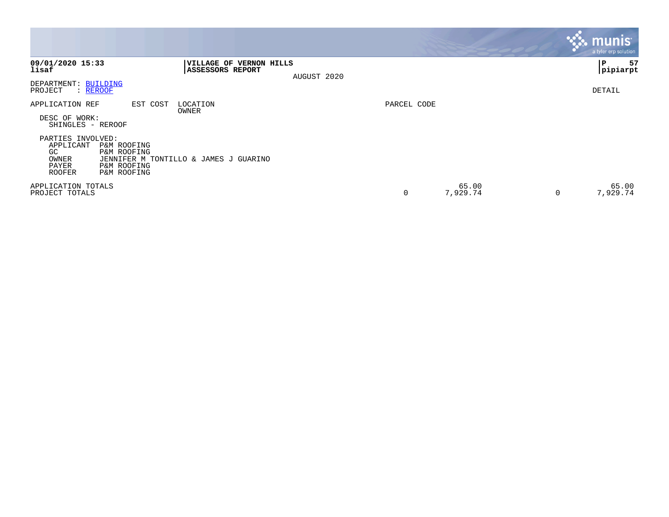|                                                                                                                               |                                                    |             |             |                   | <b>munis</b> '<br>a tyler erp solution |
|-------------------------------------------------------------------------------------------------------------------------------|----------------------------------------------------|-------------|-------------|-------------------|----------------------------------------|
| 09/01/2020 15:33<br>lisaf                                                                                                     | <b>VILLAGE OF VERNON HILLS</b><br>ASSESSORS REPORT | AUGUST 2020 |             |                   | 57<br>P<br> pipiarpt                   |
| DEPARTMENT: BUILDING<br>PROJECT<br>: REROOF                                                                                   |                                                    |             |             |                   | DETAIL                                 |
| APPLICATION REF<br>EST COST<br>DESC OF WORK:<br>SHINGLES - REROOF                                                             | LOCATION<br>OWNER                                  |             | PARCEL CODE |                   |                                        |
| PARTIES INVOLVED:<br>APPLICANT<br>P&M ROOFING<br>GC.<br>P&M ROOFING<br>OWNER<br>PAYER<br>P&M ROOFING<br>ROOFER<br>P&M ROOFING | JENNIFER M TONTILLO & JAMES J GUARINO              |             |             |                   |                                        |
| APPLICATION TOTALS<br>PROJECT TOTALS                                                                                          |                                                    |             | 0           | 65.00<br>7,929.74 | 65.00<br>7,929.74<br>0                 |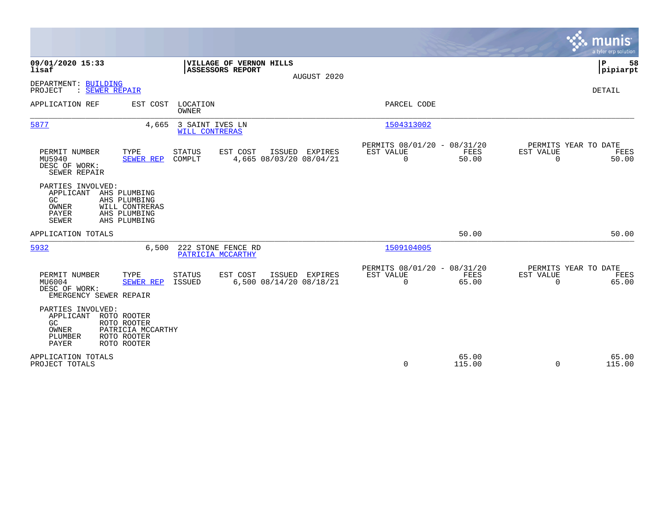|                                                                                |                                                                                |                                   |                                                    |                                           |                                                         |                 |                                                  | munis<br>a tyler erp solution |
|--------------------------------------------------------------------------------|--------------------------------------------------------------------------------|-----------------------------------|----------------------------------------------------|-------------------------------------------|---------------------------------------------------------|-----------------|--------------------------------------------------|-------------------------------|
| 09/01/2020 15:33<br>lisaf                                                      |                                                                                |                                   | VILLAGE OF VERNON HILLS<br><b>ASSESSORS REPORT</b> | AUGUST 2020                               |                                                         |                 |                                                  | P<br>58<br> pipiarpt          |
| DEPARTMENT: BUILDING<br>: SEWER REPAIR<br>PROJECT                              |                                                                                |                                   |                                                    |                                           |                                                         |                 |                                                  | DETAIL                        |
| APPLICATION REF                                                                | EST COST                                                                       | LOCATION<br>OWNER                 |                                                    |                                           | PARCEL CODE                                             |                 |                                                  |                               |
| 5877                                                                           | 4,665                                                                          | 3 SAINT IVES LN<br>WILL CONTRERAS |                                                    |                                           | 1504313002                                              |                 |                                                  |                               |
| PERMIT NUMBER<br>MU5940<br>DESC OF WORK:<br>SEWER REPAIR                       | TYPE<br><b>SEWER REP</b>                                                       | <b>STATUS</b><br>COMPLT           | EST COST                                           | ISSUED EXPIRES<br>4,665 08/03/20 08/04/21 | PERMITS 08/01/20 - 08/31/20<br>EST VALUE<br>$\mathbf 0$ | FEES<br>50.00   | PERMITS YEAR TO DATE<br>EST VALUE<br>$\mathbf 0$ | FEES<br>50.00                 |
| PARTIES INVOLVED:<br>APPLICANT<br>GC<br>OWNER<br>PAYER<br><b>SEWER</b>         | AHS PLUMBING<br>AHS PLUMBING<br>WILL CONTRERAS<br>AHS PLUMBING<br>AHS PLUMBING |                                   |                                                    |                                           |                                                         |                 |                                                  |                               |
| APPLICATION TOTALS                                                             |                                                                                |                                   |                                                    |                                           |                                                         | 50.00           |                                                  | 50.00                         |
| 5932                                                                           | 6,500                                                                          |                                   | 222 STONE FENCE RD<br>PATRICIA MCCARTHY            |                                           | 1509104005                                              |                 |                                                  |                               |
| PERMIT NUMBER<br>MU6004<br>DESC OF WORK:<br>EMERGENCY SEWER REPAIR             | TYPE<br><b>SEWER REP</b>                                                       | <b>STATUS</b><br>ISSUED           | EST COST                                           | ISSUED EXPIRES<br>6,500 08/14/20 08/18/21 | PERMITS 08/01/20 - 08/31/20<br>EST VALUE<br>$\mathbf 0$ | FEES<br>65.00   | PERMITS YEAR TO DATE<br>EST VALUE<br>$\Omega$    | FEES<br>65.00                 |
| PARTIES INVOLVED:<br>APPLICANT ROTO ROOTER<br>GC.<br>OWNER<br>PLUMBER<br>PAYER | ROTO ROOTER<br>PATRICIA MCCARTHY<br>ROTO ROOTER<br>ROTO ROOTER                 |                                   |                                                    |                                           |                                                         |                 |                                                  |                               |
| APPLICATION TOTALS<br>PROJECT TOTALS                                           |                                                                                |                                   |                                                    |                                           | $\Omega$                                                | 65.00<br>115.00 | $\Omega$                                         | 65.00<br>115.00               |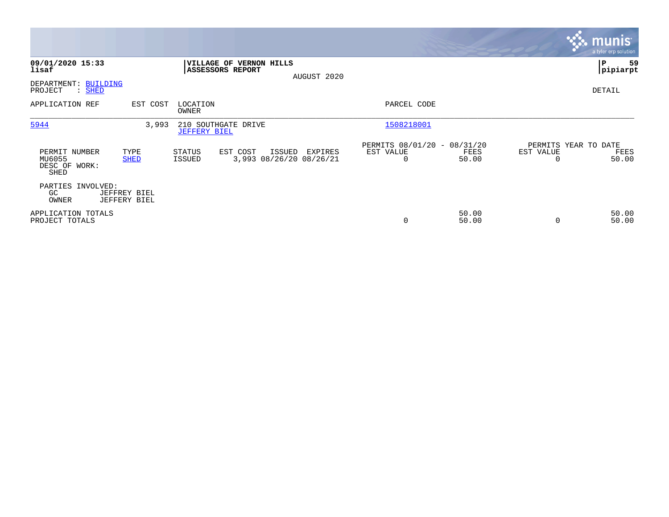|                                                  |                              |                         |                                             |                                   |             |                                                      |                |                                               | <b>munis</b><br>a tyler erp solution |
|--------------------------------------------------|------------------------------|-------------------------|---------------------------------------------|-----------------------------------|-------------|------------------------------------------------------|----------------|-----------------------------------------------|--------------------------------------|
| 09/01/2020 15:33<br>lisaf                        |                              |                         | VILLAGE OF VERNON HILLS<br>ASSESSORS REPORT |                                   | AUGUST 2020 |                                                      |                |                                               | ∣₽<br>59<br> pipiarpt                |
| DEPARTMENT:<br>BUILDING<br>PROJECT<br>: SHED     |                              |                         |                                             |                                   |             |                                                      |                |                                               | DETAIL                               |
| APPLICATION REF                                  | EST COST                     | LOCATION<br>OWNER       |                                             |                                   |             | PARCEL CODE                                          |                |                                               |                                      |
| 5944                                             | 3,993                        | <b>JEFFERY BIEL</b>     | 210 SOUTHGATE DRIVE                         |                                   |             | 1508218001                                           |                |                                               |                                      |
| PERMIT NUMBER<br>MU6055<br>DESC OF WORK:<br>SHED | TYPE<br><b>SHED</b>          | STATUS<br><b>ISSUED</b> | EST COST                                    | ISSUED<br>3,993 08/26/20 08/26/21 | EXPIRES     | PERMITS 08/01/20 - 08/31/20<br>EST VALUE<br>$\Omega$ | FEES<br>50.00  | PERMITS YEAR TO DATE<br>EST VALUE<br>$\Omega$ | FEES<br>50.00                        |
| PARTIES INVOLVED:<br>GC.<br>OWNER                | JEFFREY BIEL<br>JEFFERY BIEL |                         |                                             |                                   |             |                                                      |                |                                               |                                      |
| APPLICATION TOTALS<br>PROJECT TOTALS             |                              |                         |                                             |                                   |             | $\mathbf 0$                                          | 50.00<br>50.00 | 0                                             | 50.00<br>50.00                       |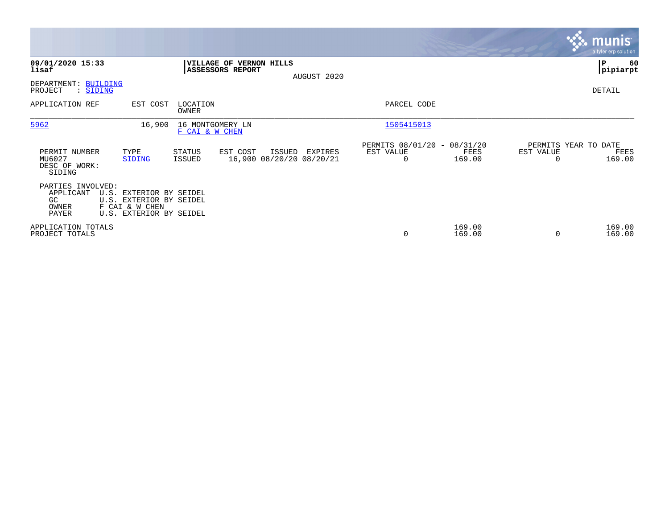|                                                        |                                                                                                 |                                    |                                             |        |                                     |                                                      |                  |           | <b>munis</b><br>a tyler erp solution   |
|--------------------------------------------------------|-------------------------------------------------------------------------------------------------|------------------------------------|---------------------------------------------|--------|-------------------------------------|------------------------------------------------------|------------------|-----------|----------------------------------------|
| 09/01/2020 15:33<br>lisaf                              |                                                                                                 |                                    | VILLAGE OF VERNON HILLS<br>ASSESSORS REPORT |        | AUGUST 2020                         |                                                      |                  |           | ∣P<br>60<br> pipiarpt                  |
| DEPARTMENT: BUILDING<br>PROJECT<br>: SIDING            |                                                                                                 |                                    |                                             |        |                                     |                                                      |                  |           | DETAIL                                 |
| APPLICATION REF                                        | EST COST                                                                                        | LOCATION<br>OWNER                  |                                             |        |                                     | PARCEL CODE                                          |                  |           |                                        |
| 5962                                                   | 16,900                                                                                          | 16 MONTGOMERY LN<br>F CAI & W CHEN |                                             |        |                                     | 1505415013                                           |                  |           |                                        |
| PERMIT NUMBER<br>MU6027<br>DESC OF WORK:<br>SIDING     | TYPE<br>SIDING                                                                                  | STATUS<br>ISSUED                   | EST COST                                    | ISSUED | EXPIRES<br>16,900 08/20/20 08/20/21 | PERMITS 08/01/20 - 08/31/20<br>EST VALUE<br>$\Omega$ | FEES<br>169.00   | EST VALUE | PERMITS YEAR TO DATE<br>FEES<br>169.00 |
| PARTIES INVOLVED:<br>APPLICANT<br>GC<br>OWNER<br>PAYER | U.S. EXTERIOR BY SEIDEL<br>U.S. EXTERIOR BY SEIDEL<br>F CAI & W CHEN<br>U.S. EXTERIOR BY SEIDEL |                                    |                                             |        |                                     |                                                      |                  |           |                                        |
| APPLICATION TOTALS<br>PROJECT TOTALS                   |                                                                                                 |                                    |                                             |        |                                     | $\mathbf 0$                                          | 169.00<br>169.00 | $\Omega$  | 169.00<br>169.00                       |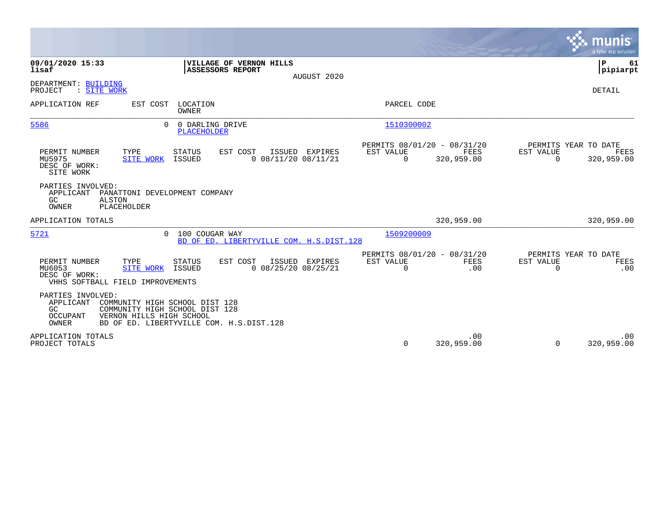|                                                                                                                                                                                                       |                                         |                                                         |                    |                                                  | munis<br>a tyler erp solution |
|-------------------------------------------------------------------------------------------------------------------------------------------------------------------------------------------------------|-----------------------------------------|---------------------------------------------------------|--------------------|--------------------------------------------------|-------------------------------|
| 09/01/2020 15:33<br><b>VILLAGE OF VERNON HILLS</b><br>lisaf<br>ASSESSORS REPORT                                                                                                                       | AUGUST 2020                             |                                                         |                    |                                                  | l P<br>61<br> pipiarpt        |
| DEPARTMENT: BUILDING<br>PROJECT<br>: SITE WORK                                                                                                                                                        |                                         |                                                         |                    |                                                  | DETAIL                        |
| APPLICATION REF<br>EST COST<br>LOCATION<br><b>OWNER</b>                                                                                                                                               |                                         | PARCEL CODE                                             |                    |                                                  |                               |
| 5586<br>0 DARLING DRIVE<br>$\Omega$<br><b>PLACEHOLDER</b>                                                                                                                                             |                                         | 1510300002                                              |                    |                                                  |                               |
| TYPE<br>EST COST<br>PERMIT NUMBER<br><b>STATUS</b><br>MU5975<br><b>ISSUED</b><br><b>SITE WORK</b><br>DESC OF WORK:<br>SITE WORK                                                                       | ISSUED EXPIRES<br>$0$ 08/11/20 08/11/21 | PERMITS 08/01/20 - 08/31/20<br>EST VALUE<br>0           | FEES<br>320,959.00 | PERMITS YEAR TO DATE<br>EST VALUE<br>0           | <b>FEES</b><br>320,959.00     |
| PARTIES INVOLVED:<br>APPLICANT<br>PANATTONI DEVELOPMENT COMPANY<br>GC<br>ALSTON<br>OWNER<br>PLACEHOLDER                                                                                               |                                         |                                                         |                    |                                                  |                               |
| APPLICATION TOTALS                                                                                                                                                                                    |                                         |                                                         | 320,959.00         |                                                  | 320,959.00                    |
| 5721<br>0 100 COUGAR WAY<br>BD OF ED. LIBERTYVILLE COM. H.S.DIST.128                                                                                                                                  |                                         | 1509200009                                              |                    |                                                  |                               |
| PERMIT NUMBER<br>TYPE<br><b>STATUS</b><br>EST COST<br>MU6053<br><b>SITE WORK</b><br>ISSUED<br>DESC OF WORK:<br>VHHS SOFTBALL FIELD IMPROVEMENTS                                                       | ISSUED EXPIRES<br>$0$ 08/25/20 08/25/21 | PERMITS 08/01/20 - 08/31/20<br>EST VALUE<br>$\mathbf 0$ | <b>FEES</b><br>.00 | PERMITS YEAR TO DATE<br>EST VALUE<br>$\mathbf 0$ | FEES<br>.00                   |
| PARTIES INVOLVED:<br>APPLICANT<br>COMMUNITY HIGH SCHOOL DIST 128<br>COMMUNITY HIGH SCHOOL DIST 128<br>GC<br>VERNON HILLS HIGH SCHOOL<br>OCCUPANT<br>BD OF ED. LIBERTYVILLE COM. H.S.DIST.128<br>OWNER |                                         |                                                         |                    |                                                  |                               |
| APPLICATION TOTALS<br>PROJECT TOTALS                                                                                                                                                                  |                                         | 0                                                       | .00<br>320,959.00  | $\Omega$                                         | .00<br>320,959.00             |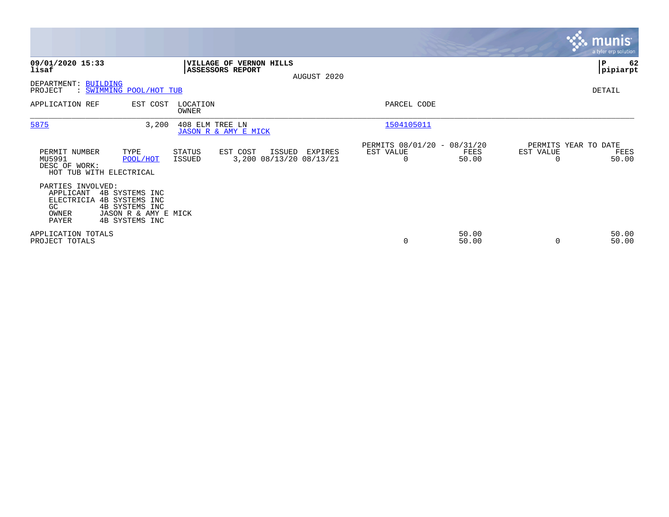|                                                                                     |                                                                            |                   |                                               |             |                                                      |                |                                   | <b>munis</b><br>a tyler erp solution |
|-------------------------------------------------------------------------------------|----------------------------------------------------------------------------|-------------------|-----------------------------------------------|-------------|------------------------------------------------------|----------------|-----------------------------------|--------------------------------------|
| 09/01/2020 15:33<br>lisaf                                                           |                                                                            |                   | VILLAGE OF VERNON HILLS<br>ASSESSORS REPORT   | AUGUST 2020 |                                                      |                |                                   | ∣₽<br>62<br> pipiarpt                |
| <b>BUILDING</b><br>DEPARTMENT:<br>PROJECT                                           | : SWIMMING POOL/HOT TUB                                                    |                   |                                               |             |                                                      |                |                                   | DETAIL                               |
| APPLICATION REF                                                                     | EST COST                                                                   | LOCATION<br>OWNER |                                               |             | PARCEL CODE                                          |                |                                   |                                      |
| 5875                                                                                | 3,200                                                                      | 408 ELM TREE LN   | JASON R & AMY E MICK                          |             | 1504105011                                           |                |                                   |                                      |
| PERMIT NUMBER<br>MU5991<br>DESC OF WORK:<br>HOT TUB WITH ELECTRICAL                 | TYPE<br>POOL/HOT                                                           | STATUS<br>ISSUED  | EST COST<br>ISSUED<br>3,200 08/13/20 08/13/21 | EXPIRES     | PERMITS 08/01/20 - 08/31/20<br>EST VALUE<br>$\Omega$ | FEES<br>50.00  | PERMITS YEAR TO DATE<br>EST VALUE | FEES<br>50.00                        |
| PARTIES INVOLVED:<br>APPLICANT<br>ELECTRICIA 4B SYSTEMS INC<br>GC<br>OWNER<br>PAYER | 4B SYSTEMS INC<br>4B SYSTEMS INC<br>JASON R & AMY E MICK<br>4B SYSTEMS INC |                   |                                               |             |                                                      |                |                                   |                                      |
| APPLICATION TOTALS<br>PROJECT TOTALS                                                |                                                                            |                   |                                               |             | $\mathbf 0$                                          | 50.00<br>50.00 |                                   | 50.00<br>50.00                       |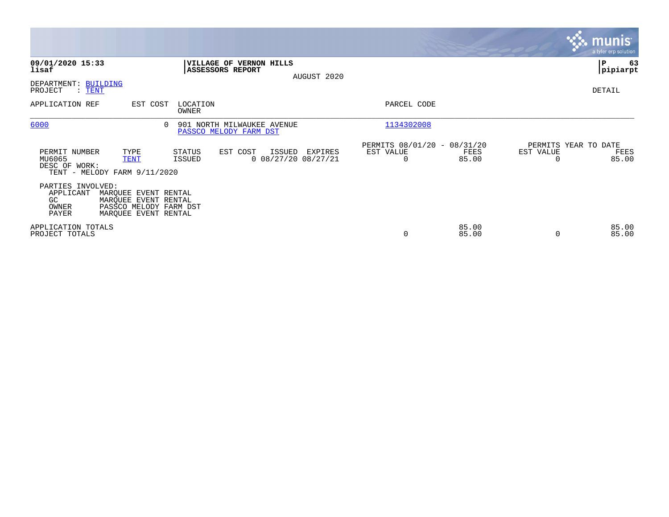|                                                        |                                                                                                |                                                      |                                            |                                                         |                |                                   | <b>munis</b><br>a tyler erp solution |
|--------------------------------------------------------|------------------------------------------------------------------------------------------------|------------------------------------------------------|--------------------------------------------|---------------------------------------------------------|----------------|-----------------------------------|--------------------------------------|
| 09/01/2020 15:33<br>lisaf                              |                                                                                                | VILLAGE OF VERNON HILLS<br><b>ASSESSORS REPORT</b>   | AUGUST 2020                                |                                                         |                |                                   | ∣₽<br>63<br> pipiarpt                |
| DEPARTMENT: BUILDING<br>PROJECT<br>$:$ TENT            |                                                                                                |                                                      |                                            |                                                         |                |                                   | DETAIL                               |
| APPLICATION REF                                        | EST COST                                                                                       | LOCATION<br>OWNER                                    |                                            | PARCEL CODE                                             |                |                                   |                                      |
| 6000                                                   | $\Omega$                                                                                       | 901 NORTH MILWAUKEE AVENUE<br>PASSCO MELODY FARM DST |                                            | 1134302008                                              |                |                                   |                                      |
| PERMIT NUMBER<br>MU6065<br>DESC OF WORK:               | TYPE<br><b>TENT</b><br>TENT - MELODY FARM 9/11/2020                                            | STATUS<br>EST COST<br>ISSUED                         | ISSUED<br>EXPIRES<br>$0$ 08/27/20 08/27/21 | PERMITS 08/01/20 - 08/31/20<br>EST VALUE<br>$\mathbf 0$ | FEES<br>85.00  | PERMITS YEAR TO DATE<br>EST VALUE | FEES<br>85.00                        |
| PARTIES INVOLVED:<br>APPLICANT<br>GC<br>OWNER<br>PAYER | MARQUEE EVENT RENTAL<br>MARQUEE EVENT RENTAL<br>PASSCO MELODY FARM DST<br>MARQUEE EVENT RENTAL |                                                      |                                            |                                                         |                |                                   |                                      |
| APPLICATION TOTALS<br>PROJECT TOTALS                   |                                                                                                |                                                      |                                            | $\mathbf 0$                                             | 85.00<br>85.00 | $\Omega$                          | 85.00<br>85.00                       |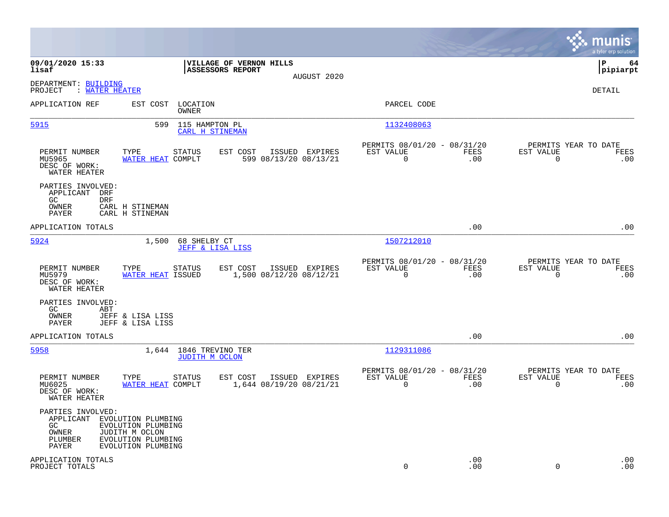|                                                                                                                                                                              |                                                                 |                                                            |             |                                                  | munis<br>a tyler erp solution |
|------------------------------------------------------------------------------------------------------------------------------------------------------------------------------|-----------------------------------------------------------------|------------------------------------------------------------|-------------|--------------------------------------------------|-------------------------------|
| 09/01/2020 15:33<br>lisaf                                                                                                                                                    | VILLAGE OF VERNON HILLS<br><b>ASSESSORS REPORT</b>              |                                                            |             |                                                  | l P<br>64<br> pipiarpt        |
| DEPARTMENT: BUILDING<br>PROJECT<br>: WATER HEATER                                                                                                                            | AUGUST 2020                                                     |                                                            |             |                                                  | DETAIL                        |
| APPLICATION REF                                                                                                                                                              | EST COST LOCATION<br>OWNER                                      | PARCEL CODE                                                |             |                                                  |                               |
| 5915<br>599                                                                                                                                                                  | 115 HAMPTON PL<br><b>CARL H STINEMAN</b>                        | 1132408063                                                 |             |                                                  |                               |
| PERMIT NUMBER<br>TYPE<br>MU5965<br>WATER HEAT COMPLT<br>DESC OF WORK:<br>WATER HEATER                                                                                        | STATUS<br>ISSUED EXPIRES<br>EST COST<br>599 08/13/20 08/13/21   | PERMITS 08/01/20 - 08/31/20<br>EST VALUE<br>$\overline{0}$ | FEES<br>.00 | PERMITS YEAR TO DATE<br>EST VALUE<br>$\mathbf 0$ | FEES<br>.00                   |
| PARTIES INVOLVED:<br>APPLICANT DRF<br>GC.<br><b>DRF</b><br>OWNER<br>CARL H STINEMAN<br>CARL H STINEMAN<br>PAYER                                                              |                                                                 |                                                            |             |                                                  |                               |
| APPLICATION TOTALS                                                                                                                                                           |                                                                 |                                                            | .00         |                                                  | .00                           |
| 5924<br>1,500                                                                                                                                                                | 68 SHELBY CT<br><b>JEFF &amp; LISA LISS</b>                     | 1507212010                                                 |             |                                                  |                               |
| PERMIT NUMBER<br>TYPE<br>MU5979<br>WATER HEAT ISSUED<br>DESC OF WORK:<br>WATER HEATER                                                                                        | STATUS<br>EST COST<br>ISSUED EXPIRES<br>1,500 08/12/20 08/12/21 | PERMITS 08/01/20 - 08/31/20<br>EST VALUE<br>0              | FEES<br>.00 | PERMITS YEAR TO DATE<br>EST VALUE<br>$\mathbf 0$ | FEES<br>.00                   |
| PARTIES INVOLVED:<br>GC.<br>ABT<br>JEFF & LISA LISS<br>OWNER<br>PAYER<br>JEFF & LISA LISS                                                                                    |                                                                 |                                                            |             |                                                  |                               |
| APPLICATION TOTALS                                                                                                                                                           |                                                                 |                                                            | .00         |                                                  | .00                           |
| 5958                                                                                                                                                                         | 1,644 1846 TREVINO TER<br>JUDITH M OCLON                        | 1129311086                                                 |             |                                                  |                               |
| PERMIT NUMBER<br>TYPE<br>MU6025<br>WATER HEAT COMPLT<br>DESC OF WORK:<br>WATER HEATER                                                                                        | EST COST<br>ISSUED EXPIRES<br>STATUS<br>1,644 08/19/20 08/21/21 | PERMITS 08/01/20 - 08/31/20<br>EST VALUE<br>$\mathbf 0$    | FEES<br>.00 | PERMITS YEAR TO DATE<br>EST VALUE<br>$\mathbf 0$ | FEES<br>.00                   |
| PARTIES INVOLVED:<br>APPLICANT<br>EVOLUTION PLUMBING<br>EVOLUTION PLUMBING<br>GC.<br>OWNER<br>JUDITH M OCLON<br>PLUMBER<br>EVOLUTION PLUMBING<br>PAYER<br>EVOLUTION PLUMBING |                                                                 |                                                            |             |                                                  |                               |
| APPLICATION TOTALS<br>PROJECT TOTALS                                                                                                                                         |                                                                 | $\mathsf 0$                                                | .00<br>.00  | $\mathsf{O}$                                     | .00<br>.00                    |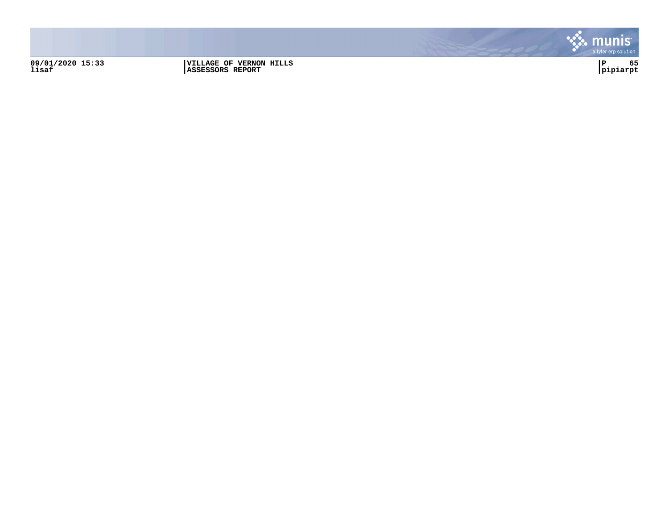**09/01/2020 15:33 |VILLAGE OF VERNON HILLS |P 65 lisaf |ASSESSORS REPORT |pipiarpt**

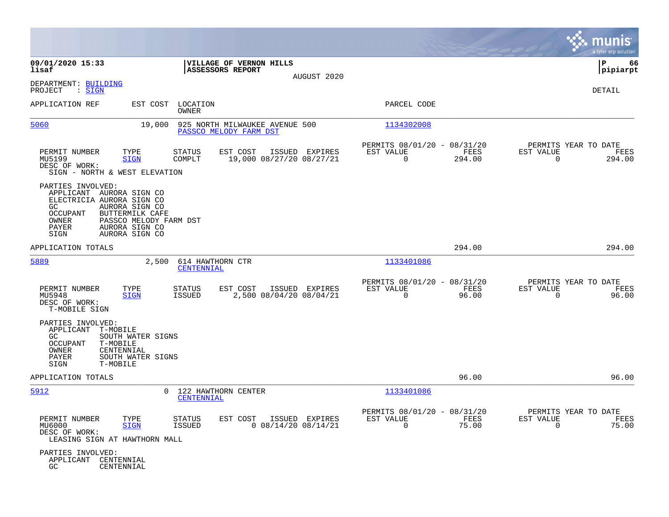|                                                                                                                                                                                                                |                                                                                         |                                                                          | munis<br>a tyler erp solution                                      |
|----------------------------------------------------------------------------------------------------------------------------------------------------------------------------------------------------------------|-----------------------------------------------------------------------------------------|--------------------------------------------------------------------------|--------------------------------------------------------------------|
| 09/01/2020 15:33<br>lisaf                                                                                                                                                                                      | VILLAGE OF VERNON HILLS<br>ASSESSORS REPORT                                             |                                                                          | P<br>66<br> pipiarpt                                               |
| DEPARTMENT: BUILDING<br>PROJECT<br>: <u>SIGN</u>                                                                                                                                                               | AUGUST 2020                                                                             |                                                                          | DETAIL                                                             |
| APPLICATION REF                                                                                                                                                                                                | EST COST<br>LOCATION<br>OWNER                                                           | PARCEL CODE                                                              |                                                                    |
| 5060                                                                                                                                                                                                           | 19,000<br>925 NORTH MILWAUKEE AVENUE 500<br>PASSCO MELODY FARM DST                      | 1134302008                                                               |                                                                    |
| PERMIT NUMBER<br>TYPE<br>MU5199<br><b>SIGN</b><br>DESC OF WORK:<br>SIGN - NORTH & WEST ELEVATION                                                                                                               | EST COST<br><b>STATUS</b><br>ISSUED EXPIRES<br>COMPLT<br>19,000 08/27/20 08/27/21       | PERMITS 08/01/20 - 08/31/20<br>EST VALUE<br>FEES<br>0<br>294.00          | PERMITS YEAR TO DATE<br>EST VALUE<br>FEES<br>$\mathbf 0$<br>294.00 |
| PARTIES INVOLVED:<br>APPLICANT AURORA SIGN CO<br>ELECTRICIA AURORA SIGN CO<br>GC.<br>AURORA SIGN CO<br><b>BUTTERMILK CAFE</b><br><b>OCCUPANT</b><br>OWNER<br>AURORA SIGN CO<br>PAYER<br>SIGN<br>AURORA SIGN CO | PASSCO MELODY FARM DST                                                                  |                                                                          |                                                                    |
| APPLICATION TOTALS                                                                                                                                                                                             |                                                                                         | 294.00                                                                   | 294.00                                                             |
| 5889                                                                                                                                                                                                           | 2,500<br>614 HAWTHORN CTR<br>CENTENNIAL                                                 | 1133401086                                                               |                                                                    |
| PERMIT NUMBER<br>TYPE<br>MU5948<br><b>SIGN</b><br>DESC OF WORK:<br>T-MOBILE SIGN                                                                                                                               | <b>STATUS</b><br>EST COST<br>ISSUED EXPIRES<br><b>ISSUED</b><br>2,500 08/04/20 08/04/21 | PERMITS 08/01/20 - 08/31/20<br>EST VALUE<br>FEES<br>$\mathbf 0$<br>96.00 | PERMITS YEAR TO DATE<br>EST VALUE<br>FEES<br>$\mathbf 0$<br>96.00  |
| PARTIES INVOLVED:<br>APPLICANT<br>T-MOBILE<br>GC<br>OCCUPANT<br>T-MOBILE<br>OWNER<br>CENTENNIAL<br>PAYER<br>SIGN<br>T-MOBILE                                                                                   | SOUTH WATER SIGNS<br>SOUTH WATER SIGNS                                                  |                                                                          |                                                                    |
| APPLICATION TOTALS                                                                                                                                                                                             |                                                                                         | 96.00                                                                    | 96.00                                                              |
| 5912                                                                                                                                                                                                           | 122 HAWTHORN CENTER<br>$\Omega$<br>CENTENNIAL                                           | 1133401086                                                               |                                                                    |
| PERMIT NUMBER<br>TYPE<br>MU6000<br><b>SIGN</b><br>DESC OF WORK:<br>LEASING SIGN AT HAWTHORN MALL                                                                                                               | EST COST<br>ISSUED EXPIRES<br>STATUS<br><b>ISSUED</b><br>$0$ 08/14/20 08/14/21          | PERMITS 08/01/20 - 08/31/20<br>EST VALUE<br>FEES<br>$\mathbf 0$<br>75.00 | PERMITS YEAR TO DATE<br>EST VALUE<br>FEES<br>75.00<br>0            |
| PARTIES INVOLVED:<br>APPLICANT<br>CENTENNIAL<br>GC<br>CENTENNIAL                                                                                                                                               |                                                                                         |                                                                          |                                                                    |